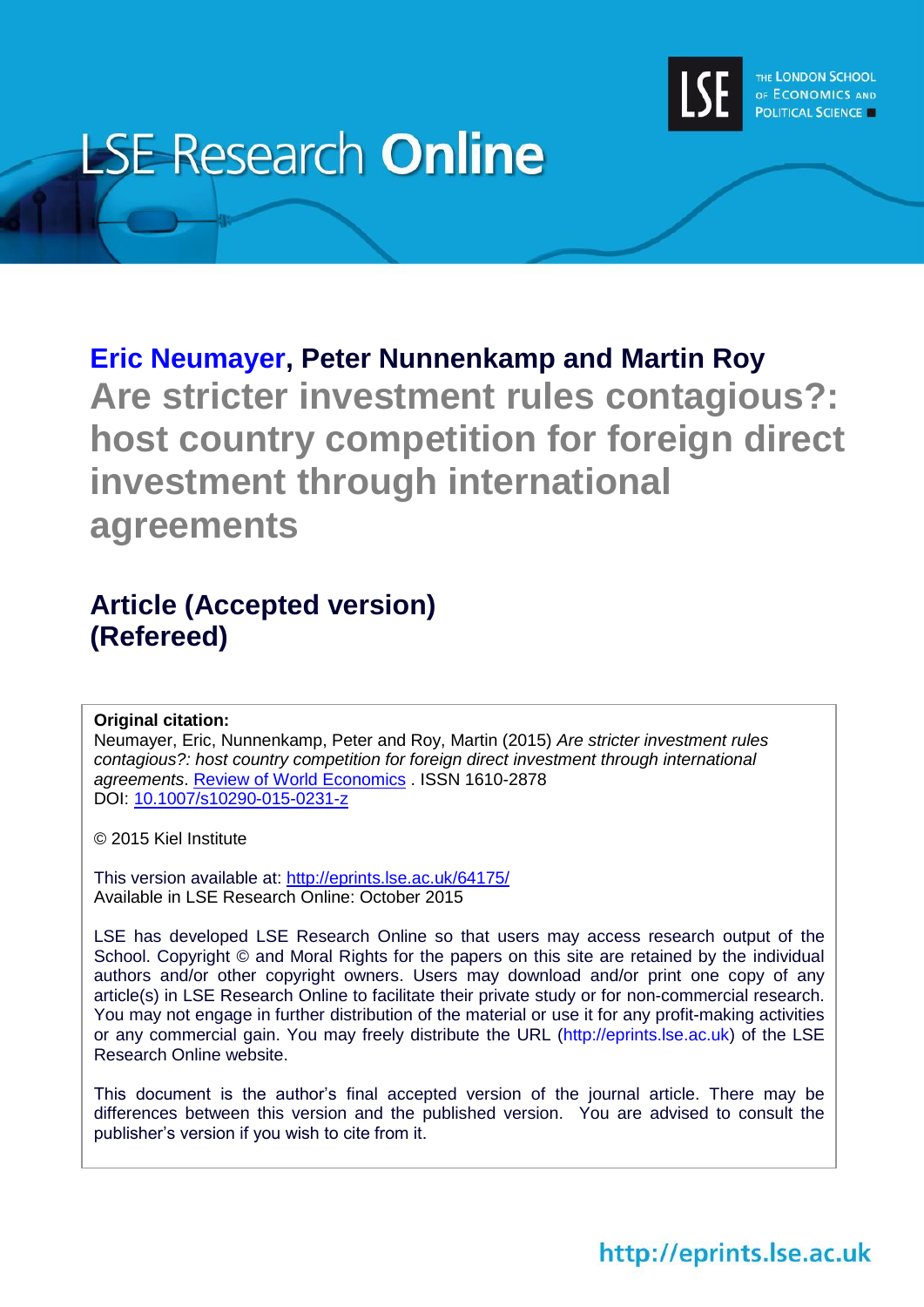

# **LSE Research Online**

**[Eric Neumayer,](http://www.lse.ac.uk/researchAndExpertise/Experts/profile.aspx?KeyValue=e.neumayer@lse.ac.uk) Peter Nunnenkamp and Martin Roy Are stricter investment rules contagious?: host country competition for foreign direct investment through international agreements**

# **Article (Accepted version) (Refereed)**

#### **Original citation:**

Neumayer, Eric, Nunnenkamp, Peter and Roy, Martin (2015) *Are stricter investment rules contagious?: host country competition for foreign direct investment through international agreements*. [Review of World Economics](http://link.springer.com/journal/10290) . ISSN 1610-2878 DOI: [10.1007/s10290-015-0231-z](http://dx.doi.org/10.1007/s10290-015-0231-z)

© 2015 Kiel Institute

This version available at:<http://eprints.lse.ac.uk/64175/> Available in LSE Research Online: October 2015

LSE has developed LSE Research Online so that users may access research output of the School. Copyright © and Moral Rights for the papers on this site are retained by the individual authors and/or other copyright owners. Users may download and/or print one copy of any article(s) in LSE Research Online to facilitate their private study or for non-commercial research. You may not engage in further distribution of the material or use it for any profit-making activities or any commercial gain. You may freely distribute the URL (http://eprints.lse.ac.uk) of the LSE Research Online website.

This document is the author's final accepted version of the journal article. There may be differences between this version and the published version. You are advised to consult the publisher's version if you wish to cite from it.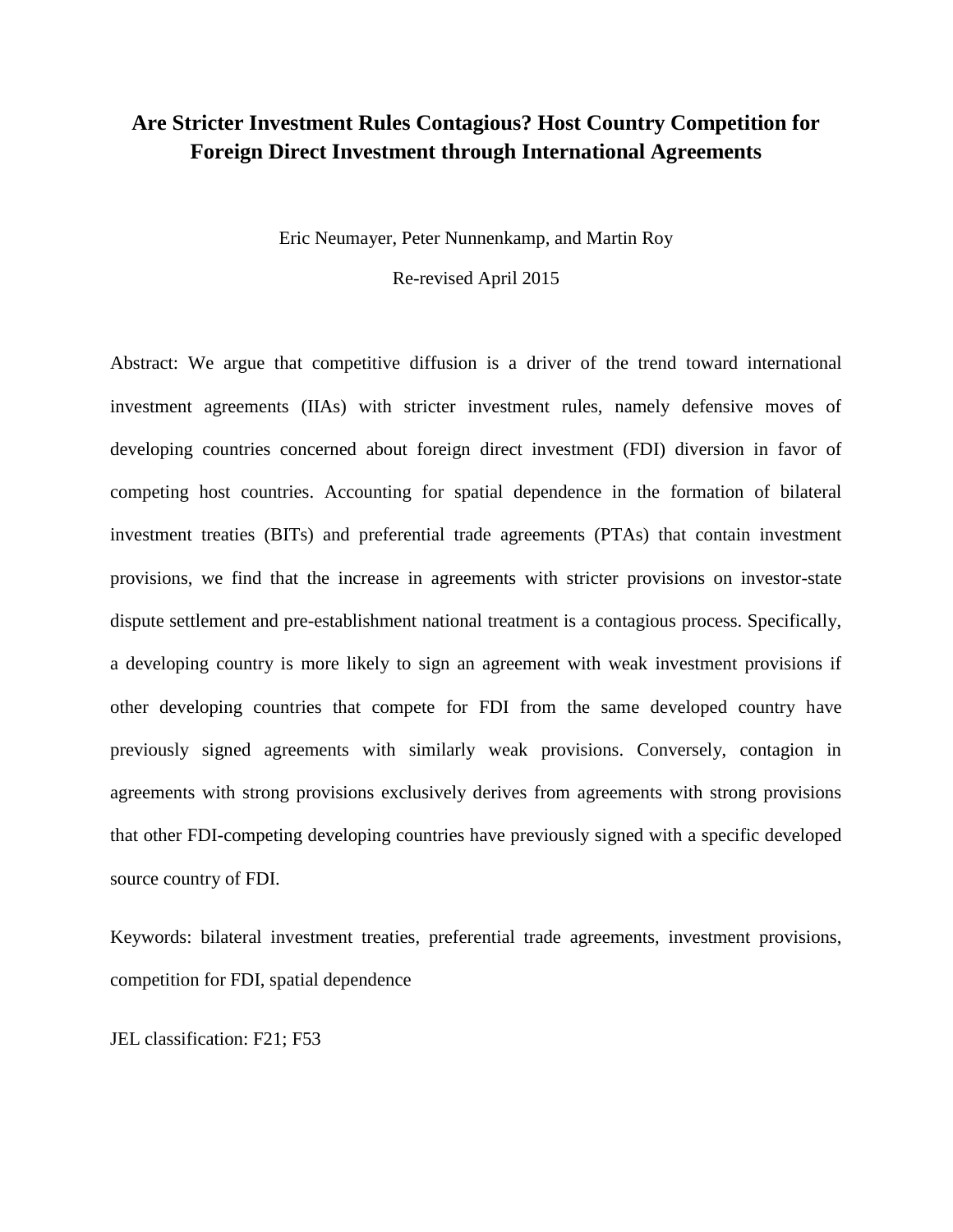## **Are Stricter Investment Rules Contagious? Host Country Competition for Foreign Direct Investment through International Agreements**

Eric Neumayer, Peter Nunnenkamp, and Martin Roy

Re-revised April 2015

Abstract: We argue that competitive diffusion is a driver of the trend toward international investment agreements (IIAs) with stricter investment rules, namely defensive moves of developing countries concerned about foreign direct investment (FDI) diversion in favor of competing host countries. Accounting for spatial dependence in the formation of bilateral investment treaties (BITs) and preferential trade agreements (PTAs) that contain investment provisions, we find that the increase in agreements with stricter provisions on investor-state dispute settlement and pre-establishment national treatment is a contagious process. Specifically, a developing country is more likely to sign an agreement with weak investment provisions if other developing countries that compete for FDI from the same developed country have previously signed agreements with similarly weak provisions. Conversely, contagion in agreements with strong provisions exclusively derives from agreements with strong provisions that other FDI-competing developing countries have previously signed with a specific developed source country of FDI.

Keywords: bilateral investment treaties, preferential trade agreements, investment provisions, competition for FDI, spatial dependence

JEL classification: F21; F53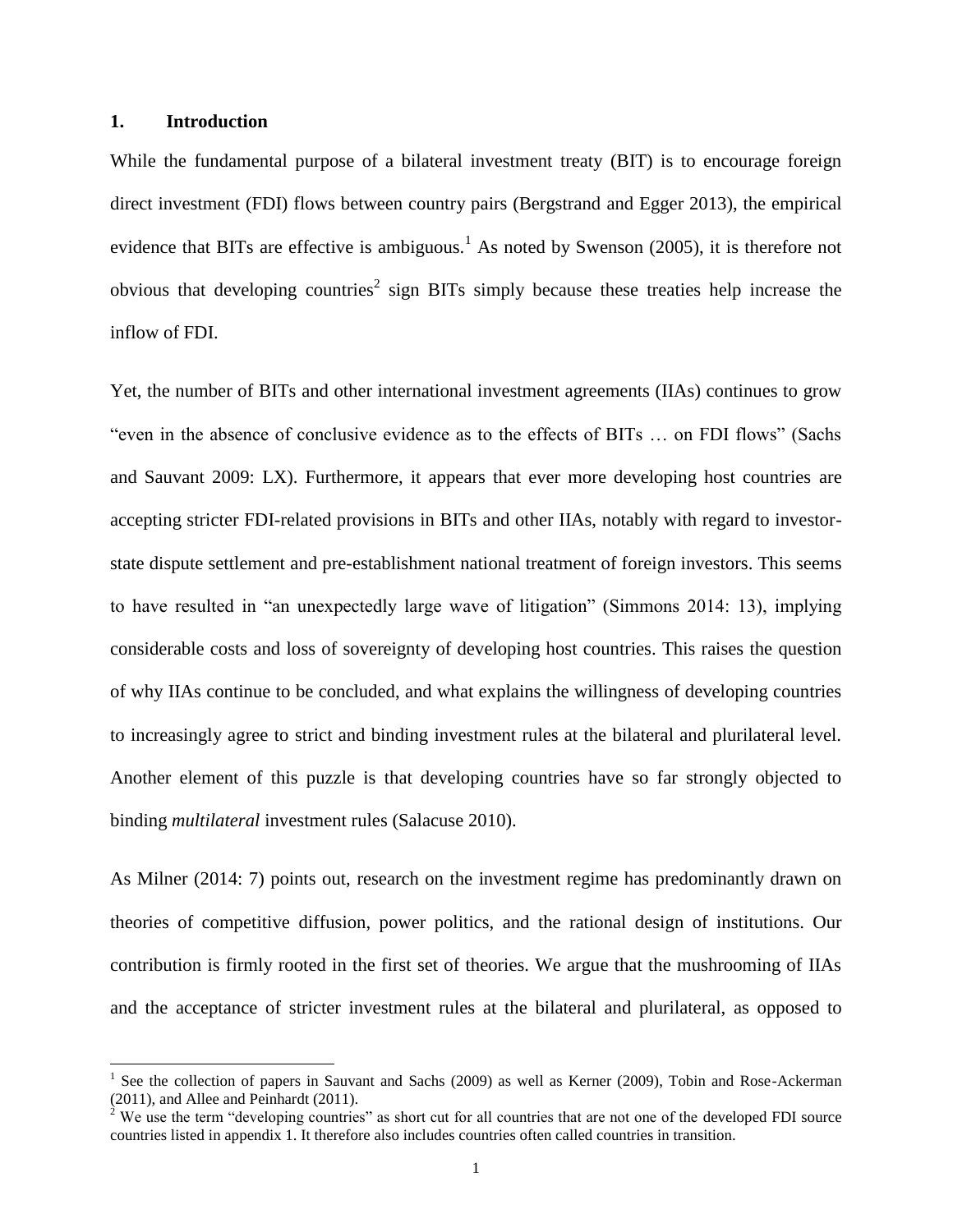#### **1. Introduction**

 $\overline{a}$ 

While the fundamental purpose of a bilateral investment treaty (BIT) is to encourage foreign direct investment (FDI) flows between country pairs (Bergstrand and Egger 2013), the empirical evidence that BITs are effective is ambiguous.<sup>1</sup> As noted by Swenson (2005), it is therefore not obvious that developing countries<sup>2</sup> sign BITs simply because these treaties help increase the inflow of FDI.

Yet, the number of BITs and other international investment agreements (IIAs) continues to grow "even in the absence of conclusive evidence as to the effects of BITs … on FDI flows" (Sachs and Sauvant 2009: LX). Furthermore, it appears that ever more developing host countries are accepting stricter FDI-related provisions in BITs and other IIAs, notably with regard to investorstate dispute settlement and pre-establishment national treatment of foreign investors. This seems to have resulted in "an unexpectedly large wave of litigation" (Simmons 2014: 13), implying considerable costs and loss of sovereignty of developing host countries. This raises the question of why IIAs continue to be concluded, and what explains the willingness of developing countries to increasingly agree to strict and binding investment rules at the bilateral and plurilateral level. Another element of this puzzle is that developing countries have so far strongly objected to binding *multilateral* investment rules (Salacuse 2010).

As Milner (2014: 7) points out, research on the investment regime has predominantly drawn on theories of competitive diffusion, power politics, and the rational design of institutions. Our contribution is firmly rooted in the first set of theories. We argue that the mushrooming of IIAs and the acceptance of stricter investment rules at the bilateral and plurilateral, as opposed to

<sup>1</sup> See the collection of papers in Sauvant and Sachs (2009) as well as Kerner (2009), Tobin and Rose-Ackerman (2011), and Allee and Peinhardt (2011).

 $2^2$  We use the term "developing countries" as short cut for all countries that are not one of the developed FDI source countries listed in appendix 1. It therefore also includes countries often called countries in transition.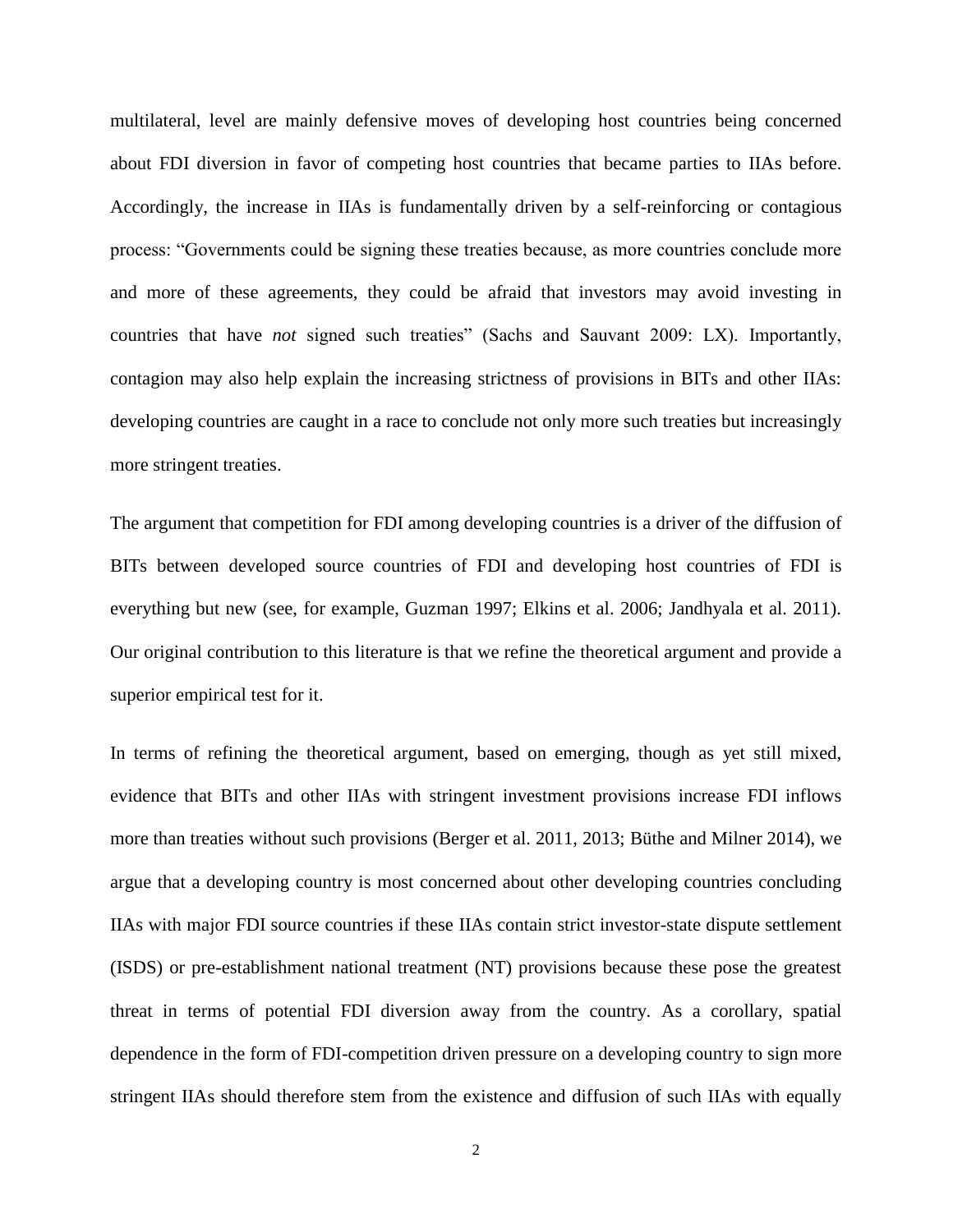multilateral, level are mainly defensive moves of developing host countries being concerned about FDI diversion in favor of competing host countries that became parties to IIAs before. Accordingly, the increase in IIAs is fundamentally driven by a self-reinforcing or contagious process: "Governments could be signing these treaties because, as more countries conclude more and more of these agreements, they could be afraid that investors may avoid investing in countries that have *not* signed such treaties" (Sachs and Sauvant 2009: LX). Importantly, contagion may also help explain the increasing strictness of provisions in BITs and other IIAs: developing countries are caught in a race to conclude not only more such treaties but increasingly more stringent treaties.

The argument that competition for FDI among developing countries is a driver of the diffusion of BITs between developed source countries of FDI and developing host countries of FDI is everything but new (see, for example, Guzman 1997; Elkins et al. 2006; Jandhyala et al. 2011). Our original contribution to this literature is that we refine the theoretical argument and provide a superior empirical test for it.

In terms of refining the theoretical argument, based on emerging, though as yet still mixed, evidence that BITs and other IIAs with stringent investment provisions increase FDI inflows more than treaties without such provisions (Berger et al. 2011, 2013; Büthe and Milner 2014), we argue that a developing country is most concerned about other developing countries concluding IIAs with major FDI source countries if these IIAs contain strict investor-state dispute settlement (ISDS) or pre-establishment national treatment (NT) provisions because these pose the greatest threat in terms of potential FDI diversion away from the country. As a corollary, spatial dependence in the form of FDI-competition driven pressure on a developing country to sign more stringent IIAs should therefore stem from the existence and diffusion of such IIAs with equally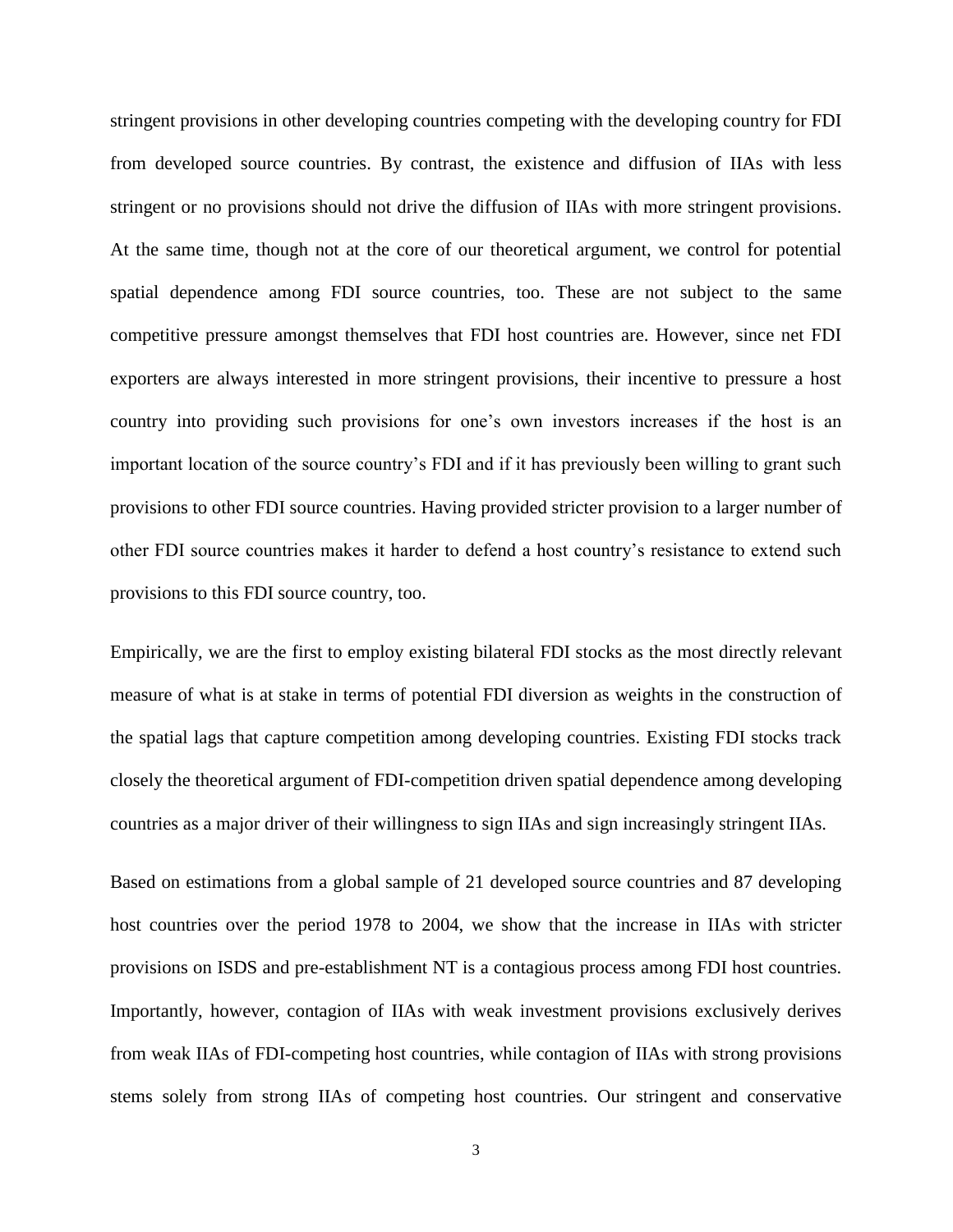stringent provisions in other developing countries competing with the developing country for FDI from developed source countries. By contrast, the existence and diffusion of IIAs with less stringent or no provisions should not drive the diffusion of IIAs with more stringent provisions. At the same time, though not at the core of our theoretical argument, we control for potential spatial dependence among FDI source countries, too. These are not subject to the same competitive pressure amongst themselves that FDI host countries are. However, since net FDI exporters are always interested in more stringent provisions, their incentive to pressure a host country into providing such provisions for one's own investors increases if the host is an important location of the source country's FDI and if it has previously been willing to grant such provisions to other FDI source countries. Having provided stricter provision to a larger number of other FDI source countries makes it harder to defend a host country's resistance to extend such provisions to this FDI source country, too.

Empirically, we are the first to employ existing bilateral FDI stocks as the most directly relevant measure of what is at stake in terms of potential FDI diversion as weights in the construction of the spatial lags that capture competition among developing countries. Existing FDI stocks track closely the theoretical argument of FDI-competition driven spatial dependence among developing countries as a major driver of their willingness to sign IIAs and sign increasingly stringent IIAs.

Based on estimations from a global sample of 21 developed source countries and 87 developing host countries over the period 1978 to 2004, we show that the increase in IIAs with stricter provisions on ISDS and pre-establishment NT is a contagious process among FDI host countries. Importantly, however, contagion of IIAs with weak investment provisions exclusively derives from weak IIAs of FDI-competing host countries, while contagion of IIAs with strong provisions stems solely from strong IIAs of competing host countries. Our stringent and conservative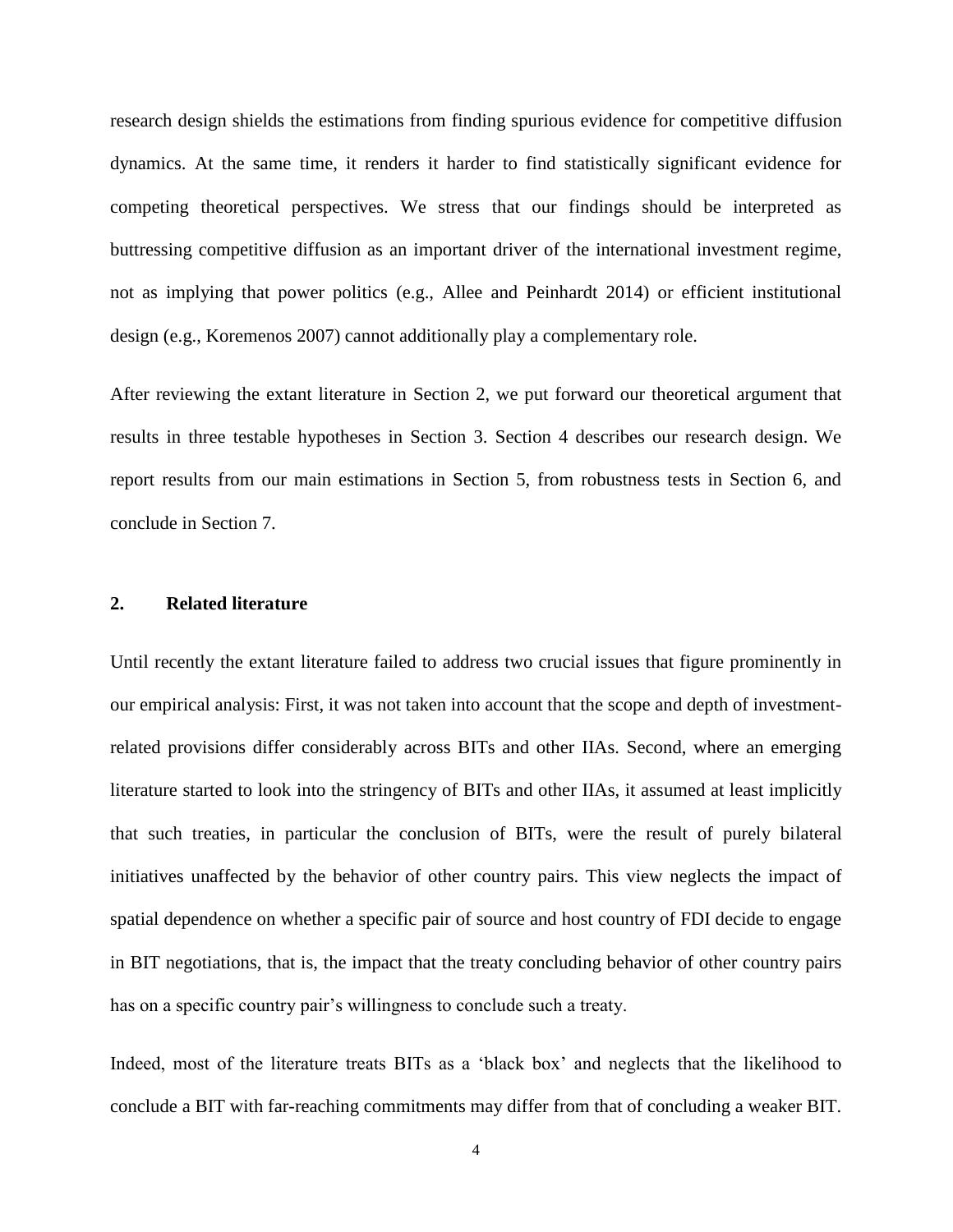research design shields the estimations from finding spurious evidence for competitive diffusion dynamics. At the same time, it renders it harder to find statistically significant evidence for competing theoretical perspectives. We stress that our findings should be interpreted as buttressing competitive diffusion as an important driver of the international investment regime, not as implying that power politics (e.g., Allee and Peinhardt 2014) or efficient institutional design (e.g., Koremenos 2007) cannot additionally play a complementary role.

After reviewing the extant literature in Section 2, we put forward our theoretical argument that results in three testable hypotheses in Section 3. Section 4 describes our research design. We report results from our main estimations in Section 5, from robustness tests in Section 6, and conclude in Section 7.

#### **2. Related literature**

Until recently the extant literature failed to address two crucial issues that figure prominently in our empirical analysis: First, it was not taken into account that the scope and depth of investmentrelated provisions differ considerably across BITs and other IIAs. Second, where an emerging literature started to look into the stringency of BITs and other IIAs, it assumed at least implicitly that such treaties, in particular the conclusion of BITs, were the result of purely bilateral initiatives unaffected by the behavior of other country pairs. This view neglects the impact of spatial dependence on whether a specific pair of source and host country of FDI decide to engage in BIT negotiations, that is, the impact that the treaty concluding behavior of other country pairs has on a specific country pair's willingness to conclude such a treaty.

Indeed, most of the literature treats BITs as a 'black box' and neglects that the likelihood to conclude a BIT with far-reaching commitments may differ from that of concluding a weaker BIT.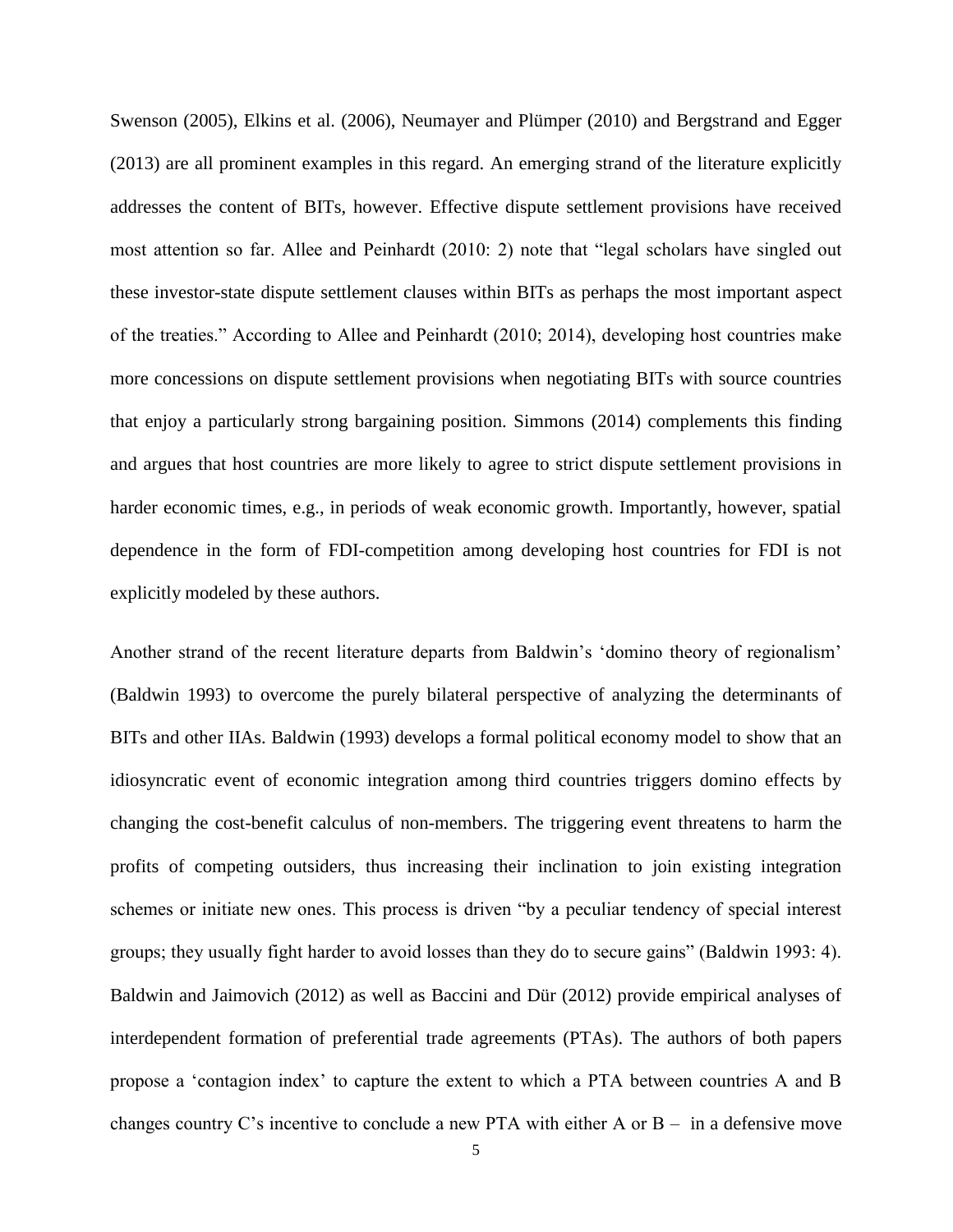Swenson (2005), Elkins et al. (2006), Neumayer and Plümper (2010) and Bergstrand and Egger (2013) are all prominent examples in this regard. An emerging strand of the literature explicitly addresses the content of BITs, however. Effective dispute settlement provisions have received most attention so far. Allee and Peinhardt (2010: 2) note that "legal scholars have singled out these investor-state dispute settlement clauses within BITs as perhaps the most important aspect of the treaties." According to Allee and Peinhardt (2010; 2014), developing host countries make more concessions on dispute settlement provisions when negotiating BITs with source countries that enjoy a particularly strong bargaining position. Simmons (2014) complements this finding and argues that host countries are more likely to agree to strict dispute settlement provisions in harder economic times, e.g., in periods of weak economic growth. Importantly, however, spatial dependence in the form of FDI-competition among developing host countries for FDI is not explicitly modeled by these authors.

Another strand of the recent literature departs from Baldwin's 'domino theory of regionalism' (Baldwin 1993) to overcome the purely bilateral perspective of analyzing the determinants of BITs and other IIAs. Baldwin (1993) develops a formal political economy model to show that an idiosyncratic event of economic integration among third countries triggers domino effects by changing the cost-benefit calculus of non-members. The triggering event threatens to harm the profits of competing outsiders, thus increasing their inclination to join existing integration schemes or initiate new ones. This process is driven "by a peculiar tendency of special interest groups; they usually fight harder to avoid losses than they do to secure gains" (Baldwin 1993: 4). Baldwin and Jaimovich (2012) as well as Baccini and Dür (2012) provide empirical analyses of interdependent formation of preferential trade agreements (PTAs). The authors of both papers propose a 'contagion index' to capture the extent to which a PTA between countries A and B changes country C's incentive to conclude a new PTA with either A or  $B - in$  a defensive move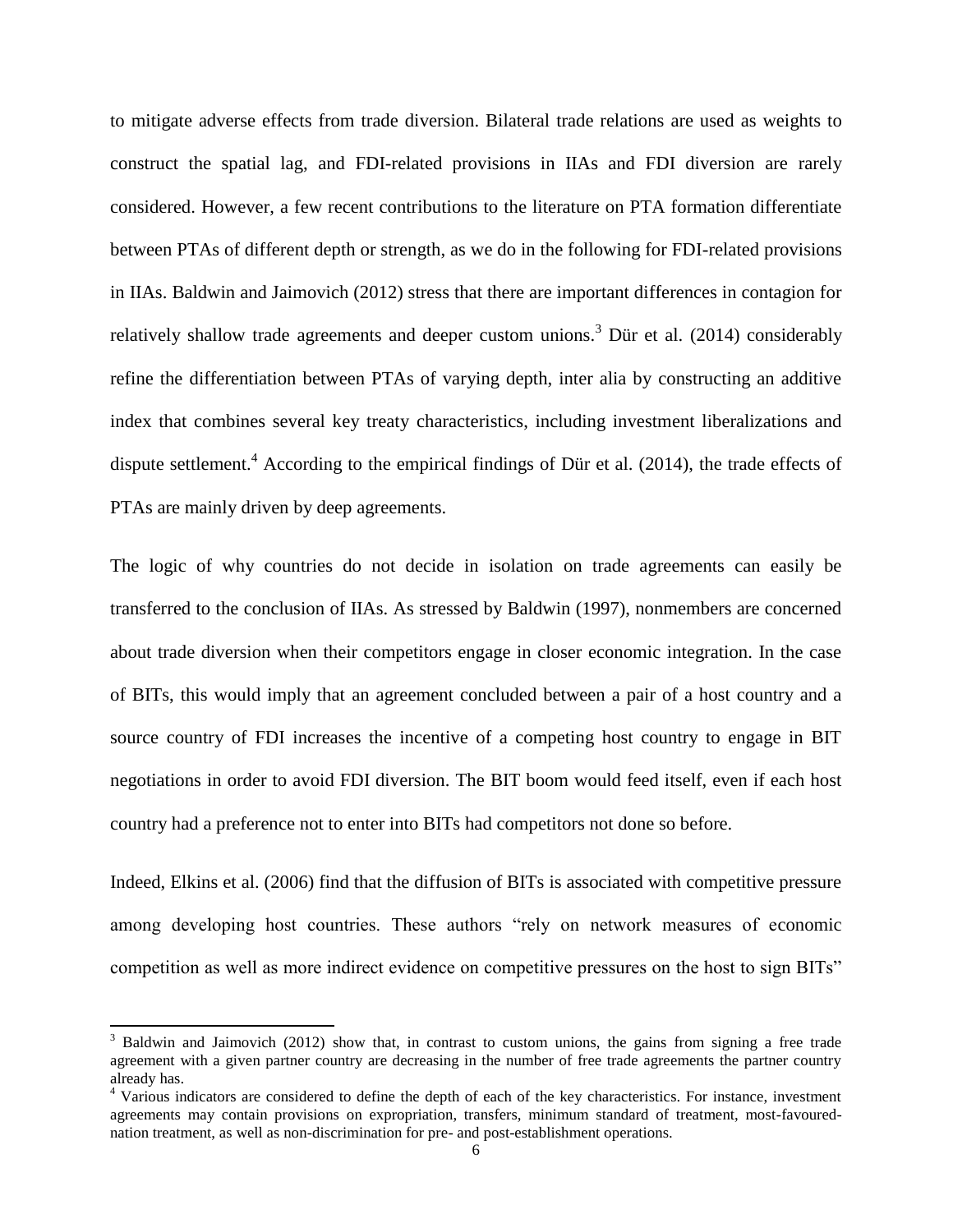to mitigate adverse effects from trade diversion. Bilateral trade relations are used as weights to construct the spatial lag, and FDI-related provisions in IIAs and FDI diversion are rarely considered. However, a few recent contributions to the literature on PTA formation differentiate between PTAs of different depth or strength, as we do in the following for FDI-related provisions in IIAs. Baldwin and Jaimovich (2012) stress that there are important differences in contagion for relatively shallow trade agreements and deeper custom unions.<sup>3</sup> Dür et al. (2014) considerably refine the differentiation between PTAs of varying depth, inter alia by constructing an additive index that combines several key treaty characteristics, including investment liberalizations and dispute settlement.<sup>4</sup> According to the empirical findings of Dür et al.  $(2014)$ , the trade effects of PTAs are mainly driven by deep agreements.

The logic of why countries do not decide in isolation on trade agreements can easily be transferred to the conclusion of IIAs. As stressed by Baldwin (1997), nonmembers are concerned about trade diversion when their competitors engage in closer economic integration. In the case of BITs, this would imply that an agreement concluded between a pair of a host country and a source country of FDI increases the incentive of a competing host country to engage in BIT negotiations in order to avoid FDI diversion. The BIT boom would feed itself, even if each host country had a preference not to enter into BITs had competitors not done so before.

Indeed, Elkins et al. (2006) find that the diffusion of BITs is associated with competitive pressure among developing host countries. These authors "rely on network measures of economic competition as well as more indirect evidence on competitive pressures on the host to sign BITs"

 $\overline{a}$ 

<sup>&</sup>lt;sup>3</sup> Baldwin and Jaimovich (2012) show that, in contrast to custom unions, the gains from signing a free trade agreement with a given partner country are decreasing in the number of free trade agreements the partner country already has.

<sup>&</sup>lt;sup>4</sup> Various indicators are considered to define the depth of each of the key characteristics. For instance, investment agreements may contain provisions on expropriation, transfers, minimum standard of treatment, most-favourednation treatment, as well as non-discrimination for pre- and post-establishment operations.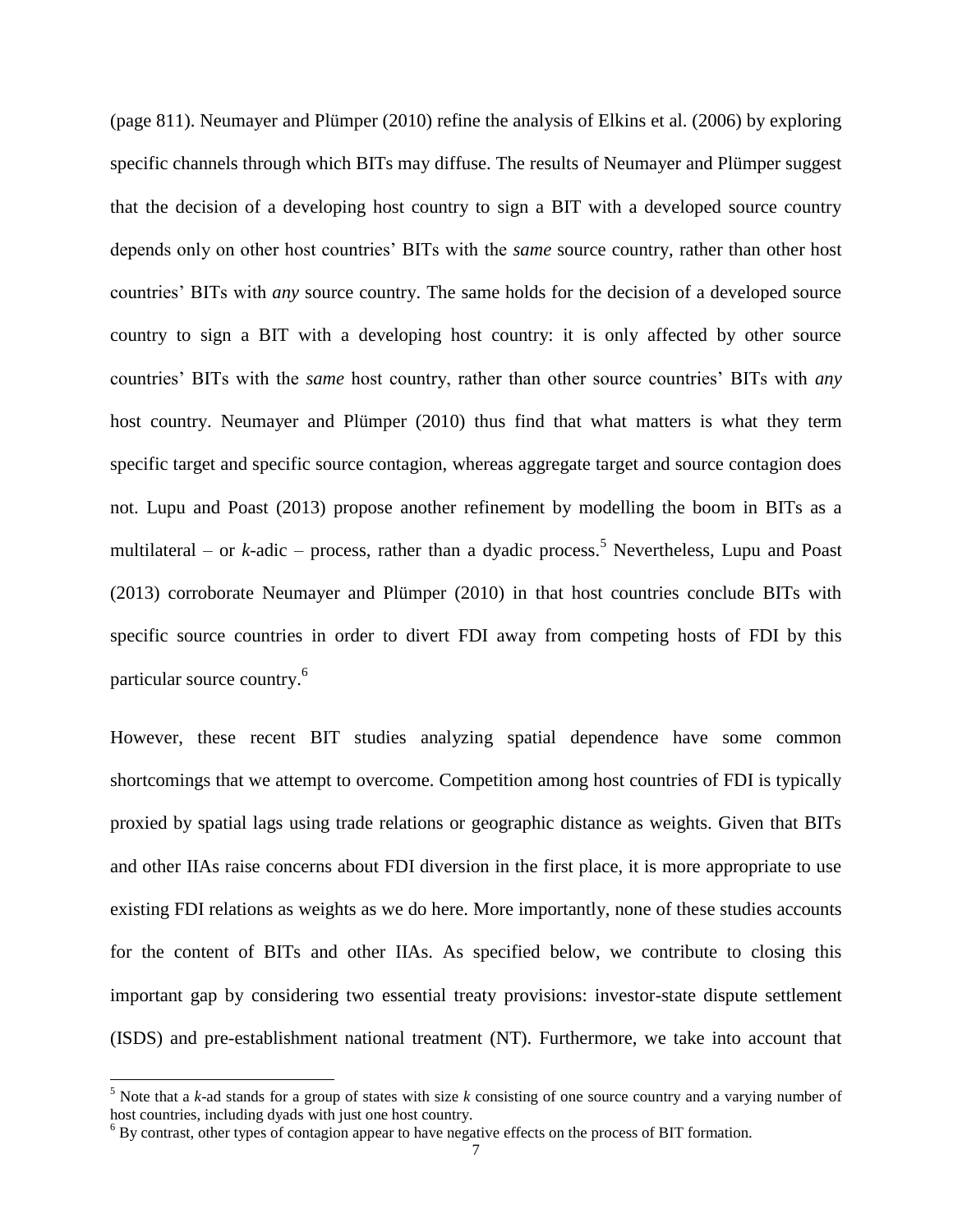(page 811). Neumayer and Plümper (2010) refine the analysis of Elkins et al. (2006) by exploring specific channels through which BITs may diffuse. The results of Neumayer and Plümper suggest that the decision of a developing host country to sign a BIT with a developed source country depends only on other host countries' BITs with the *same* source country, rather than other host countries' BITs with *any* source country. The same holds for the decision of a developed source country to sign a BIT with a developing host country: it is only affected by other source countries' BITs with the *same* host country, rather than other source countries' BITs with *any* host country. Neumayer and Plümper (2010) thus find that what matters is what they term specific target and specific source contagion, whereas aggregate target and source contagion does not. Lupu and Poast (2013) propose another refinement by modelling the boom in BITs as a multilateral – or  $k$ -adic – process, rather than a dyadic process.<sup>5</sup> Nevertheless, Lupu and Poast (2013) corroborate Neumayer and Plümper (2010) in that host countries conclude BITs with specific source countries in order to divert FDI away from competing hosts of FDI by this particular source country.<sup>6</sup>

However, these recent BIT studies analyzing spatial dependence have some common shortcomings that we attempt to overcome. Competition among host countries of FDI is typically proxied by spatial lags using trade relations or geographic distance as weights. Given that BITs and other IIAs raise concerns about FDI diversion in the first place, it is more appropriate to use existing FDI relations as weights as we do here. More importantly, none of these studies accounts for the content of BITs and other IIAs. As specified below, we contribute to closing this important gap by considering two essential treaty provisions: investor-state dispute settlement (ISDS) and pre-establishment national treatment (NT). Furthermore, we take into account that

<sup>5</sup> Note that a *k*-ad stands for a group of states with size *k* consisting of one source country and a varying number of host countries, including dyads with just one host country.

 $6$  By contrast, other types of contagion appear to have negative effects on the process of BIT formation.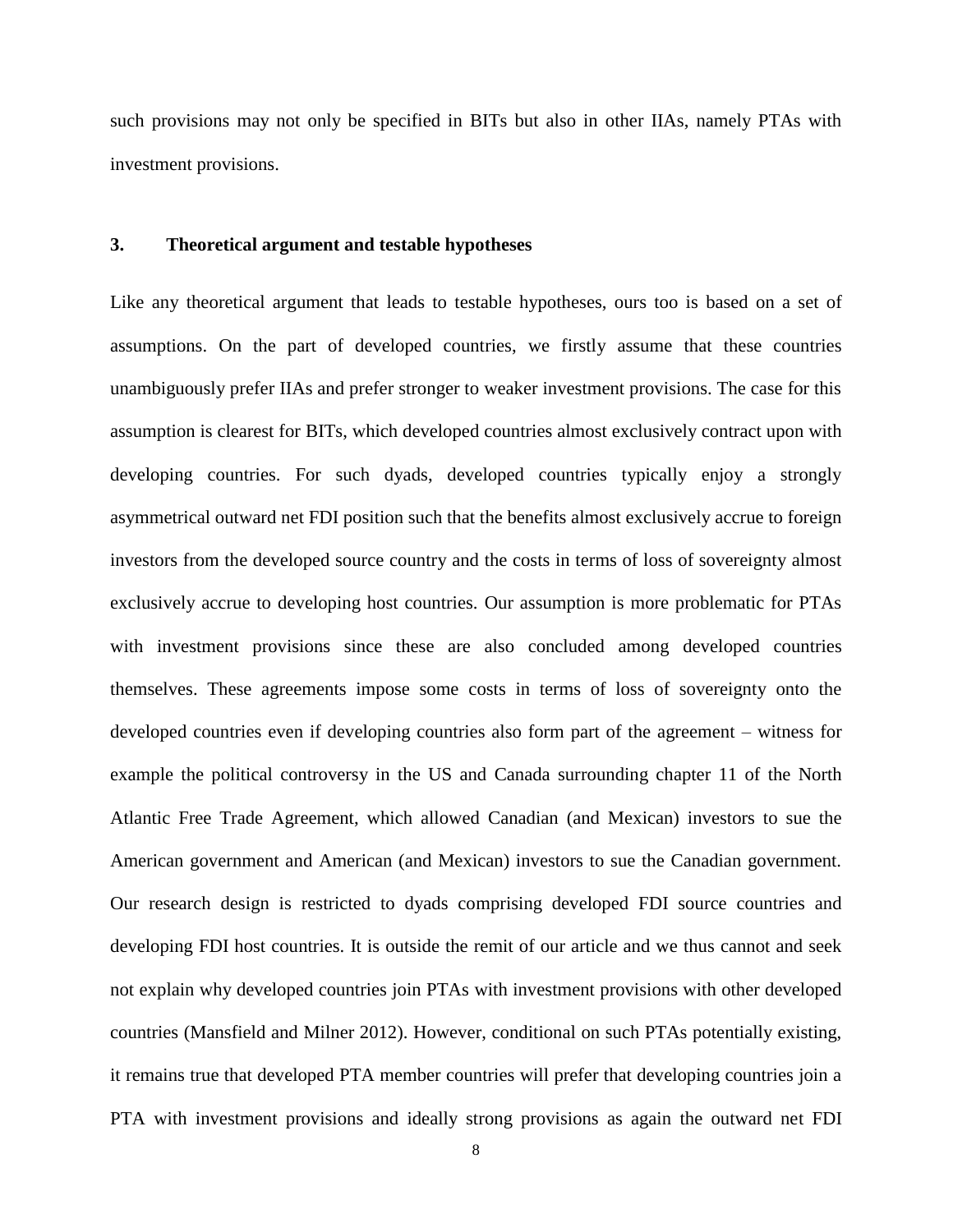such provisions may not only be specified in BITs but also in other IIAs, namely PTAs with investment provisions.

#### **3. Theoretical argument and testable hypotheses**

Like any theoretical argument that leads to testable hypotheses, ours too is based on a set of assumptions. On the part of developed countries, we firstly assume that these countries unambiguously prefer IIAs and prefer stronger to weaker investment provisions. The case for this assumption is clearest for BITs, which developed countries almost exclusively contract upon with developing countries. For such dyads, developed countries typically enjoy a strongly asymmetrical outward net FDI position such that the benefits almost exclusively accrue to foreign investors from the developed source country and the costs in terms of loss of sovereignty almost exclusively accrue to developing host countries. Our assumption is more problematic for PTAs with investment provisions since these are also concluded among developed countries themselves. These agreements impose some costs in terms of loss of sovereignty onto the developed countries even if developing countries also form part of the agreement – witness for example the political controversy in the US and Canada surrounding chapter 11 of the North Atlantic Free Trade Agreement, which allowed Canadian (and Mexican) investors to sue the American government and American (and Mexican) investors to sue the Canadian government. Our research design is restricted to dyads comprising developed FDI source countries and developing FDI host countries. It is outside the remit of our article and we thus cannot and seek not explain why developed countries join PTAs with investment provisions with other developed countries (Mansfield and Milner 2012). However, conditional on such PTAs potentially existing, it remains true that developed PTA member countries will prefer that developing countries join a PTA with investment provisions and ideally strong provisions as again the outward net FDI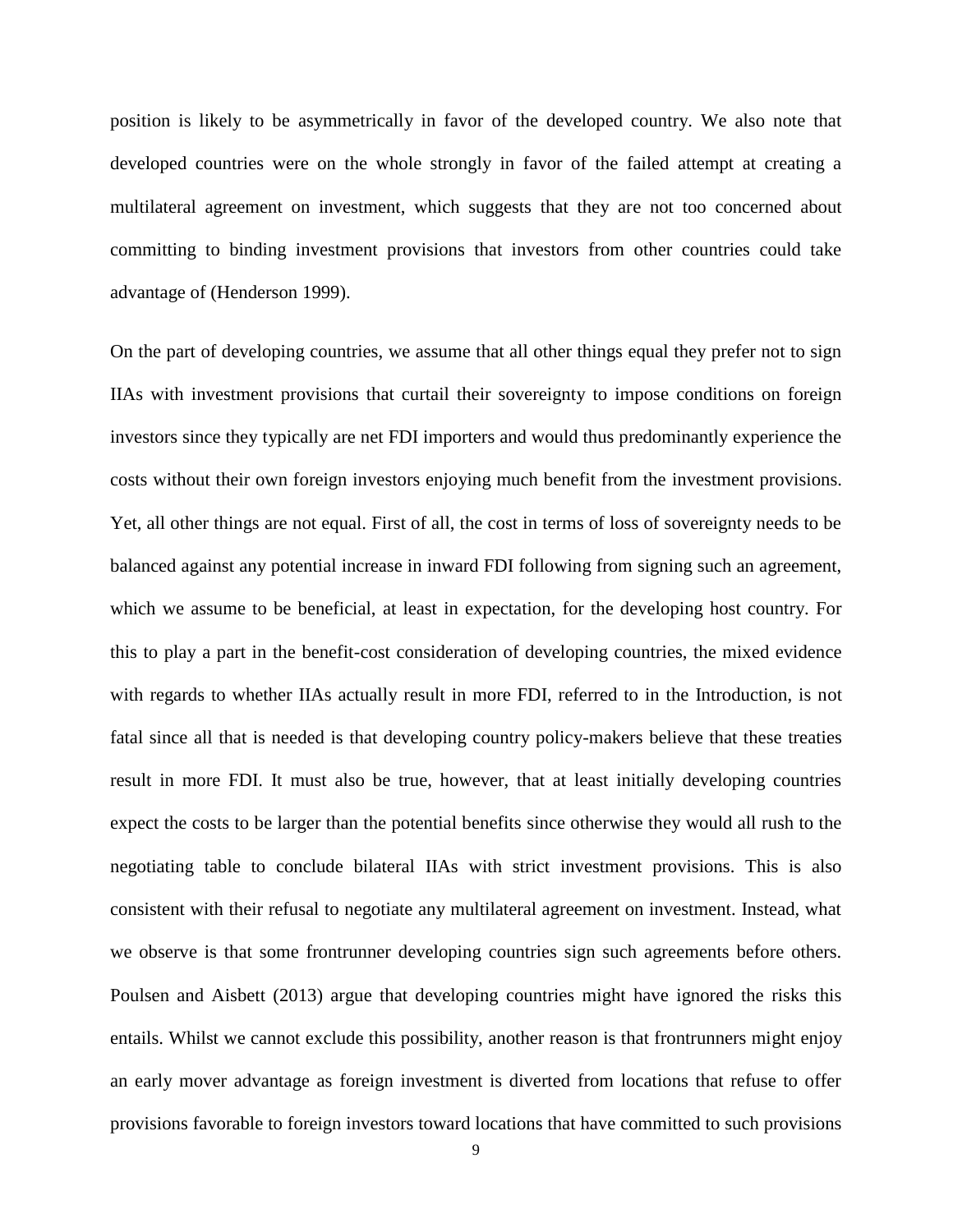position is likely to be asymmetrically in favor of the developed country. We also note that developed countries were on the whole strongly in favor of the failed attempt at creating a multilateral agreement on investment, which suggests that they are not too concerned about committing to binding investment provisions that investors from other countries could take advantage of (Henderson 1999).

On the part of developing countries, we assume that all other things equal they prefer not to sign IIAs with investment provisions that curtail their sovereignty to impose conditions on foreign investors since they typically are net FDI importers and would thus predominantly experience the costs without their own foreign investors enjoying much benefit from the investment provisions. Yet, all other things are not equal. First of all, the cost in terms of loss of sovereignty needs to be balanced against any potential increase in inward FDI following from signing such an agreement, which we assume to be beneficial, at least in expectation, for the developing host country. For this to play a part in the benefit-cost consideration of developing countries, the mixed evidence with regards to whether IIAs actually result in more FDI, referred to in the Introduction, is not fatal since all that is needed is that developing country policy-makers believe that these treaties result in more FDI. It must also be true, however, that at least initially developing countries expect the costs to be larger than the potential benefits since otherwise they would all rush to the negotiating table to conclude bilateral IIAs with strict investment provisions. This is also consistent with their refusal to negotiate any multilateral agreement on investment. Instead, what we observe is that some frontrunner developing countries sign such agreements before others. Poulsen and Aisbett (2013) argue that developing countries might have ignored the risks this entails. Whilst we cannot exclude this possibility, another reason is that frontrunners might enjoy an early mover advantage as foreign investment is diverted from locations that refuse to offer provisions favorable to foreign investors toward locations that have committed to such provisions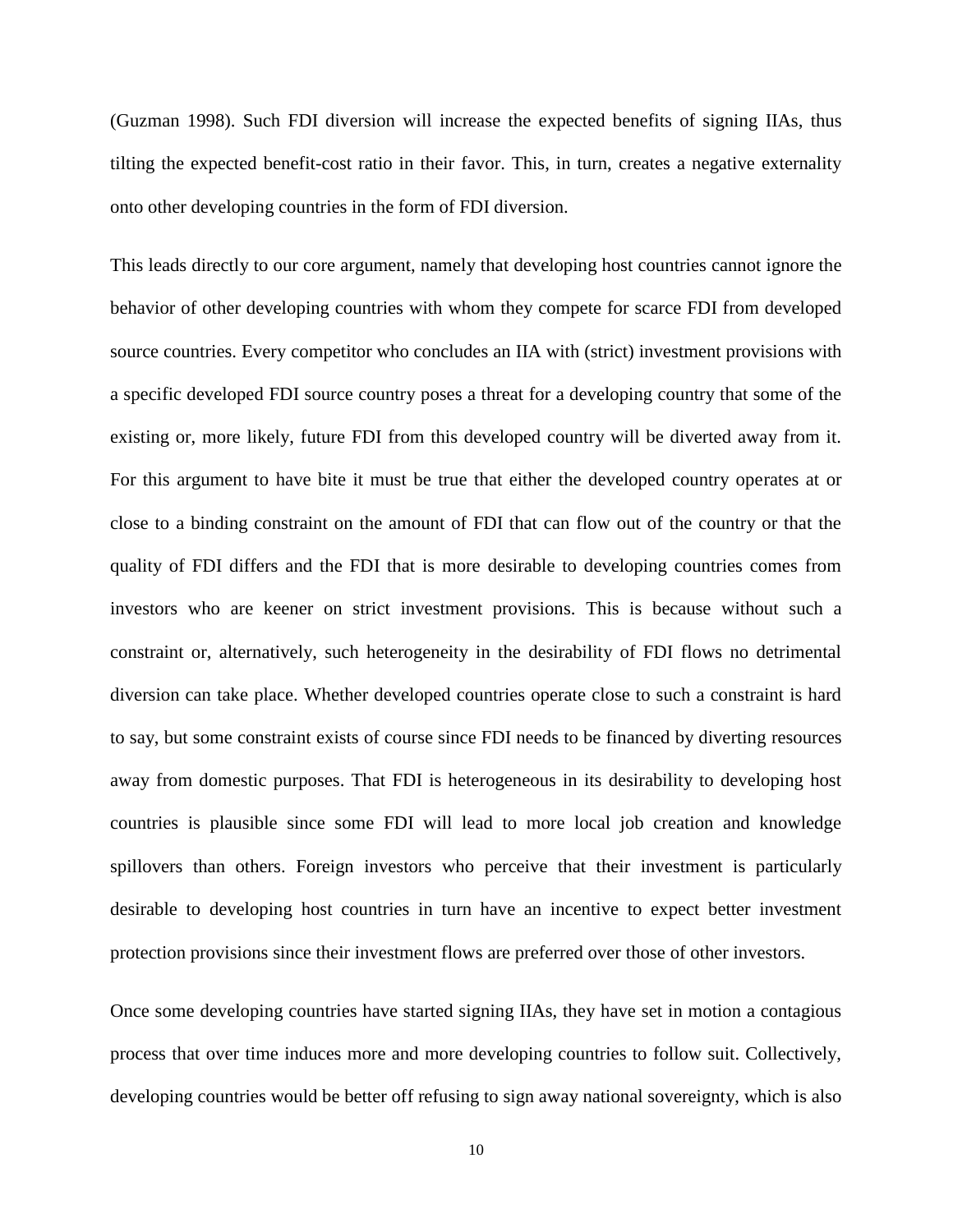(Guzman 1998). Such FDI diversion will increase the expected benefits of signing IIAs, thus tilting the expected benefit-cost ratio in their favor. This, in turn, creates a negative externality onto other developing countries in the form of FDI diversion.

This leads directly to our core argument, namely that developing host countries cannot ignore the behavior of other developing countries with whom they compete for scarce FDI from developed source countries. Every competitor who concludes an IIA with (strict) investment provisions with a specific developed FDI source country poses a threat for a developing country that some of the existing or, more likely, future FDI from this developed country will be diverted away from it. For this argument to have bite it must be true that either the developed country operates at or close to a binding constraint on the amount of FDI that can flow out of the country or that the quality of FDI differs and the FDI that is more desirable to developing countries comes from investors who are keener on strict investment provisions. This is because without such a constraint or, alternatively, such heterogeneity in the desirability of FDI flows no detrimental diversion can take place. Whether developed countries operate close to such a constraint is hard to say, but some constraint exists of course since FDI needs to be financed by diverting resources away from domestic purposes. That FDI is heterogeneous in its desirability to developing host countries is plausible since some FDI will lead to more local job creation and knowledge spillovers than others. Foreign investors who perceive that their investment is particularly desirable to developing host countries in turn have an incentive to expect better investment protection provisions since their investment flows are preferred over those of other investors.

Once some developing countries have started signing IIAs, they have set in motion a contagious process that over time induces more and more developing countries to follow suit. Collectively, developing countries would be better off refusing to sign away national sovereignty, which is also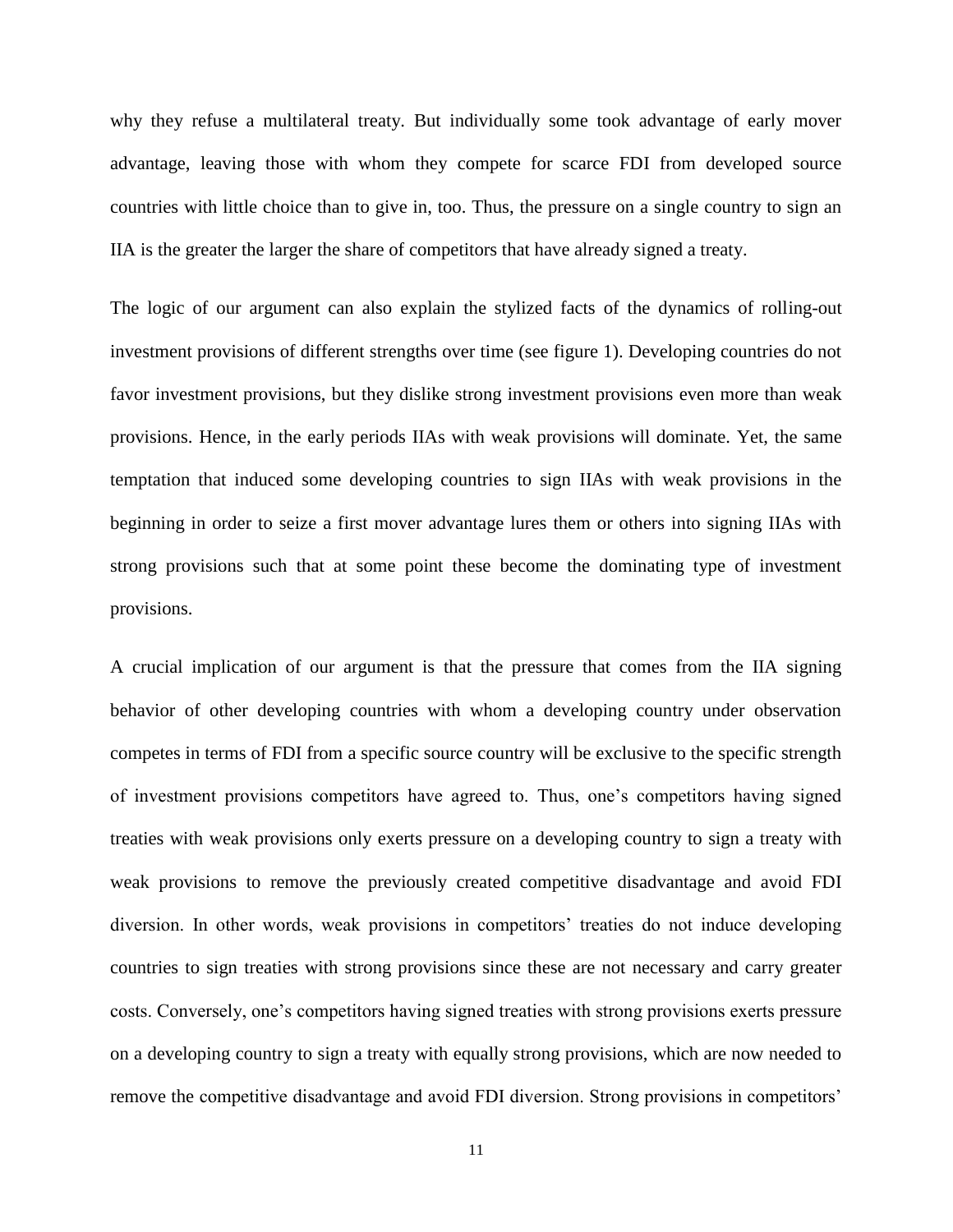why they refuse a multilateral treaty. But individually some took advantage of early mover advantage, leaving those with whom they compete for scarce FDI from developed source countries with little choice than to give in, too. Thus, the pressure on a single country to sign an IIA is the greater the larger the share of competitors that have already signed a treaty.

The logic of our argument can also explain the stylized facts of the dynamics of rolling-out investment provisions of different strengths over time (see figure 1). Developing countries do not favor investment provisions, but they dislike strong investment provisions even more than weak provisions. Hence, in the early periods IIAs with weak provisions will dominate. Yet, the same temptation that induced some developing countries to sign IIAs with weak provisions in the beginning in order to seize a first mover advantage lures them or others into signing IIAs with strong provisions such that at some point these become the dominating type of investment provisions.

A crucial implication of our argument is that the pressure that comes from the IIA signing behavior of other developing countries with whom a developing country under observation competes in terms of FDI from a specific source country will be exclusive to the specific strength of investment provisions competitors have agreed to. Thus, one's competitors having signed treaties with weak provisions only exerts pressure on a developing country to sign a treaty with weak provisions to remove the previously created competitive disadvantage and avoid FDI diversion. In other words, weak provisions in competitors' treaties do not induce developing countries to sign treaties with strong provisions since these are not necessary and carry greater costs. Conversely, one's competitors having signed treaties with strong provisions exerts pressure on a developing country to sign a treaty with equally strong provisions, which are now needed to remove the competitive disadvantage and avoid FDI diversion. Strong provisions in competitors'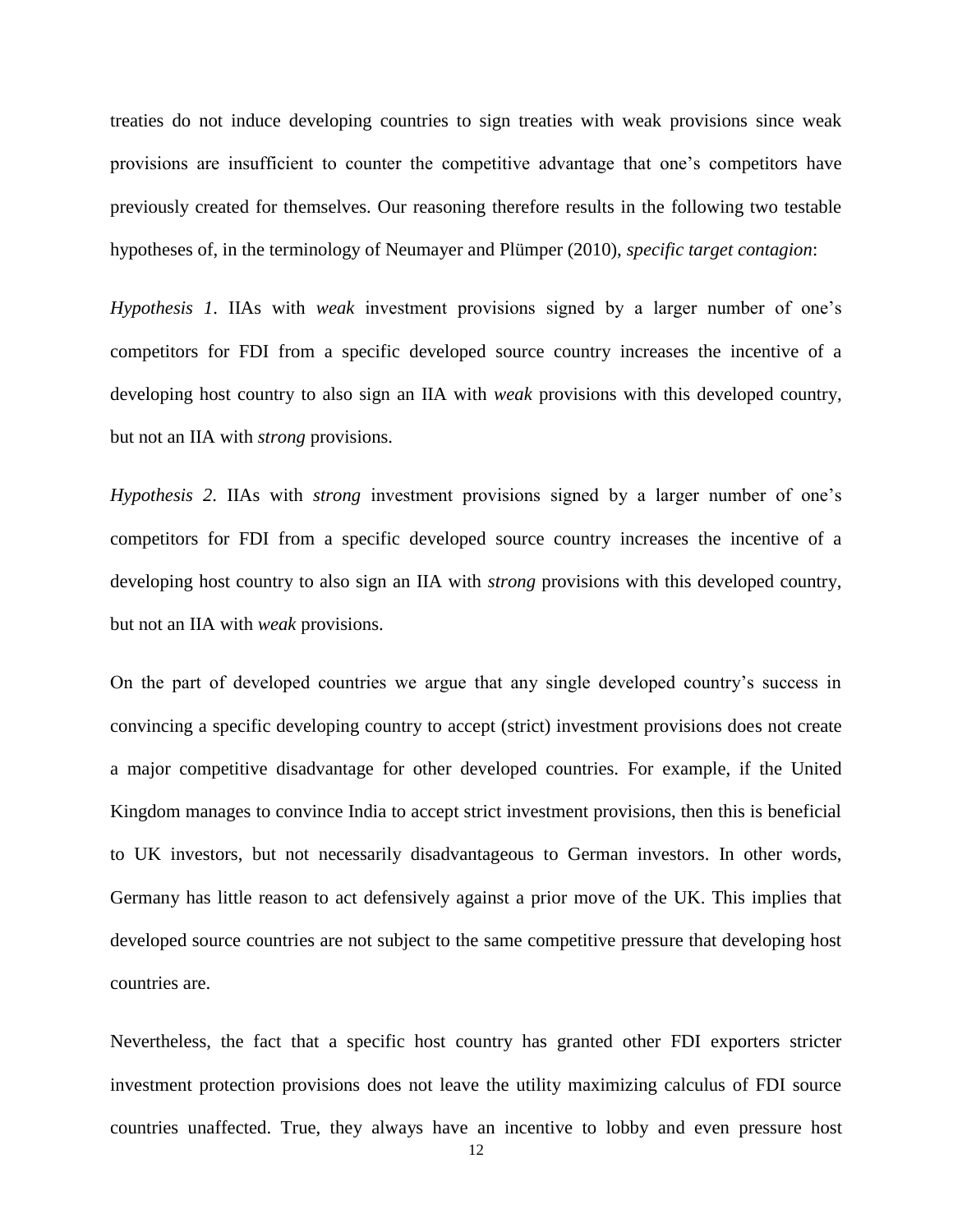treaties do not induce developing countries to sign treaties with weak provisions since weak provisions are insufficient to counter the competitive advantage that one's competitors have previously created for themselves. Our reasoning therefore results in the following two testable hypotheses of, in the terminology of Neumayer and Plümper (2010), *specific target contagion*:

*Hypothesis 1*. IIAs with *weak* investment provisions signed by a larger number of one's competitors for FDI from a specific developed source country increases the incentive of a developing host country to also sign an IIA with *weak* provisions with this developed country, but not an IIA with *strong* provisions.

*Hypothesis 2*. IIAs with *strong* investment provisions signed by a larger number of one's competitors for FDI from a specific developed source country increases the incentive of a developing host country to also sign an IIA with *strong* provisions with this developed country, but not an IIA with *weak* provisions.

On the part of developed countries we argue that any single developed country's success in convincing a specific developing country to accept (strict) investment provisions does not create a major competitive disadvantage for other developed countries. For example, if the United Kingdom manages to convince India to accept strict investment provisions, then this is beneficial to UK investors, but not necessarily disadvantageous to German investors. In other words, Germany has little reason to act defensively against a prior move of the UK. This implies that developed source countries are not subject to the same competitive pressure that developing host countries are.

Nevertheless, the fact that a specific host country has granted other FDI exporters stricter investment protection provisions does not leave the utility maximizing calculus of FDI source countries unaffected. True, they always have an incentive to lobby and even pressure host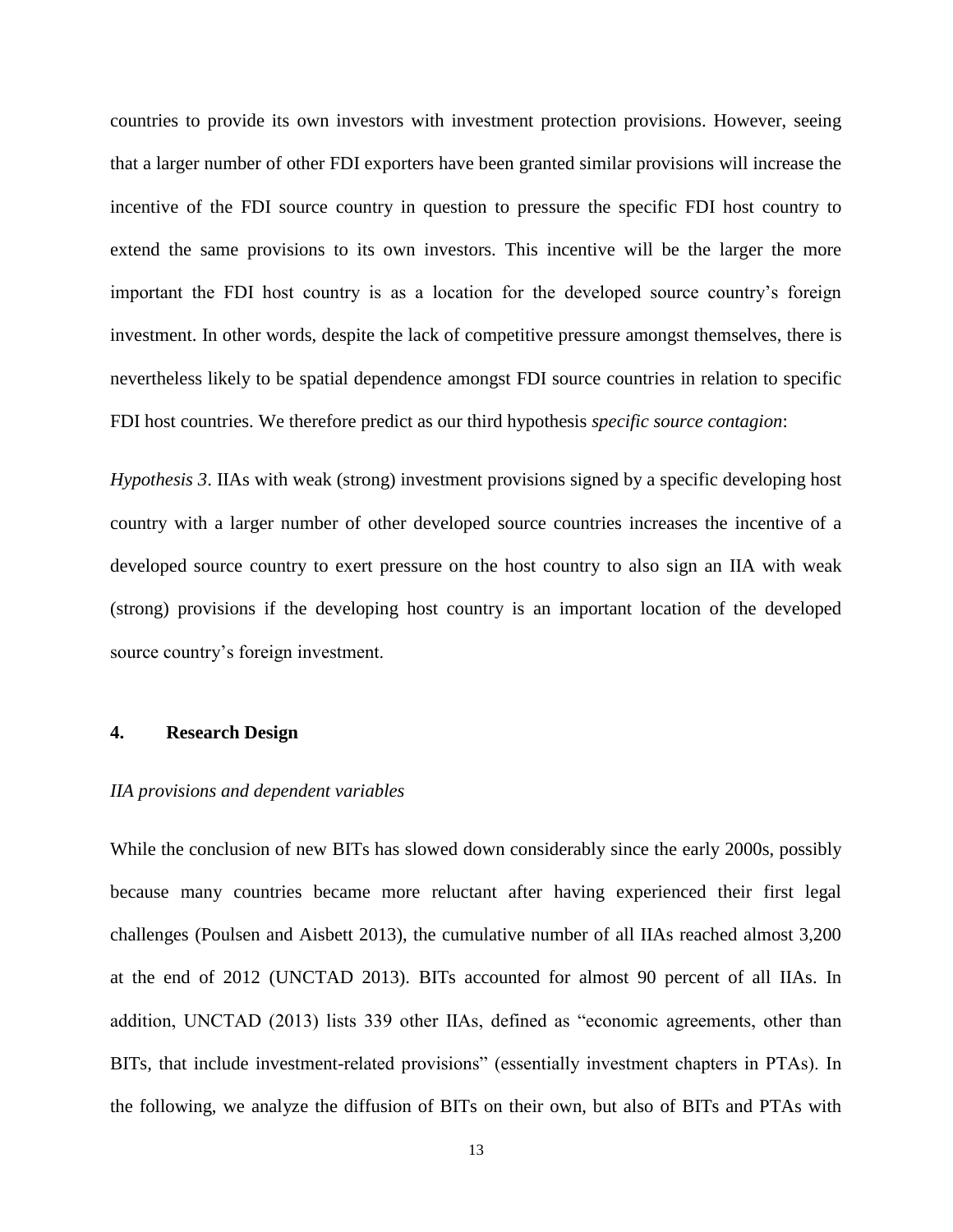countries to provide its own investors with investment protection provisions. However, seeing that a larger number of other FDI exporters have been granted similar provisions will increase the incentive of the FDI source country in question to pressure the specific FDI host country to extend the same provisions to its own investors. This incentive will be the larger the more important the FDI host country is as a location for the developed source country's foreign investment. In other words, despite the lack of competitive pressure amongst themselves, there is nevertheless likely to be spatial dependence amongst FDI source countries in relation to specific FDI host countries. We therefore predict as our third hypothesis *specific source contagion*:

*Hypothesis 3*. IIAs with weak (strong) investment provisions signed by a specific developing host country with a larger number of other developed source countries increases the incentive of a developed source country to exert pressure on the host country to also sign an IIA with weak (strong) provisions if the developing host country is an important location of the developed source country's foreign investment.

#### **4. Research Design**

#### *IIA provisions and dependent variables*

While the conclusion of new BITs has slowed down considerably since the early 2000s, possibly because many countries became more reluctant after having experienced their first legal challenges (Poulsen and Aisbett 2013), the cumulative number of all IIAs reached almost 3,200 at the end of 2012 (UNCTAD 2013). BITs accounted for almost 90 percent of all IIAs. In addition, UNCTAD (2013) lists 339 other IIAs, defined as "economic agreements, other than BITs, that include investment-related provisions" (essentially investment chapters in PTAs). In the following, we analyze the diffusion of BITs on their own, but also of BITs and PTAs with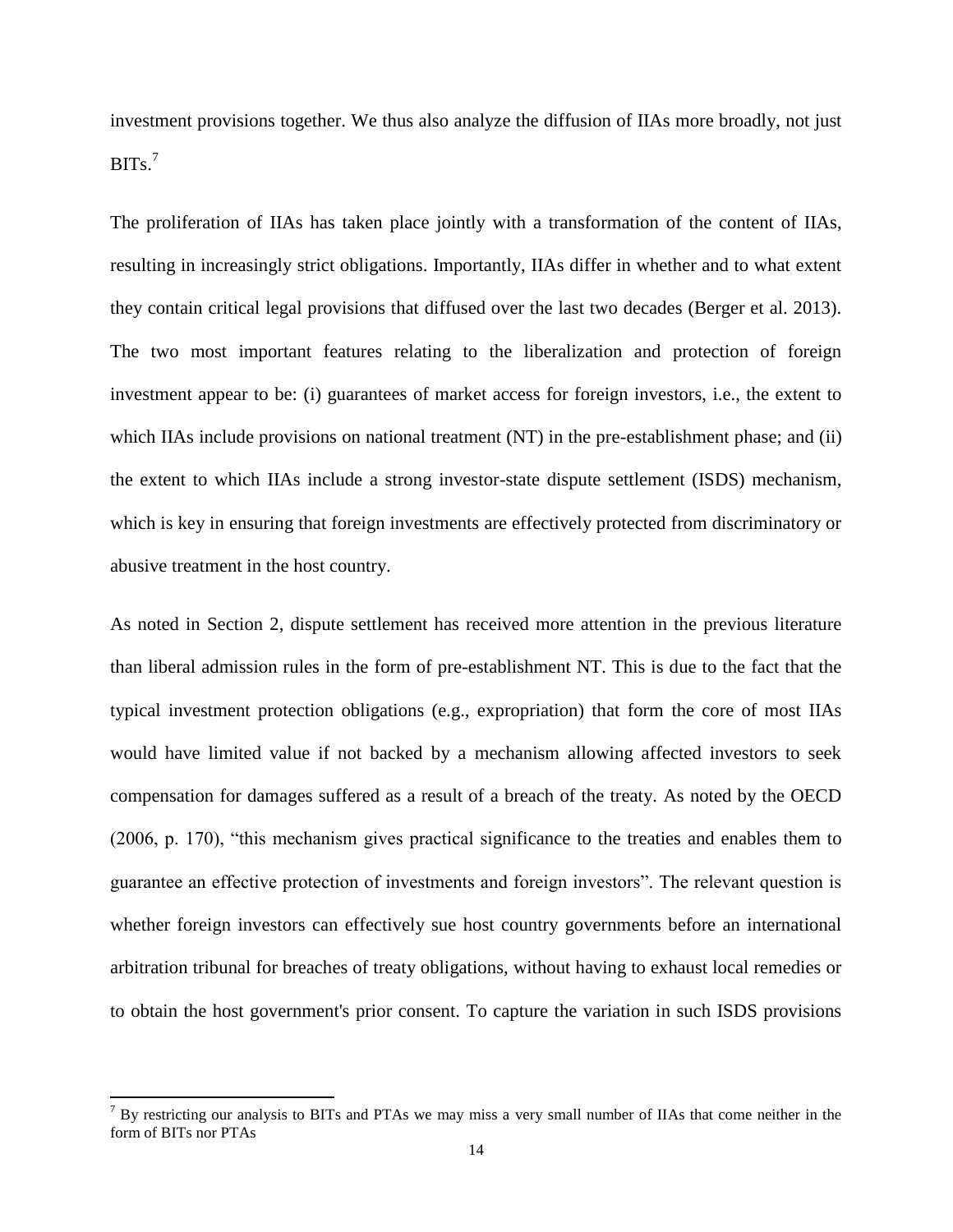investment provisions together. We thus also analyze the diffusion of IIAs more broadly, not just  $BITs.<sup>7</sup>$ 

The proliferation of IIAs has taken place jointly with a transformation of the content of IIAs, resulting in increasingly strict obligations. Importantly, IIAs differ in whether and to what extent they contain critical legal provisions that diffused over the last two decades (Berger et al. 2013). The two most important features relating to the liberalization and protection of foreign investment appear to be: (i) guarantees of market access for foreign investors, i.e., the extent to which IIAs include provisions on national treatment (NT) in the pre-establishment phase; and (ii) the extent to which IIAs include a strong investor-state dispute settlement (ISDS) mechanism, which is key in ensuring that foreign investments are effectively protected from discriminatory or abusive treatment in the host country.

As noted in Section 2, dispute settlement has received more attention in the previous literature than liberal admission rules in the form of pre-establishment NT. This is due to the fact that the typical investment protection obligations (e.g., expropriation) that form the core of most IIAs would have limited value if not backed by a mechanism allowing affected investors to seek compensation for damages suffered as a result of a breach of the treaty. As noted by the OECD (2006, p. 170), "this mechanism gives practical significance to the treaties and enables them to guarantee an effective protection of investments and foreign investors". The relevant question is whether foreign investors can effectively sue host country governments before an international arbitration tribunal for breaches of treaty obligations, without having to exhaust local remedies or to obtain the host government's prior consent. To capture the variation in such ISDS provisions

 $<sup>7</sup>$  By restricting our analysis to BITs and PTAs we may miss a very small number of IIAs that come neither in the</sup> form of BITs nor PTAs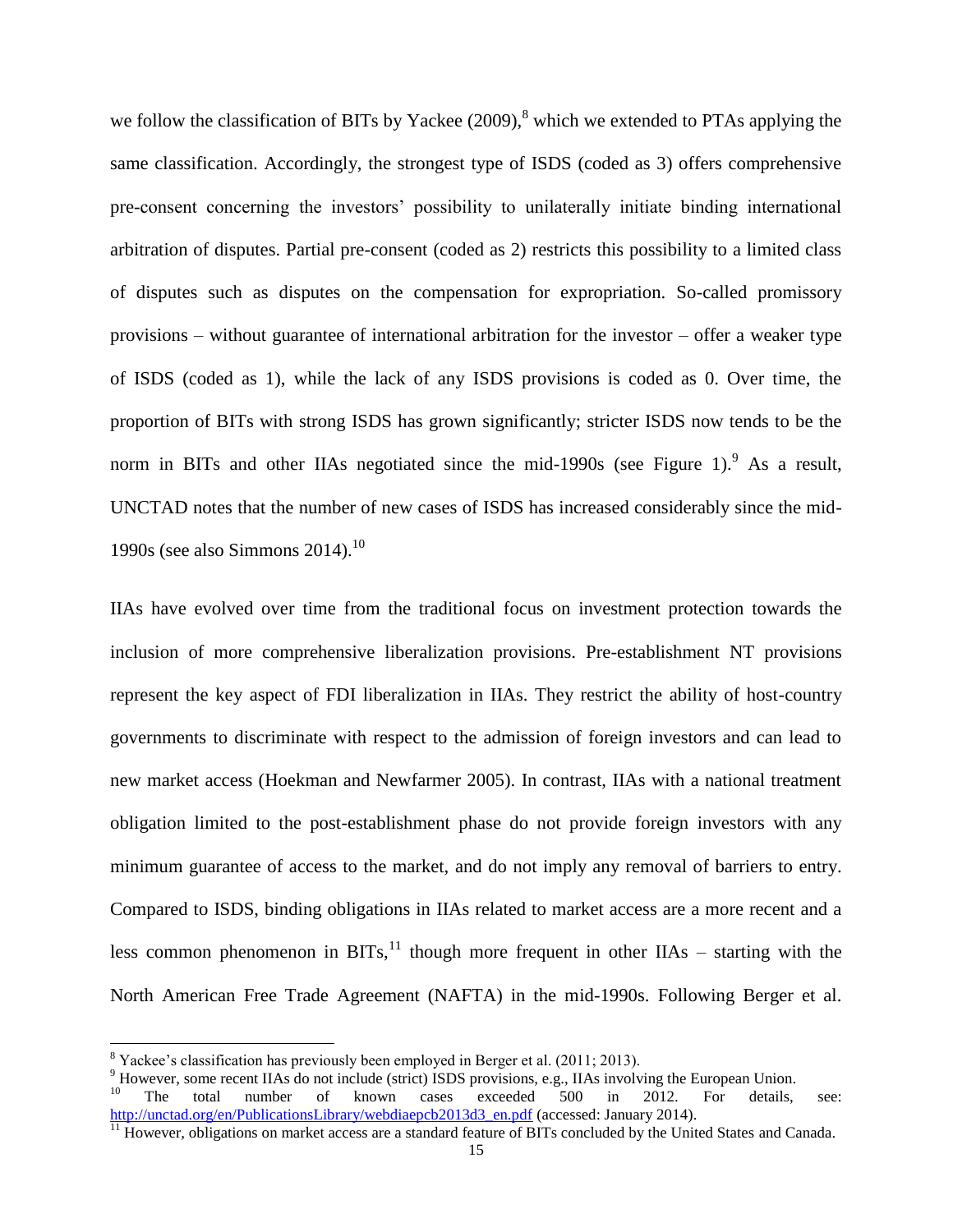we follow the classification of BITs by Yackee  $(2009)$ , which we extended to PTAs applying the same classification. Accordingly, the strongest type of ISDS (coded as 3) offers comprehensive pre-consent concerning the investors' possibility to unilaterally initiate binding international arbitration of disputes. Partial pre-consent (coded as 2) restricts this possibility to a limited class of disputes such as disputes on the compensation for expropriation. So-called promissory provisions – without guarantee of international arbitration for the investor – offer a weaker type of ISDS (coded as 1), while the lack of any ISDS provisions is coded as 0. Over time, the proportion of BITs with strong ISDS has grown significantly; stricter ISDS now tends to be the norm in BITs and other IIAs negotiated since the mid-1990s (see Figure 1). As a result. UNCTAD notes that the number of new cases of ISDS has increased considerably since the mid-1990s (see also Simmons  $2014$ ).<sup>10</sup>

IIAs have evolved over time from the traditional focus on investment protection towards the inclusion of more comprehensive liberalization provisions. Pre-establishment NT provisions represent the key aspect of FDI liberalization in IIAs. They restrict the ability of host-country governments to discriminate with respect to the admission of foreign investors and can lead to new market access (Hoekman and Newfarmer 2005). In contrast, IIAs with a national treatment obligation limited to the post-establishment phase do not provide foreign investors with any minimum guarantee of access to the market, and do not imply any removal of barriers to entry. Compared to ISDS, binding obligations in IIAs related to market access are a more recent and a less common phenomenon in  $BITs<sub>11</sub>$  though more frequent in other IIAs – starting with the North American Free Trade Agreement (NAFTA) in the mid-1990s. Following Berger et al.

<sup>8</sup> Yackee's classification has previously been employed in Berger et al. (2011; 2013).

<sup>&</sup>lt;sup>9</sup> However, some recent IIAs do not include (strict) ISDS provisions, e.g., IIAs involving the European Union. The total number of known cases exceeded 500 in 2012. For details, see: [http://unctad.org/en/PublicationsLibrary/webdiaepcb2013d3\\_en.pdf](http://unctad.org/en/PublicationsLibrary/webdiaepcb2013d3_en.pdf) (accessed: January 2014).

 $\frac{11}{11}$  However, obligations on market access are a standard feature of BITs concluded by the United States and Canada.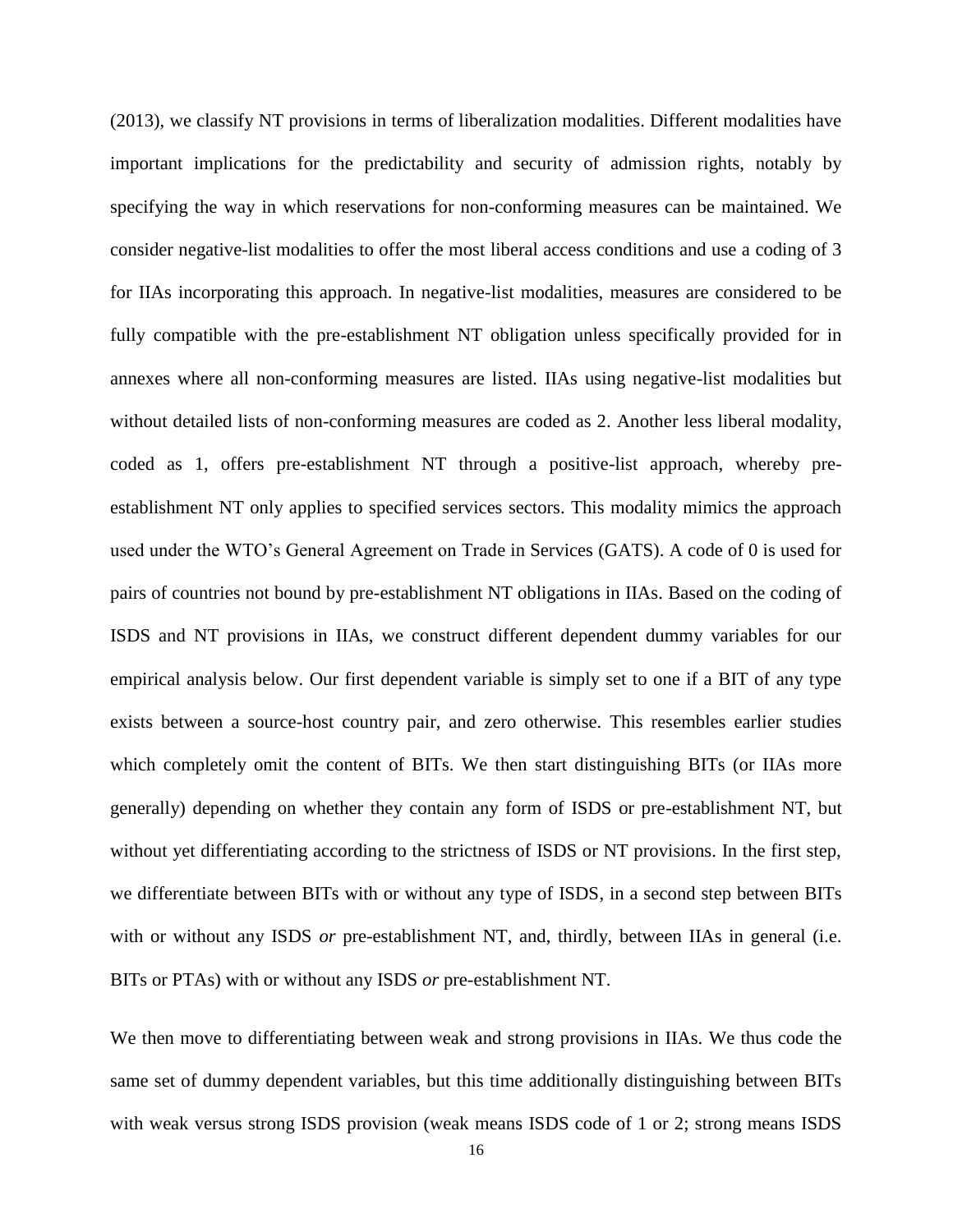(2013), we classify NT provisions in terms of liberalization modalities. Different modalities have important implications for the predictability and security of admission rights, notably by specifying the way in which reservations for non-conforming measures can be maintained. We consider negative-list modalities to offer the most liberal access conditions and use a coding of 3 for IIAs incorporating this approach. In negative-list modalities, measures are considered to be fully compatible with the pre-establishment NT obligation unless specifically provided for in annexes where all non-conforming measures are listed. IIAs using negative-list modalities but without detailed lists of non-conforming measures are coded as 2. Another less liberal modality, coded as 1, offers pre-establishment NT through a positive-list approach, whereby preestablishment NT only applies to specified services sectors. This modality mimics the approach used under the WTO's General Agreement on Trade in Services (GATS). A code of 0 is used for pairs of countries not bound by pre-establishment NT obligations in IIAs. Based on the coding of ISDS and NT provisions in IIAs, we construct different dependent dummy variables for our empirical analysis below. Our first dependent variable is simply set to one if a BIT of any type exists between a source-host country pair, and zero otherwise. This resembles earlier studies which completely omit the content of BITs. We then start distinguishing BITs (or IIAs more generally) depending on whether they contain any form of ISDS or pre-establishment NT, but without yet differentiating according to the strictness of ISDS or NT provisions. In the first step, we differentiate between BITs with or without any type of ISDS, in a second step between BITs with or without any ISDS *or* pre-establishment NT, and, thirdly, between IIAs in general (i.e. BITs or PTAs) with or without any ISDS *or* pre-establishment NT.

We then move to differentiating between weak and strong provisions in IIAs. We thus code the same set of dummy dependent variables, but this time additionally distinguishing between BITs with weak versus strong ISDS provision (weak means ISDS code of 1 or 2; strong means ISDS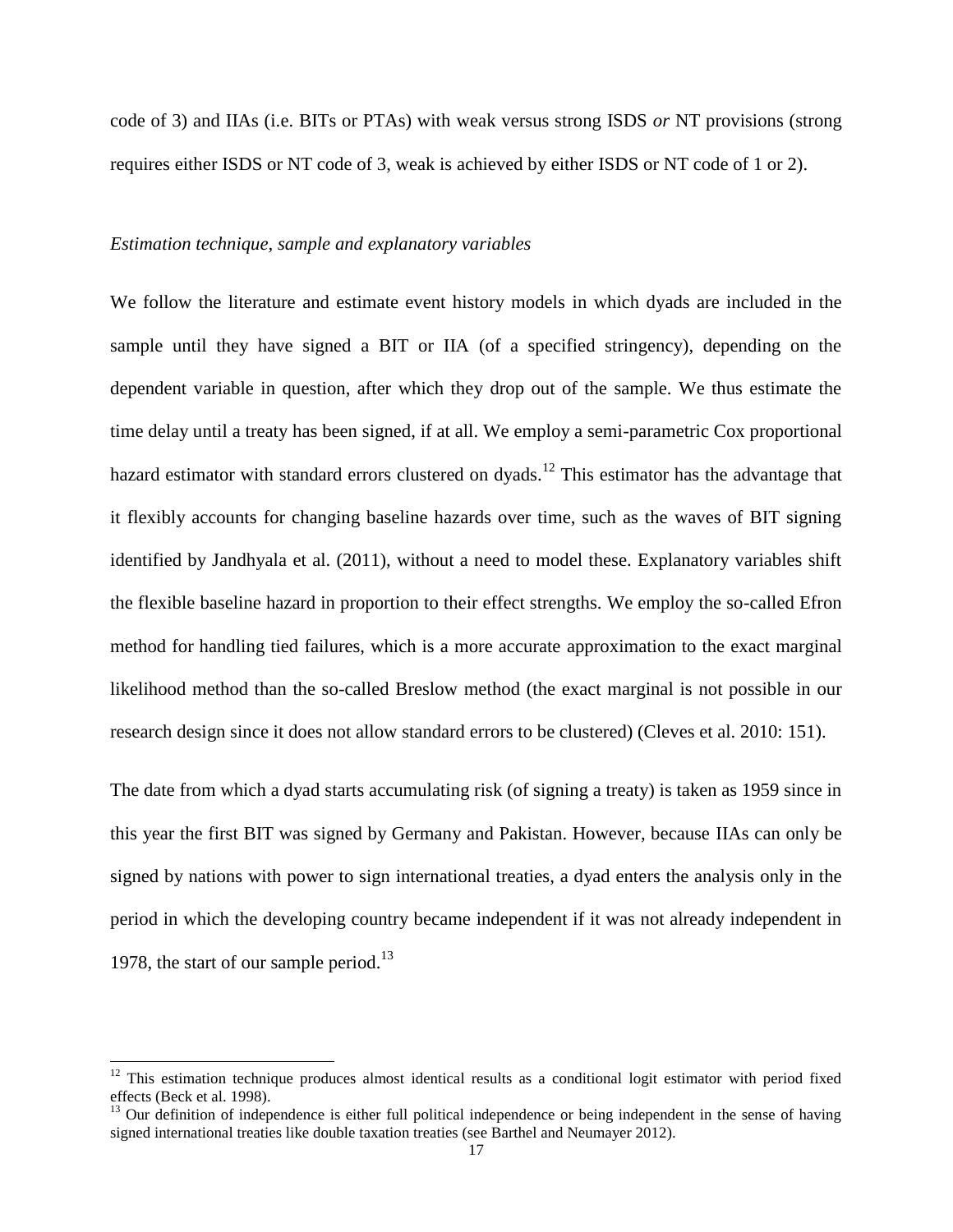code of 3) and IIAs (i.e. BITs or PTAs) with weak versus strong ISDS *or* NT provisions (strong requires either ISDS or NT code of 3, weak is achieved by either ISDS or NT code of 1 or 2).

#### *Estimation technique, sample and explanatory variables*

We follow the literature and estimate event history models in which dyads are included in the sample until they have signed a BIT or IIA (of a specified stringency), depending on the dependent variable in question, after which they drop out of the sample. We thus estimate the time delay until a treaty has been signed, if at all. We employ a semi-parametric Cox proportional hazard estimator with standard errors clustered on dyads.<sup>12</sup> This estimator has the advantage that it flexibly accounts for changing baseline hazards over time, such as the waves of BIT signing identified by Jandhyala et al. (2011), without a need to model these. Explanatory variables shift the flexible baseline hazard in proportion to their effect strengths. We employ the so-called Efron method for handling tied failures, which is a more accurate approximation to the exact marginal likelihood method than the so-called Breslow method (the exact marginal is not possible in our research design since it does not allow standard errors to be clustered) (Cleves et al. 2010: 151).

The date from which a dyad starts accumulating risk (of signing a treaty) is taken as 1959 since in this year the first BIT was signed by Germany and Pakistan. However, because IIAs can only be signed by nations with power to sign international treaties, a dyad enters the analysis only in the period in which the developing country became independent if it was not already independent in 1978, the start of our sample period. $^{13}$ 

 $12$  This estimation technique produces almost identical results as a conditional logit estimator with period fixed effects (Beck et al. 1998).

 $13$  Our definition of independence is either full political independence or being independent in the sense of having signed international treaties like double taxation treaties (see Barthel and Neumayer 2012).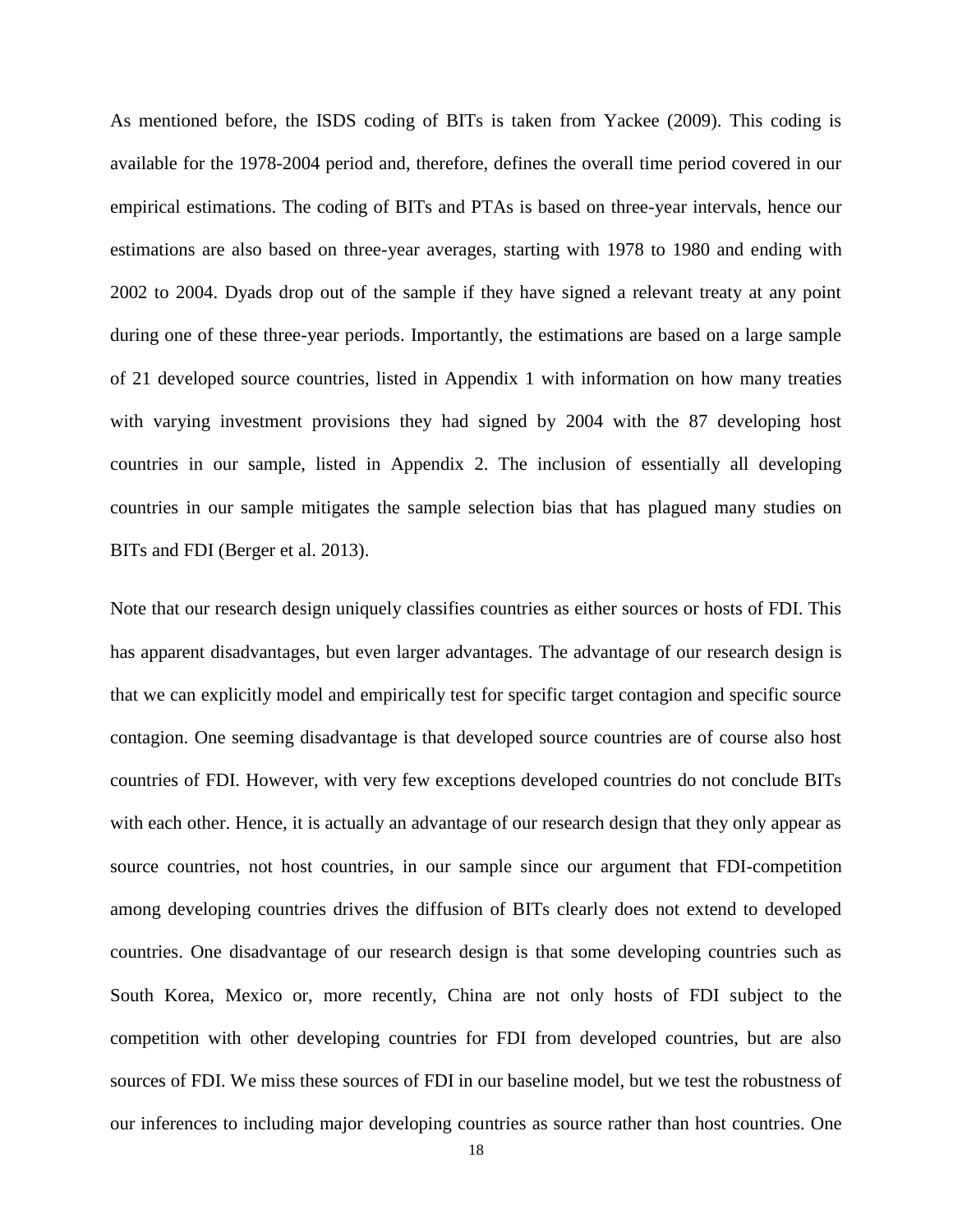As mentioned before, the ISDS coding of BITs is taken from Yackee (2009). This coding is available for the 1978-2004 period and, therefore, defines the overall time period covered in our empirical estimations. The coding of BITs and PTAs is based on three-year intervals, hence our estimations are also based on three-year averages, starting with 1978 to 1980 and ending with 2002 to 2004. Dyads drop out of the sample if they have signed a relevant treaty at any point during one of these three-year periods. Importantly, the estimations are based on a large sample of 21 developed source countries, listed in Appendix 1 with information on how many treaties with varying investment provisions they had signed by 2004 with the 87 developing host countries in our sample, listed in Appendix 2. The inclusion of essentially all developing countries in our sample mitigates the sample selection bias that has plagued many studies on BITs and FDI (Berger et al. 2013).

Note that our research design uniquely classifies countries as either sources or hosts of FDI. This has apparent disadvantages, but even larger advantages. The advantage of our research design is that we can explicitly model and empirically test for specific target contagion and specific source contagion. One seeming disadvantage is that developed source countries are of course also host countries of FDI. However, with very few exceptions developed countries do not conclude BITs with each other. Hence, it is actually an advantage of our research design that they only appear as source countries, not host countries, in our sample since our argument that FDI-competition among developing countries drives the diffusion of BITs clearly does not extend to developed countries. One disadvantage of our research design is that some developing countries such as South Korea, Mexico or, more recently, China are not only hosts of FDI subject to the competition with other developing countries for FDI from developed countries, but are also sources of FDI. We miss these sources of FDI in our baseline model, but we test the robustness of our inferences to including major developing countries as source rather than host countries. One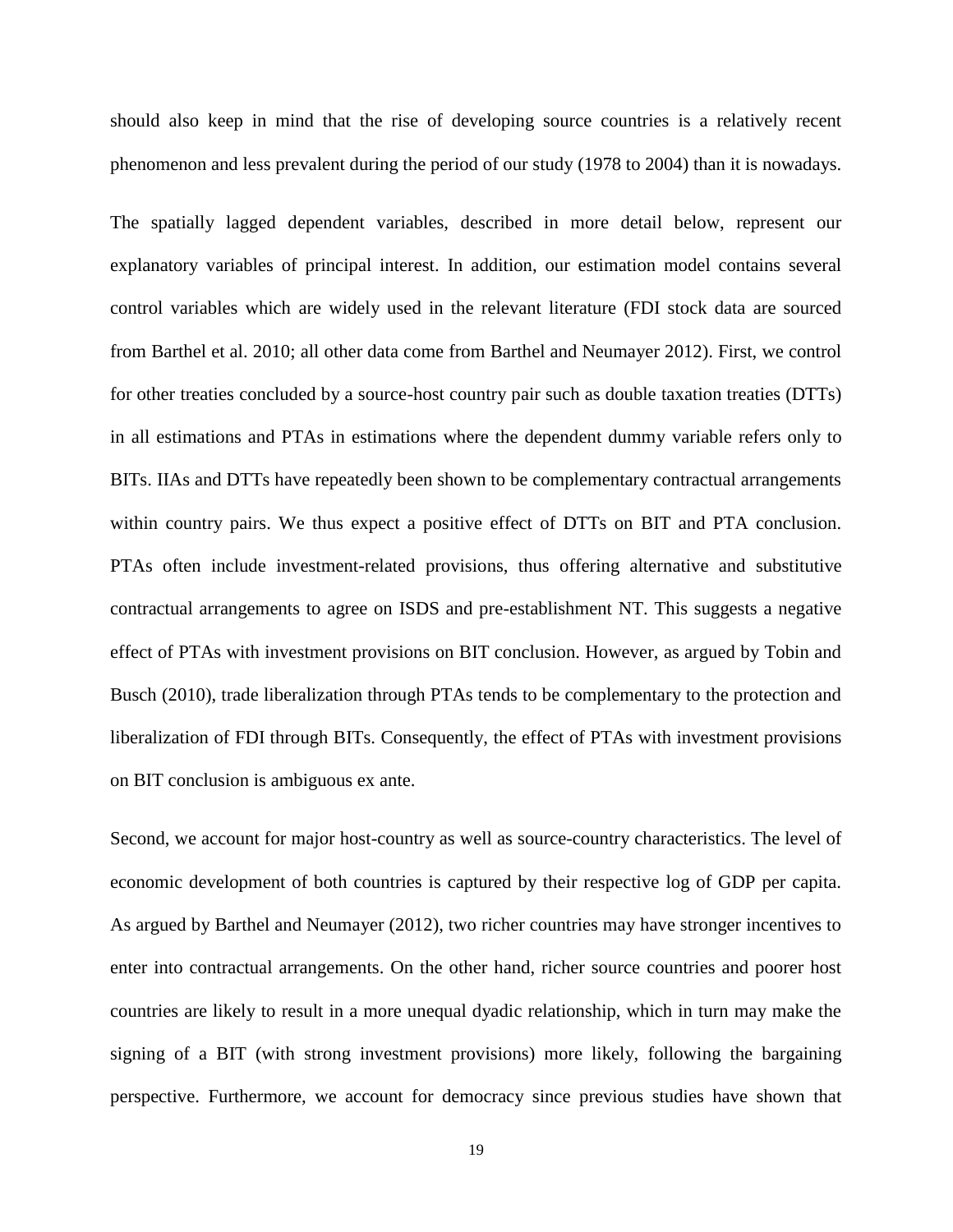should also keep in mind that the rise of developing source countries is a relatively recent phenomenon and less prevalent during the period of our study (1978 to 2004) than it is nowadays.

The spatially lagged dependent variables, described in more detail below, represent our explanatory variables of principal interest. In addition, our estimation model contains several control variables which are widely used in the relevant literature (FDI stock data are sourced from Barthel et al. 2010; all other data come from Barthel and Neumayer 2012). First, we control for other treaties concluded by a source-host country pair such as double taxation treaties (DTTs) in all estimations and PTAs in estimations where the dependent dummy variable refers only to BITs. IIAs and DTTs have repeatedly been shown to be complementary contractual arrangements within country pairs. We thus expect a positive effect of DTTs on BIT and PTA conclusion. PTAs often include investment-related provisions, thus offering alternative and substitutive contractual arrangements to agree on ISDS and pre-establishment NT. This suggests a negative effect of PTAs with investment provisions on BIT conclusion. However, as argued by Tobin and Busch (2010), trade liberalization through PTAs tends to be complementary to the protection and liberalization of FDI through BITs. Consequently, the effect of PTAs with investment provisions on BIT conclusion is ambiguous ex ante.

Second, we account for major host-country as well as source-country characteristics. The level of economic development of both countries is captured by their respective log of GDP per capita. As argued by Barthel and Neumayer (2012), two richer countries may have stronger incentives to enter into contractual arrangements. On the other hand, richer source countries and poorer host countries are likely to result in a more unequal dyadic relationship, which in turn may make the signing of a BIT (with strong investment provisions) more likely, following the bargaining perspective. Furthermore, we account for democracy since previous studies have shown that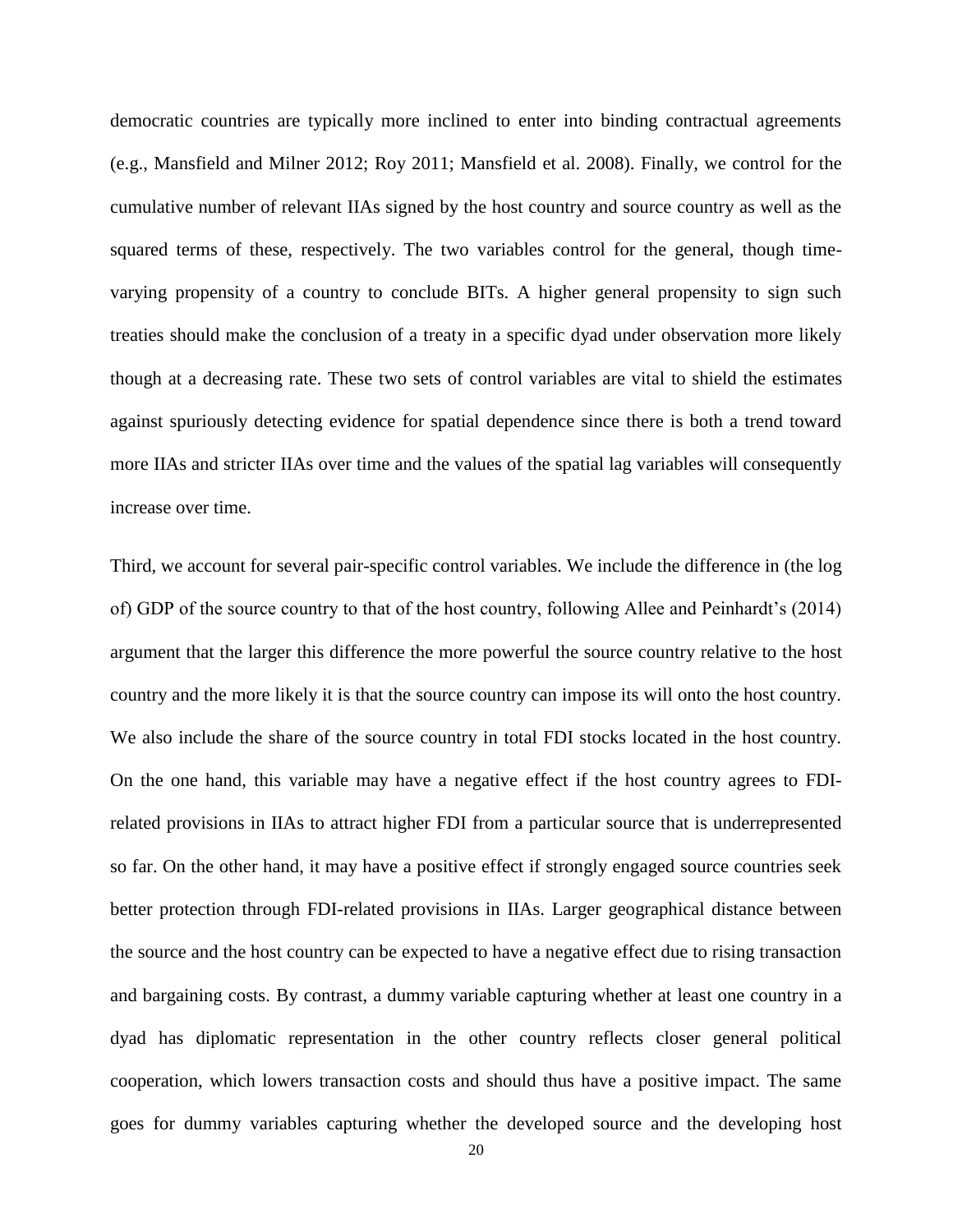democratic countries are typically more inclined to enter into binding contractual agreements (e.g., Mansfield and Milner 2012; Roy 2011; Mansfield et al. 2008). Finally, we control for the cumulative number of relevant IIAs signed by the host country and source country as well as the squared terms of these, respectively. The two variables control for the general, though timevarying propensity of a country to conclude BITs. A higher general propensity to sign such treaties should make the conclusion of a treaty in a specific dyad under observation more likely though at a decreasing rate. These two sets of control variables are vital to shield the estimates against spuriously detecting evidence for spatial dependence since there is both a trend toward more IIAs and stricter IIAs over time and the values of the spatial lag variables will consequently increase over time.

Third, we account for several pair-specific control variables. We include the difference in (the log of) GDP of the source country to that of the host country, following Allee and Peinhardt's (2014) argument that the larger this difference the more powerful the source country relative to the host country and the more likely it is that the source country can impose its will onto the host country. We also include the share of the source country in total FDI stocks located in the host country. On the one hand, this variable may have a negative effect if the host country agrees to FDIrelated provisions in IIAs to attract higher FDI from a particular source that is underrepresented so far. On the other hand, it may have a positive effect if strongly engaged source countries seek better protection through FDI-related provisions in IIAs. Larger geographical distance between the source and the host country can be expected to have a negative effect due to rising transaction and bargaining costs. By contrast, a dummy variable capturing whether at least one country in a dyad has diplomatic representation in the other country reflects closer general political cooperation, which lowers transaction costs and should thus have a positive impact. The same goes for dummy variables capturing whether the developed source and the developing host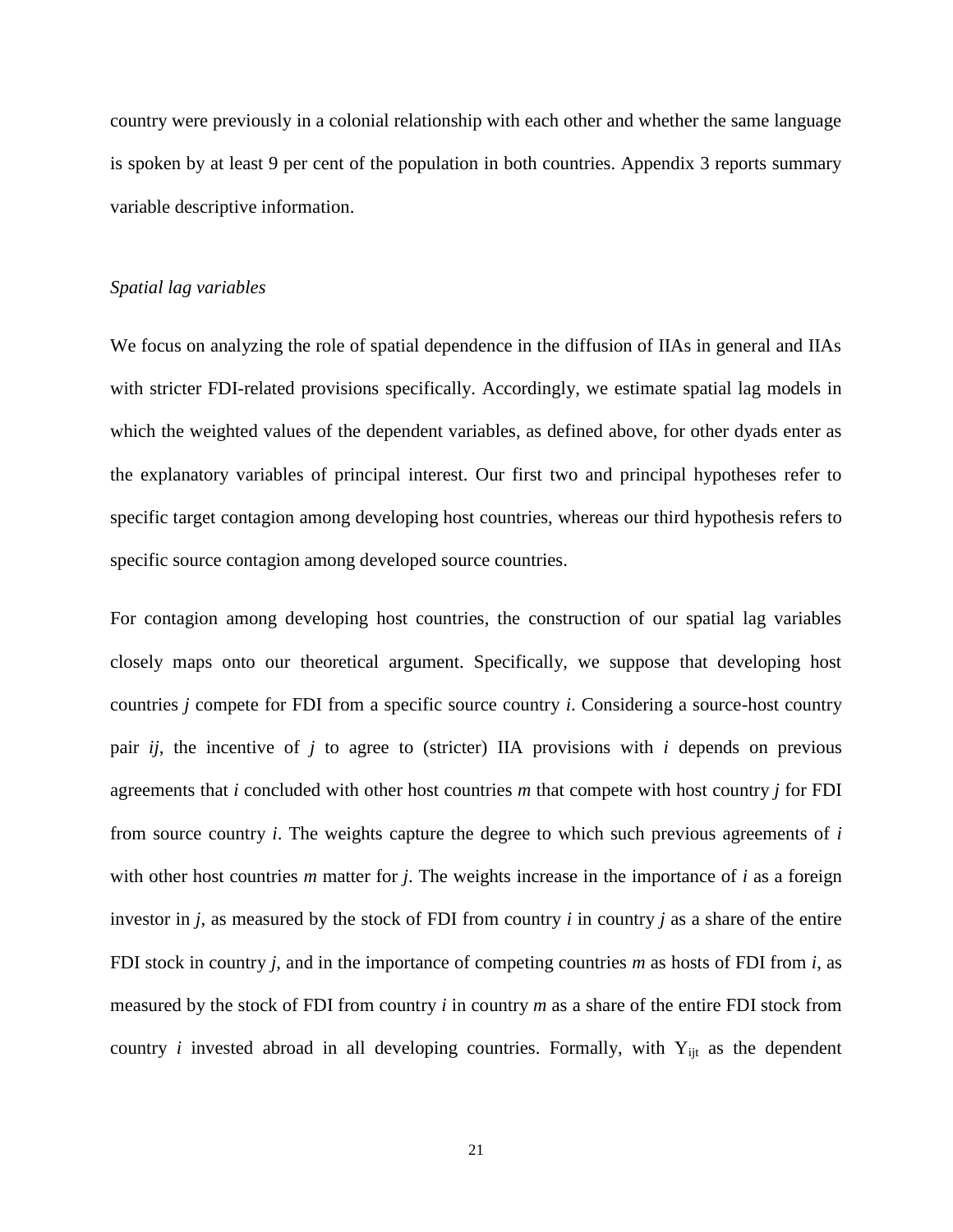country were previously in a colonial relationship with each other and whether the same language is spoken by at least 9 per cent of the population in both countries. Appendix 3 reports summary variable descriptive information.

#### *Spatial lag variables*

We focus on analyzing the role of spatial dependence in the diffusion of IIAs in general and IIAs with stricter FDI-related provisions specifically. Accordingly, we estimate spatial lag models in which the weighted values of the dependent variables, as defined above, for other dyads enter as the explanatory variables of principal interest. Our first two and principal hypotheses refer to specific target contagion among developing host countries, whereas our third hypothesis refers to specific source contagion among developed source countries.

For contagion among developing host countries, the construction of our spatial lag variables closely maps onto our theoretical argument. Specifically, we suppose that developing host countries *j* compete for FDI from a specific source country *i*. Considering a source-host country pair *ij*, the incentive of *j* to agree to (stricter) IIA provisions with *i* depends on previous agreements that *i* concluded with other host countries *m* that compete with host country *j* for FDI from source country *i*. The weights capture the degree to which such previous agreements of *i* with other host countries *m* matter for *j*. The weights increase in the importance of *i* as a foreign investor in *j*, as measured by the stock of FDI from country *i* in country *j* as a share of the entire FDI stock in country *j*, and in the importance of competing countries *m* as hosts of FDI from *i*, as measured by the stock of FDI from country *i* in country *m* as a share of the entire FDI stock from country *i* invested abroad in all developing countries. Formally, with Y<sub>ijt</sub> as the dependent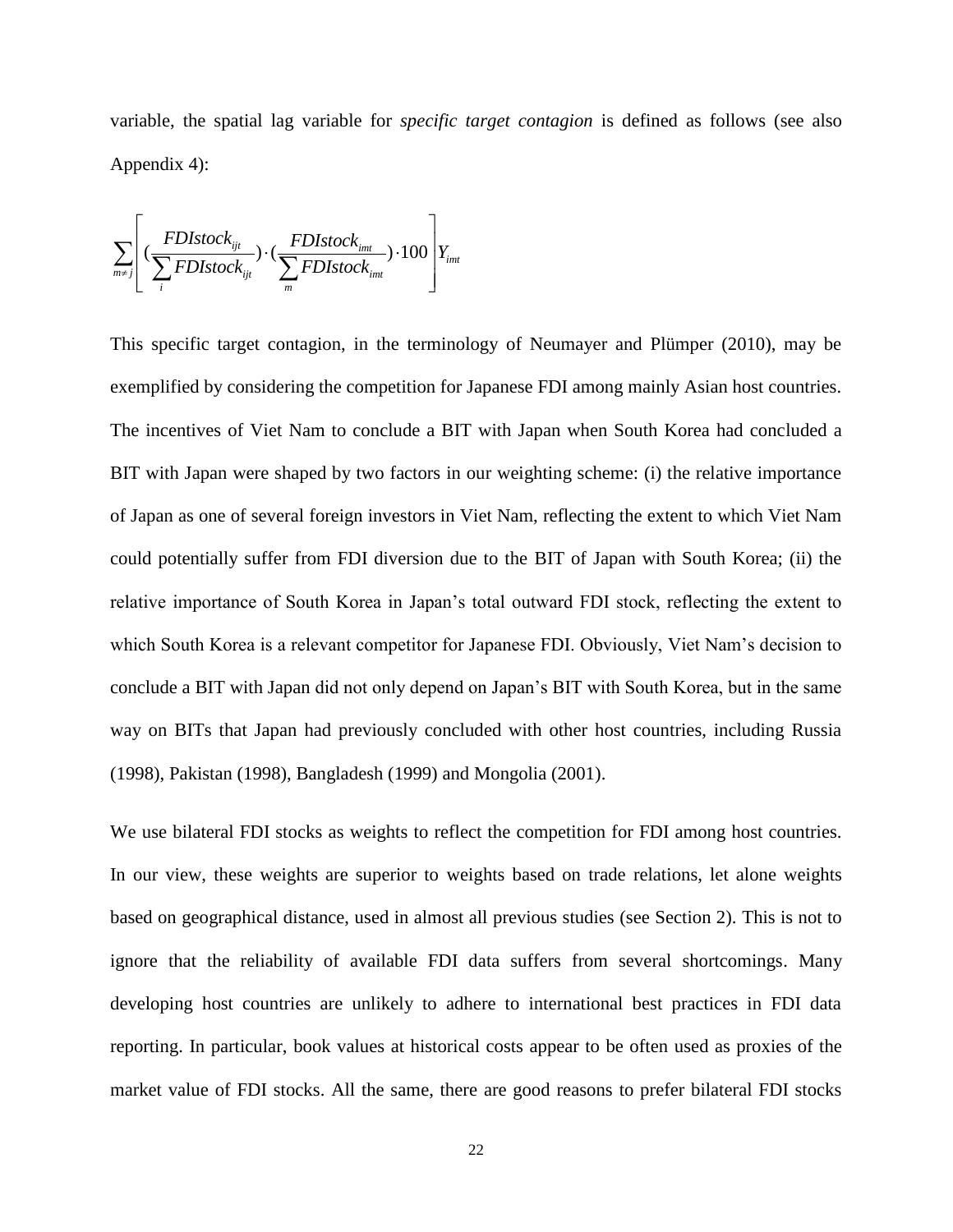variable, the spatial lag variable for *specific target contagion* is defined as follows (see also Appendix 4):

$$
\sum_{m \neq j} \left[ \left( \frac{FDIstock_{ijt}}{\sum_{i} FDIstock_{ijt}} \right) \cdot \left( \frac{FDIstock_{imt}}{\sum_{m} FDIstock_{imt}} \right) \cdot 100 \right] Y_{imt}
$$

This specific target contagion, in the terminology of Neumayer and Plümper (2010), may be exemplified by considering the competition for Japanese FDI among mainly Asian host countries. The incentives of Viet Nam to conclude a BIT with Japan when South Korea had concluded a BIT with Japan were shaped by two factors in our weighting scheme: (i) the relative importance of Japan as one of several foreign investors in Viet Nam, reflecting the extent to which Viet Nam could potentially suffer from FDI diversion due to the BIT of Japan with South Korea; (ii) the relative importance of South Korea in Japan's total outward FDI stock, reflecting the extent to which South Korea is a relevant competitor for Japanese FDI. Obviously, Viet Nam's decision to conclude a BIT with Japan did not only depend on Japan's BIT with South Korea, but in the same way on BITs that Japan had previously concluded with other host countries, including Russia (1998), Pakistan (1998), Bangladesh (1999) and Mongolia (2001).

We use bilateral FDI stocks as weights to reflect the competition for FDI among host countries. In our view, these weights are superior to weights based on trade relations, let alone weights based on geographical distance, used in almost all previous studies (see Section 2). This is not to ignore that the reliability of available FDI data suffers from several shortcomings. Many developing host countries are unlikely to adhere to international best practices in FDI data reporting. In particular, book values at historical costs appear to be often used as proxies of the market value of FDI stocks. All the same, there are good reasons to prefer bilateral FDI stocks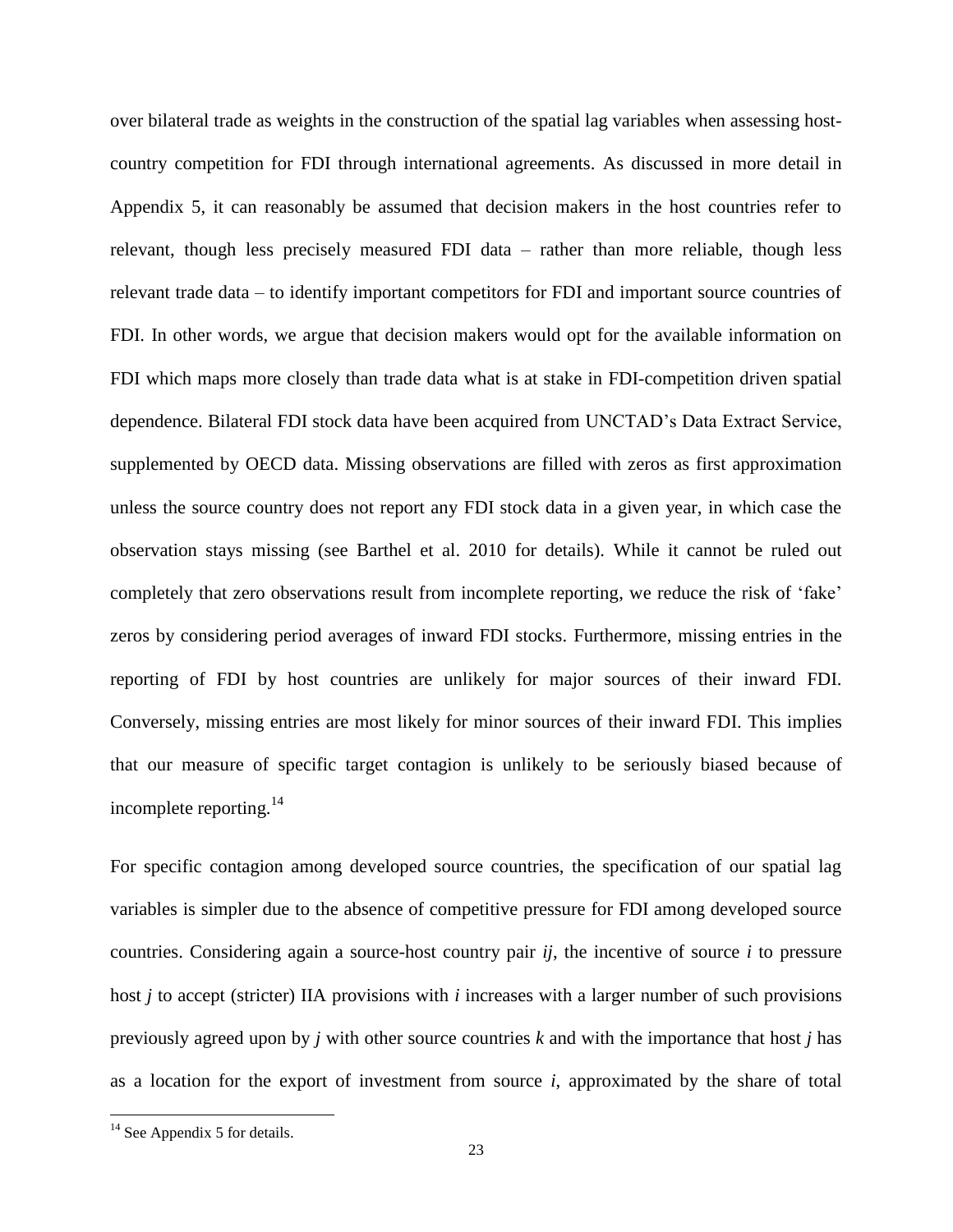over bilateral trade as weights in the construction of the spatial lag variables when assessing hostcountry competition for FDI through international agreements. As discussed in more detail in Appendix 5, it can reasonably be assumed that decision makers in the host countries refer to relevant, though less precisely measured FDI data – rather than more reliable, though less relevant trade data – to identify important competitors for FDI and important source countries of FDI. In other words, we argue that decision makers would opt for the available information on FDI which maps more closely than trade data what is at stake in FDI-competition driven spatial dependence. Bilateral FDI stock data have been acquired from UNCTAD's Data Extract Service, supplemented by OECD data. Missing observations are filled with zeros as first approximation unless the source country does not report any FDI stock data in a given year, in which case the observation stays missing (see Barthel et al. 2010 for details). While it cannot be ruled out completely that zero observations result from incomplete reporting, we reduce the risk of 'fake' zeros by considering period averages of inward FDI stocks. Furthermore, missing entries in the reporting of FDI by host countries are unlikely for major sources of their inward FDI. Conversely, missing entries are most likely for minor sources of their inward FDI. This implies that our measure of specific target contagion is unlikely to be seriously biased because of incomplete reporting.<sup>14</sup>

For specific contagion among developed source countries, the specification of our spatial lag variables is simpler due to the absence of competitive pressure for FDI among developed source countries. Considering again a source-host country pair *ij*, the incentive of source *i* to pressure host *j* to accept (stricter) IIA provisions with *i* increases with a larger number of such provisions previously agreed upon by *j* with other source countries *k* and with the importance that host *j* has as a location for the export of investment from source *i*, approximated by the share of total

 $\overline{a}$ 

 $14$  See Appendix 5 for details.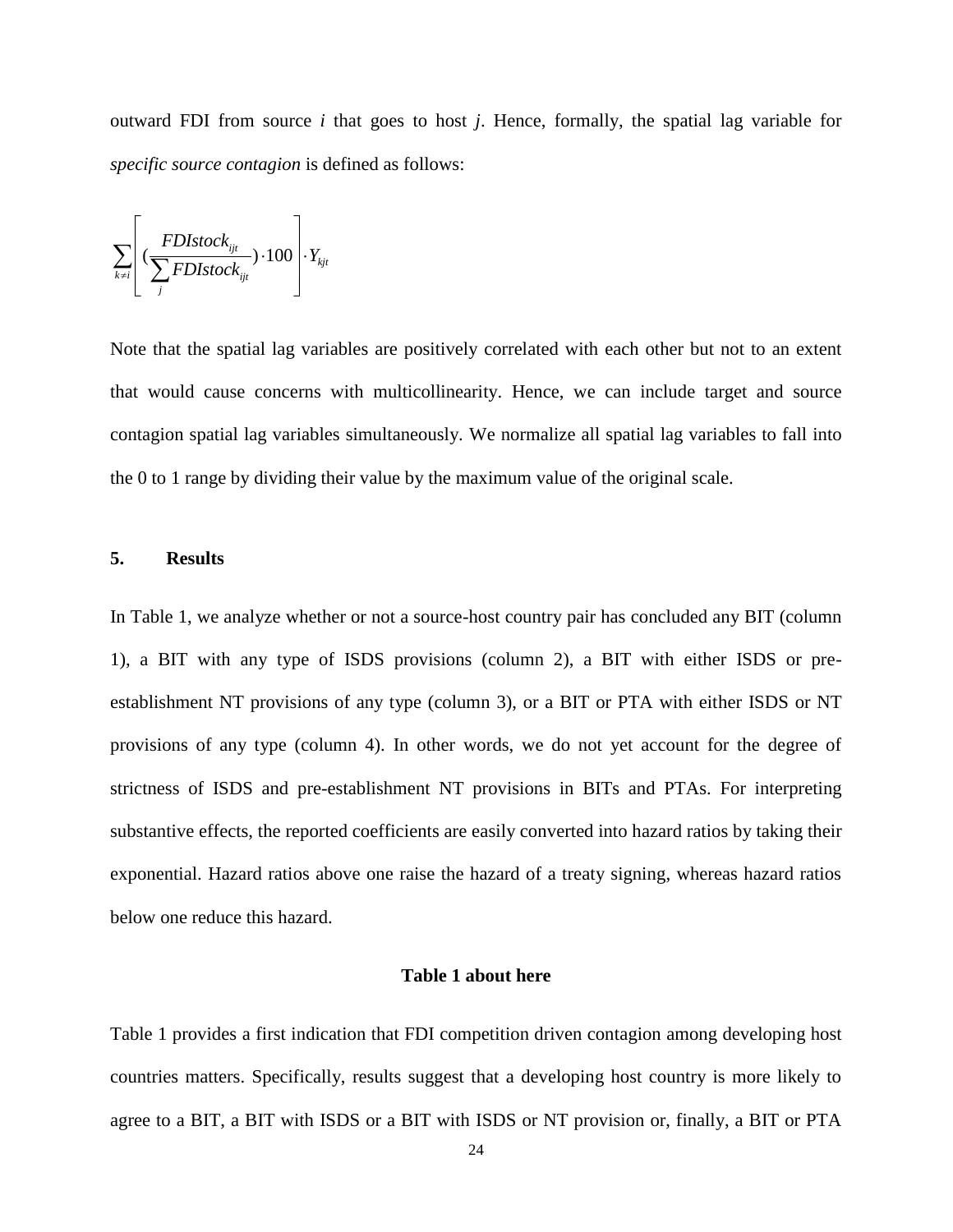outward FDI from source *i* that goes to host *j*. Hence, formally, the spatial lag variable for *specific source contagion* is defined as follows:

$$
\sum_{k \neq i} \left[ \left( \frac{FDIstock_{ijt}}{\sum_{j} FDIstock_{ijt}} \right) \cdot 100 \right] \cdot Y_{kjt}
$$

Note that the spatial lag variables are positively correlated with each other but not to an extent that would cause concerns with multicollinearity. Hence, we can include target and source contagion spatial lag variables simultaneously. We normalize all spatial lag variables to fall into the 0 to 1 range by dividing their value by the maximum value of the original scale.

#### **5. Results**

In Table 1, we analyze whether or not a source-host country pair has concluded any BIT (column 1), a BIT with any type of ISDS provisions (column 2), a BIT with either ISDS or preestablishment NT provisions of any type (column 3), or a BIT or PTA with either ISDS or NT provisions of any type (column 4). In other words, we do not yet account for the degree of strictness of ISDS and pre-establishment NT provisions in BITs and PTAs. For interpreting substantive effects, the reported coefficients are easily converted into hazard ratios by taking their exponential. Hazard ratios above one raise the hazard of a treaty signing, whereas hazard ratios below one reduce this hazard.

#### **Table 1 about here**

Table 1 provides a first indication that FDI competition driven contagion among developing host countries matters. Specifically, results suggest that a developing host country is more likely to agree to a BIT, a BIT with ISDS or a BIT with ISDS or NT provision or, finally, a BIT or PTA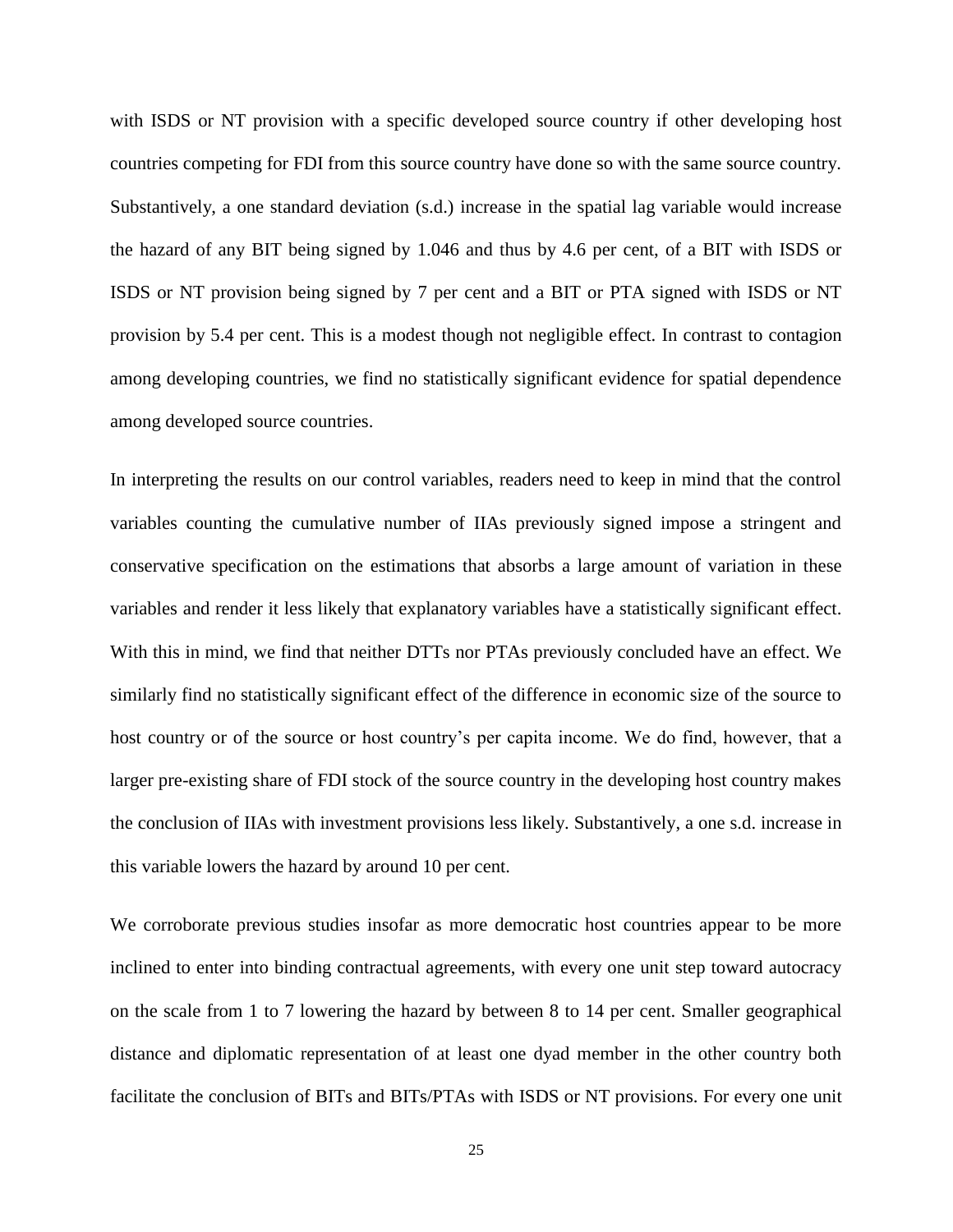with ISDS or NT provision with a specific developed source country if other developing host countries competing for FDI from this source country have done so with the same source country. Substantively, a one standard deviation (s.d.) increase in the spatial lag variable would increase the hazard of any BIT being signed by 1.046 and thus by 4.6 per cent, of a BIT with ISDS or ISDS or NT provision being signed by 7 per cent and a BIT or PTA signed with ISDS or NT provision by 5.4 per cent. This is a modest though not negligible effect. In contrast to contagion among developing countries, we find no statistically significant evidence for spatial dependence among developed source countries.

In interpreting the results on our control variables, readers need to keep in mind that the control variables counting the cumulative number of IIAs previously signed impose a stringent and conservative specification on the estimations that absorbs a large amount of variation in these variables and render it less likely that explanatory variables have a statistically significant effect. With this in mind, we find that neither DTTs nor PTAs previously concluded have an effect. We similarly find no statistically significant effect of the difference in economic size of the source to host country or of the source or host country's per capita income. We do find, however, that a larger pre-existing share of FDI stock of the source country in the developing host country makes the conclusion of IIAs with investment provisions less likely. Substantively, a one s.d. increase in this variable lowers the hazard by around 10 per cent.

We corroborate previous studies insofar as more democratic host countries appear to be more inclined to enter into binding contractual agreements, with every one unit step toward autocracy on the scale from 1 to 7 lowering the hazard by between 8 to 14 per cent. Smaller geographical distance and diplomatic representation of at least one dyad member in the other country both facilitate the conclusion of BITs and BITs/PTAs with ISDS or NT provisions. For every one unit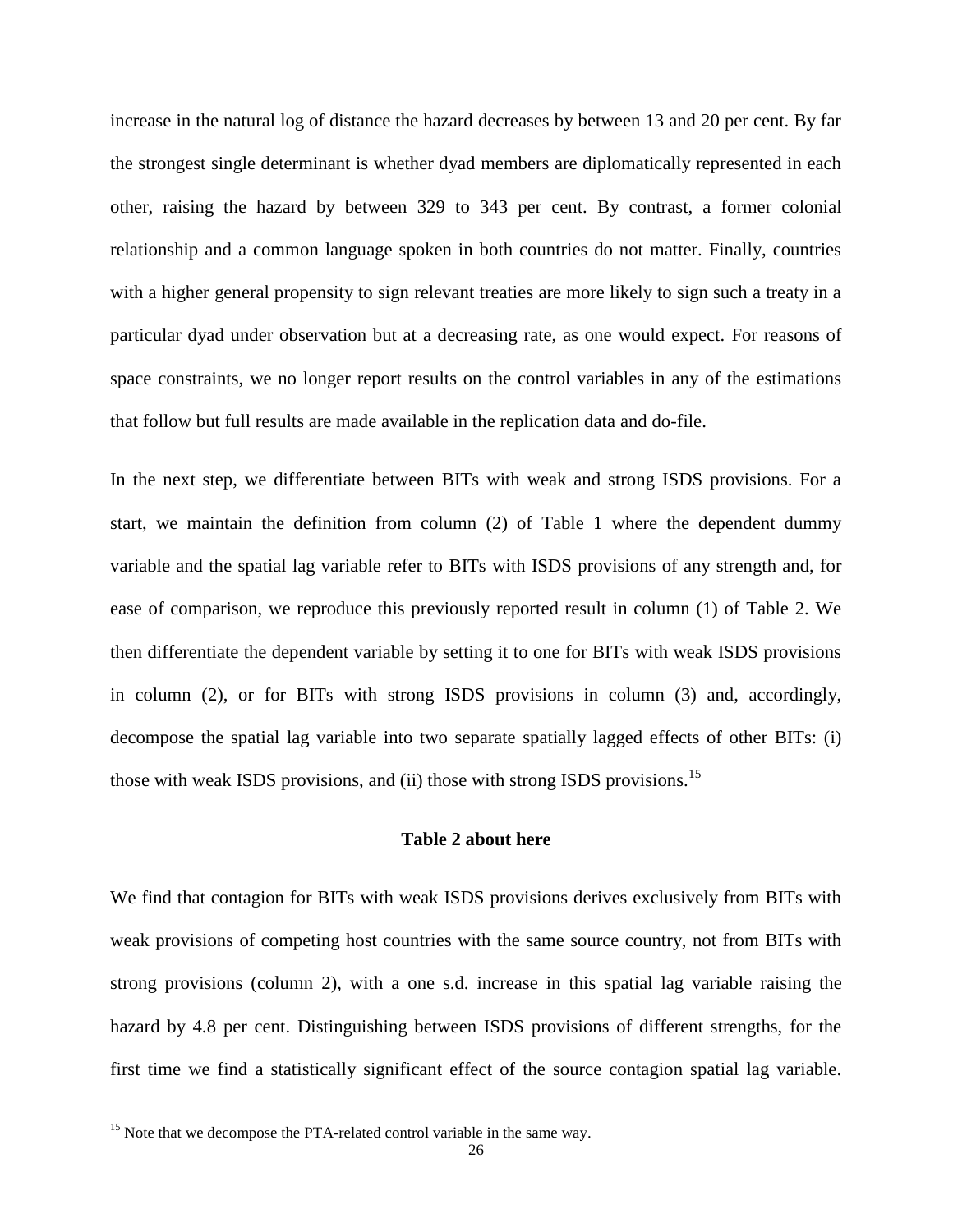increase in the natural log of distance the hazard decreases by between 13 and 20 per cent. By far the strongest single determinant is whether dyad members are diplomatically represented in each other, raising the hazard by between 329 to 343 per cent. By contrast, a former colonial relationship and a common language spoken in both countries do not matter. Finally, countries with a higher general propensity to sign relevant treaties are more likely to sign such a treaty in a particular dyad under observation but at a decreasing rate, as one would expect. For reasons of space constraints, we no longer report results on the control variables in any of the estimations that follow but full results are made available in the replication data and do-file.

In the next step, we differentiate between BITs with weak and strong ISDS provisions. For a start, we maintain the definition from column (2) of Table 1 where the dependent dummy variable and the spatial lag variable refer to BITs with ISDS provisions of any strength and, for ease of comparison, we reproduce this previously reported result in column (1) of Table 2. We then differentiate the dependent variable by setting it to one for BITs with weak ISDS provisions in column (2), or for BITs with strong ISDS provisions in column (3) and, accordingly, decompose the spatial lag variable into two separate spatially lagged effects of other BITs: (i) those with weak ISDS provisions, and (ii) those with strong ISDS provisions.<sup>15</sup>

#### **Table 2 about here**

We find that contagion for BITs with weak ISDS provisions derives exclusively from BITs with weak provisions of competing host countries with the same source country, not from BITs with strong provisions (column 2), with a one s.d. increase in this spatial lag variable raising the hazard by 4.8 per cent. Distinguishing between ISDS provisions of different strengths, for the first time we find a statistically significant effect of the source contagion spatial lag variable.

 $\overline{a}$ 

 $15$  Note that we decompose the PTA-related control variable in the same way.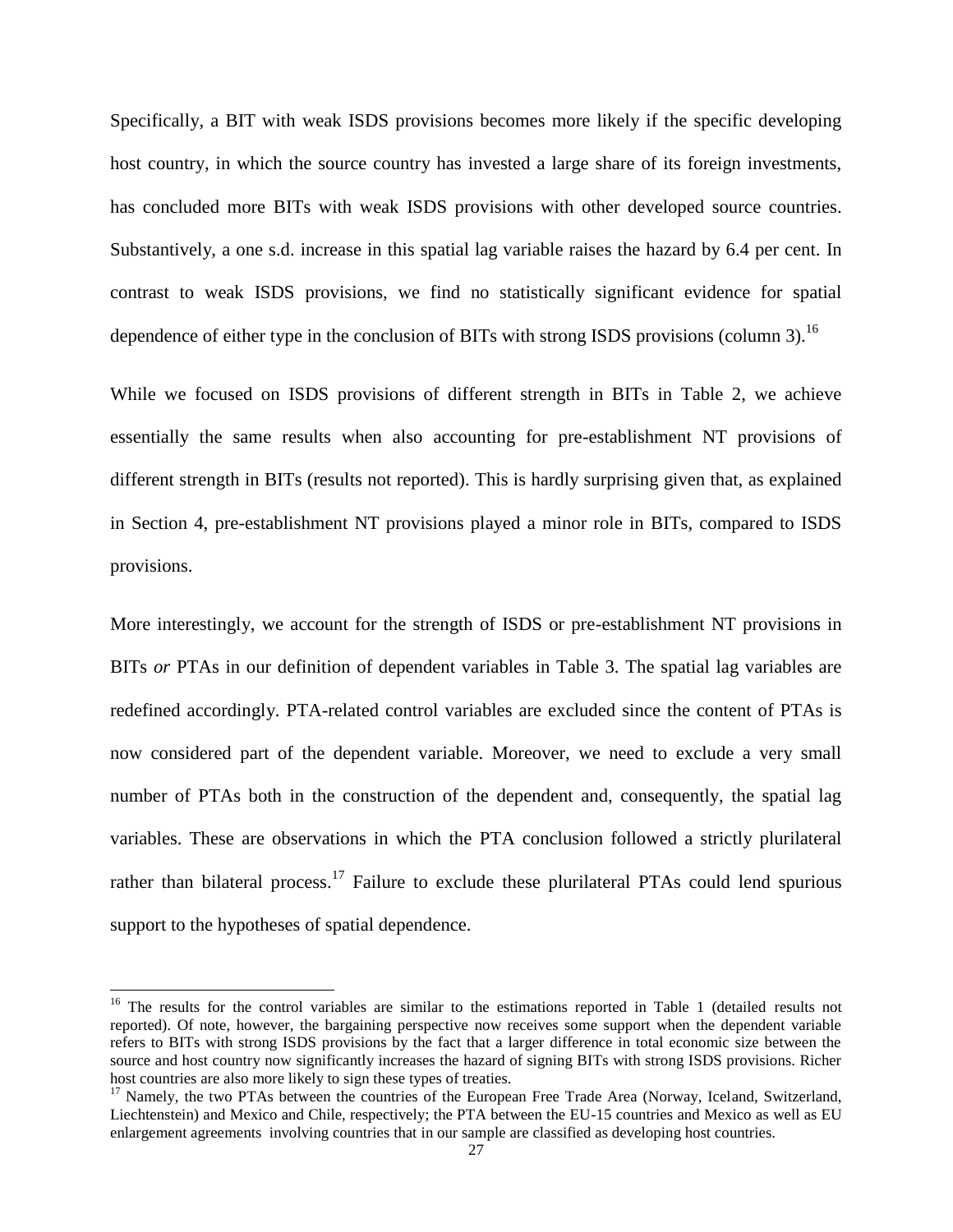Specifically, a BIT with weak ISDS provisions becomes more likely if the specific developing host country, in which the source country has invested a large share of its foreign investments, has concluded more BITs with weak ISDS provisions with other developed source countries. Substantively, a one s.d. increase in this spatial lag variable raises the hazard by 6.4 per cent. In contrast to weak ISDS provisions, we find no statistically significant evidence for spatial dependence of either type in the conclusion of BITs with strong ISDS provisions (column 3).<sup>16</sup>

While we focused on ISDS provisions of different strength in BITs in Table 2, we achieve essentially the same results when also accounting for pre-establishment NT provisions of different strength in BITs (results not reported). This is hardly surprising given that, as explained in Section 4, pre-establishment NT provisions played a minor role in BITs, compared to ISDS provisions.

More interestingly, we account for the strength of ISDS or pre-establishment NT provisions in BITs *or* PTAs in our definition of dependent variables in Table 3. The spatial lag variables are redefined accordingly. PTA-related control variables are excluded since the content of PTAs is now considered part of the dependent variable. Moreover, we need to exclude a very small number of PTAs both in the construction of the dependent and, consequently, the spatial lag variables. These are observations in which the PTA conclusion followed a strictly plurilateral rather than bilateral process.<sup>17</sup> Failure to exclude these plurilateral PTAs could lend spurious support to the hypotheses of spatial dependence.

<sup>&</sup>lt;sup>16</sup> The results for the control variables are similar to the estimations reported in Table 1 (detailed results not reported). Of note, however, the bargaining perspective now receives some support when the dependent variable refers to BITs with strong ISDS provisions by the fact that a larger difference in total economic size between the source and host country now significantly increases the hazard of signing BITs with strong ISDS provisions. Richer host countries are also more likely to sign these types of treaties.

<sup>&</sup>lt;sup>17</sup> Namely, the two PTAs between the countries of the European Free Trade Area (Norway, Iceland, Switzerland, Liechtenstein) and Mexico and Chile, respectively; the PTA between the EU-15 countries and Mexico as well as EU enlargement agreements involving countries that in our sample are classified as developing host countries.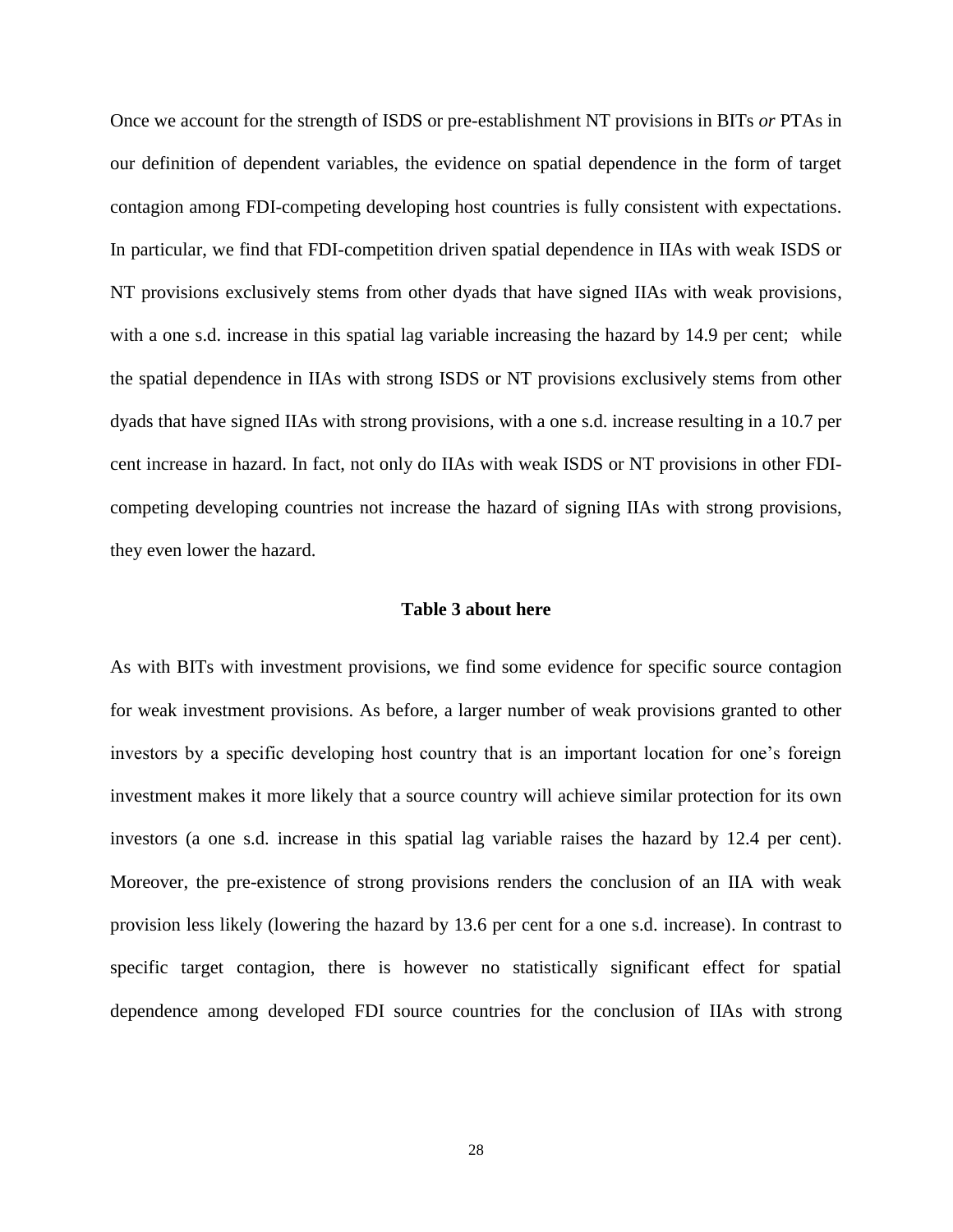Once we account for the strength of ISDS or pre-establishment NT provisions in BITs *or* PTAs in our definition of dependent variables, the evidence on spatial dependence in the form of target contagion among FDI-competing developing host countries is fully consistent with expectations. In particular, we find that FDI-competition driven spatial dependence in IIAs with weak ISDS or NT provisions exclusively stems from other dyads that have signed IIAs with weak provisions, with a one s.d. increase in this spatial lag variable increasing the hazard by 14.9 per cent; while the spatial dependence in IIAs with strong ISDS or NT provisions exclusively stems from other dyads that have signed IIAs with strong provisions, with a one s.d. increase resulting in a 10.7 per cent increase in hazard. In fact, not only do IIAs with weak ISDS or NT provisions in other FDIcompeting developing countries not increase the hazard of signing IIAs with strong provisions, they even lower the hazard.

#### **Table 3 about here**

As with BITs with investment provisions, we find some evidence for specific source contagion for weak investment provisions. As before, a larger number of weak provisions granted to other investors by a specific developing host country that is an important location for one's foreign investment makes it more likely that a source country will achieve similar protection for its own investors (a one s.d. increase in this spatial lag variable raises the hazard by 12.4 per cent). Moreover, the pre-existence of strong provisions renders the conclusion of an IIA with weak provision less likely (lowering the hazard by 13.6 per cent for a one s.d. increase). In contrast to specific target contagion, there is however no statistically significant effect for spatial dependence among developed FDI source countries for the conclusion of IIAs with strong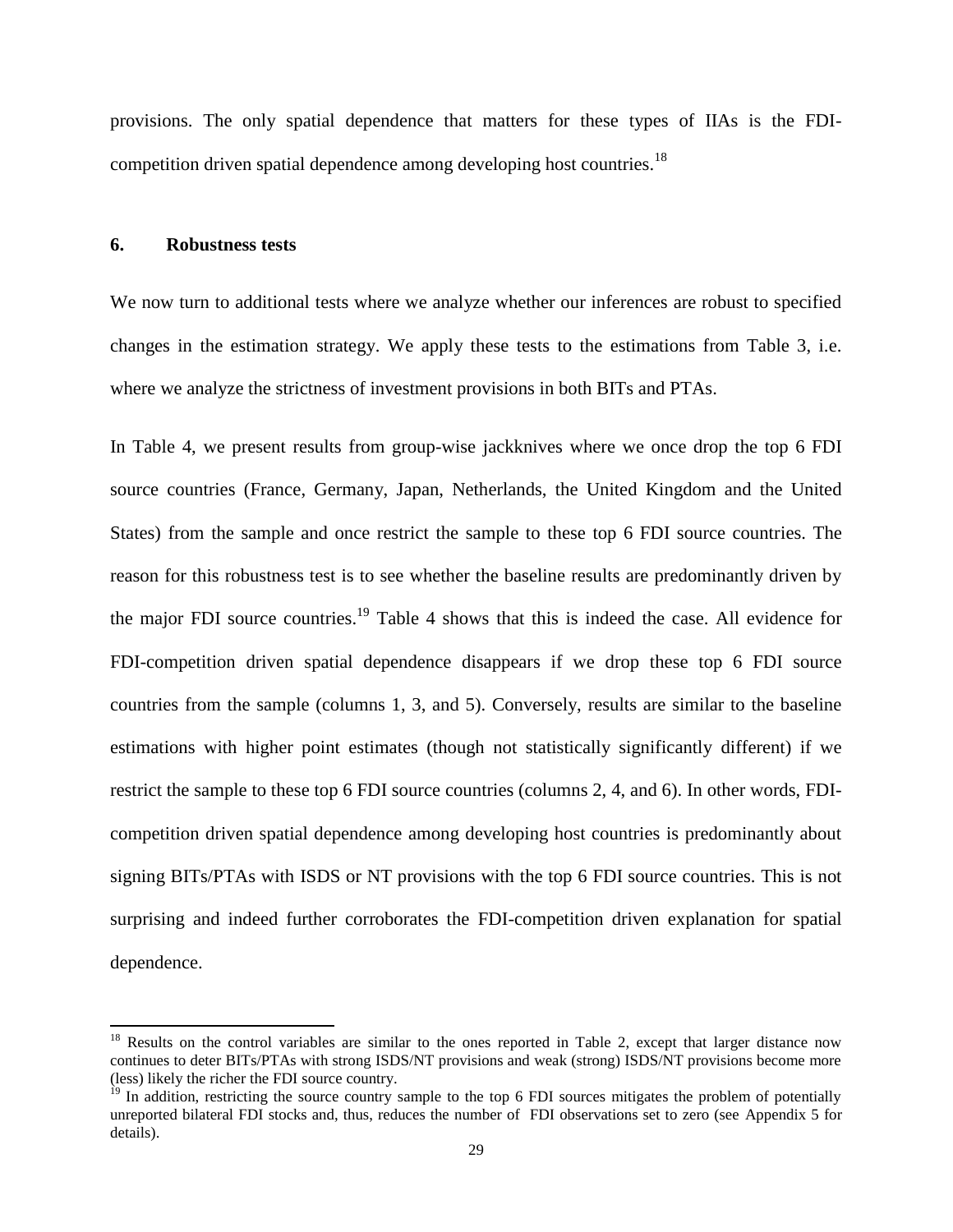provisions. The only spatial dependence that matters for these types of IIAs is the FDIcompetition driven spatial dependence among developing host countries.<sup>18</sup>

#### **6. Robustness tests**

 $\overline{a}$ 

We now turn to additional tests where we analyze whether our inferences are robust to specified changes in the estimation strategy. We apply these tests to the estimations from Table 3, i.e. where we analyze the strictness of investment provisions in both BITs and PTAs.

In Table 4, we present results from group-wise jackknives where we once drop the top 6 FDI source countries (France, Germany, Japan, Netherlands, the United Kingdom and the United States) from the sample and once restrict the sample to these top 6 FDI source countries. The reason for this robustness test is to see whether the baseline results are predominantly driven by the major FDI source countries.<sup>19</sup> Table 4 shows that this is indeed the case. All evidence for FDI-competition driven spatial dependence disappears if we drop these top 6 FDI source countries from the sample (columns 1, 3, and 5). Conversely, results are similar to the baseline estimations with higher point estimates (though not statistically significantly different) if we restrict the sample to these top 6 FDI source countries (columns 2, 4, and 6). In other words, FDIcompetition driven spatial dependence among developing host countries is predominantly about signing BITs/PTAs with ISDS or NT provisions with the top 6 FDI source countries. This is not surprising and indeed further corroborates the FDI-competition driven explanation for spatial dependence.

 $18$  Results on the control variables are similar to the ones reported in Table 2, except that larger distance now continues to deter BITs/PTAs with strong ISDS/NT provisions and weak (strong) ISDS/NT provisions become more (less) likely the richer the FDI source country.

 $19$  In addition, restricting the source country sample to the top 6 FDI sources mitigates the problem of potentially unreported bilateral FDI stocks and, thus, reduces the number of FDI observations set to zero (see Appendix 5 for details).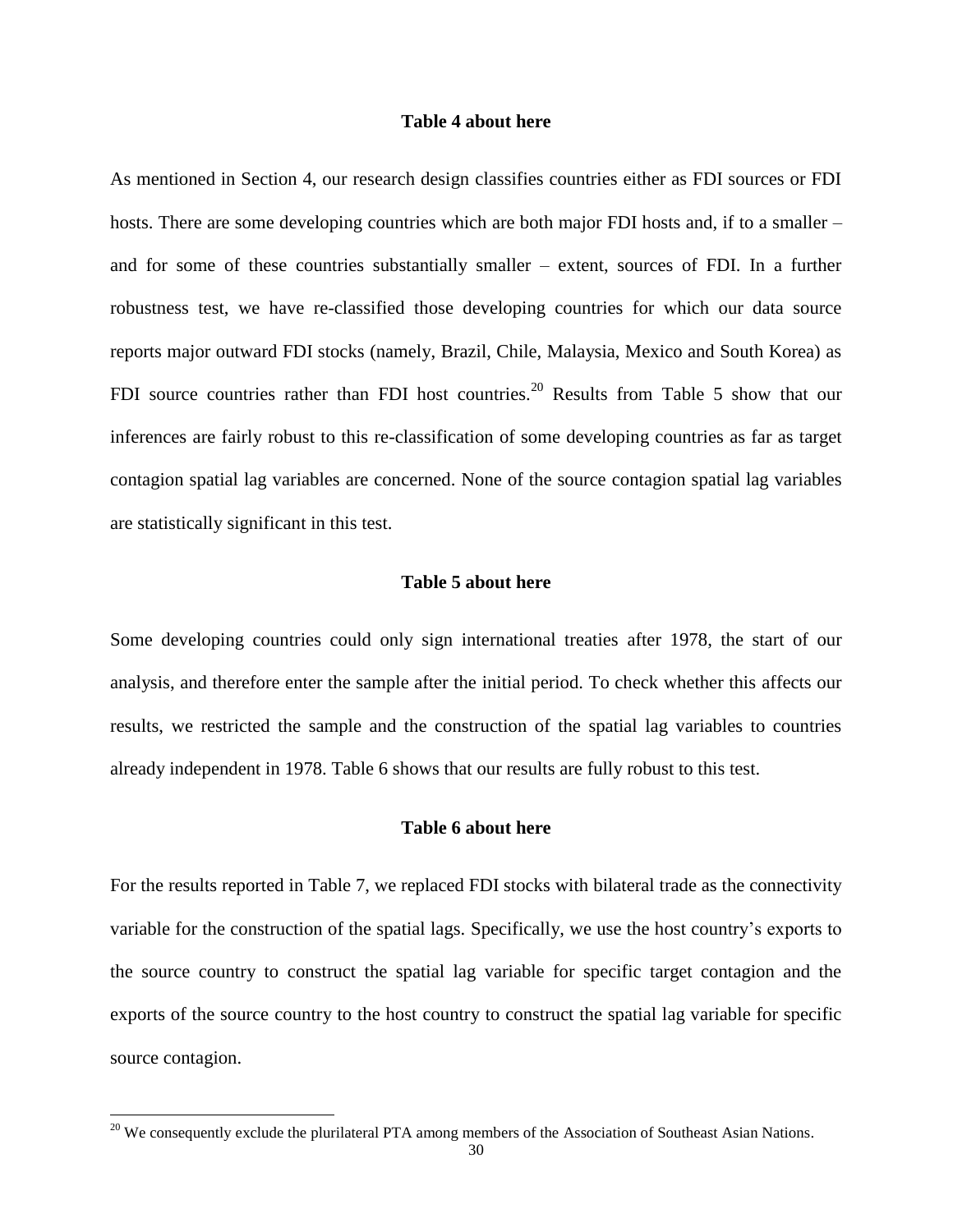#### **Table 4 about here**

As mentioned in Section 4, our research design classifies countries either as FDI sources or FDI hosts. There are some developing countries which are both major FDI hosts and, if to a smaller – and for some of these countries substantially smaller – extent, sources of FDI. In a further robustness test, we have re-classified those developing countries for which our data source reports major outward FDI stocks (namely, Brazil, Chile, Malaysia, Mexico and South Korea) as FDI source countries rather than FDI host countries.<sup>20</sup> Results from Table 5 show that our inferences are fairly robust to this re-classification of some developing countries as far as target contagion spatial lag variables are concerned. None of the source contagion spatial lag variables are statistically significant in this test.

#### **Table 5 about here**

Some developing countries could only sign international treaties after 1978, the start of our analysis, and therefore enter the sample after the initial period. To check whether this affects our results, we restricted the sample and the construction of the spatial lag variables to countries already independent in 1978. Table 6 shows that our results are fully robust to this test.

#### **Table 6 about here**

For the results reported in Table 7, we replaced FDI stocks with bilateral trade as the connectivity variable for the construction of the spatial lags. Specifically, we use the host country's exports to the source country to construct the spatial lag variable for specific target contagion and the exports of the source country to the host country to construct the spatial lag variable for specific source contagion.

 $\overline{a}$ 

 $^{20}$  We consequently exclude the plurilateral PTA among members of the Association of Southeast Asian Nations.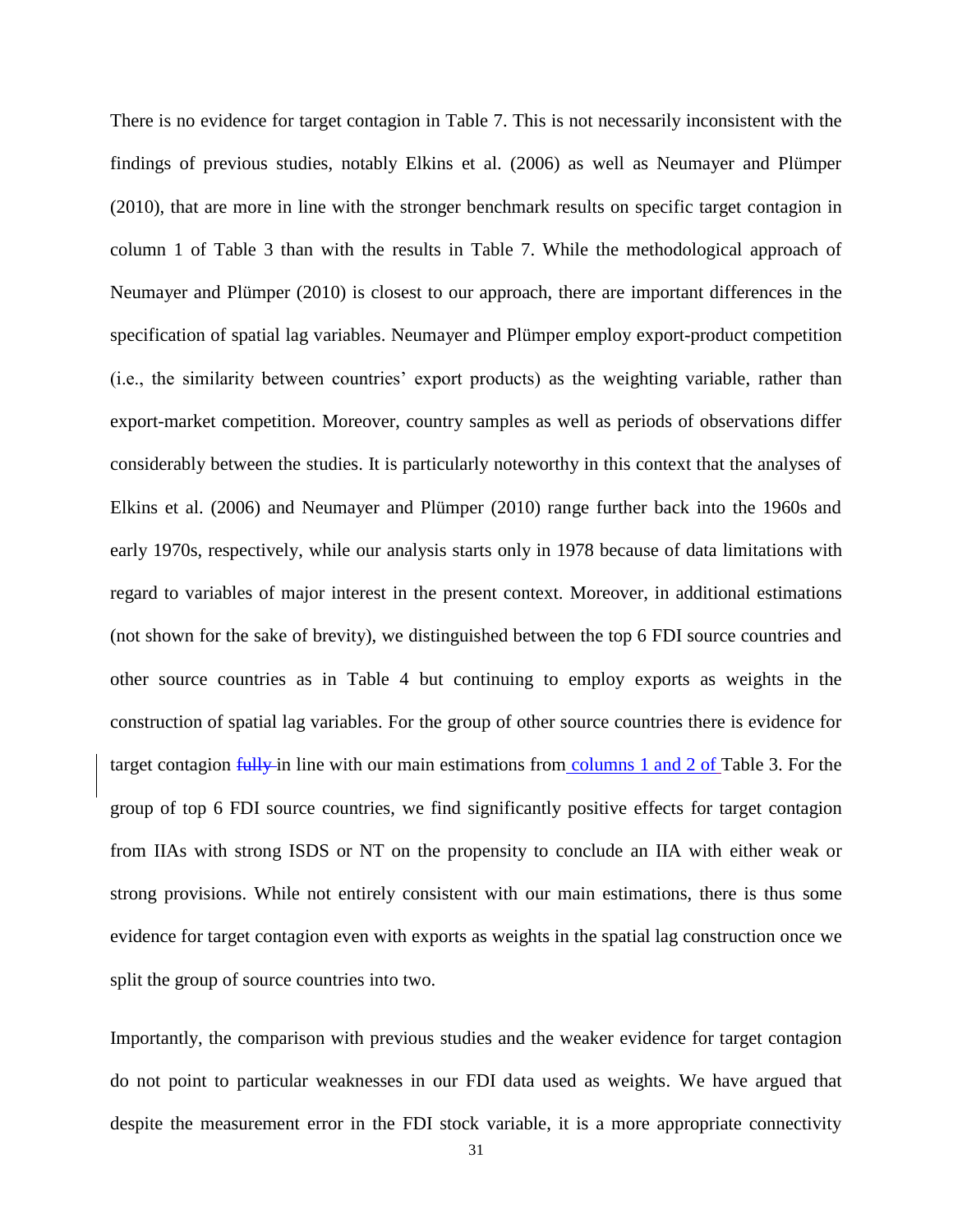There is no evidence for target contagion in Table 7. This is not necessarily inconsistent with the findings of previous studies, notably Elkins et al. (2006) as well as Neumayer and Plümper (2010), that are more in line with the stronger benchmark results on specific target contagion in column 1 of Table 3 than with the results in Table 7. While the methodological approach of Neumayer and Plümper (2010) is closest to our approach, there are important differences in the specification of spatial lag variables. Neumayer and Plümper employ export-product competition (i.e., the similarity between countries' export products) as the weighting variable, rather than export-market competition. Moreover, country samples as well as periods of observations differ considerably between the studies. It is particularly noteworthy in this context that the analyses of Elkins et al. (2006) and Neumayer and Plümper (2010) range further back into the 1960s and early 1970s, respectively, while our analysis starts only in 1978 because of data limitations with regard to variables of major interest in the present context. Moreover, in additional estimations (not shown for the sake of brevity), we distinguished between the top 6 FDI source countries and other source countries as in Table 4 but continuing to employ exports as weights in the construction of spatial lag variables. For the group of other source countries there is evidence for target contagion  $\frac{f \cdot H}{g}$  in line with our main estimations from columns 1 and 2 of Table 3. For the group of top 6 FDI source countries, we find significantly positive effects for target contagion from IIAs with strong ISDS or NT on the propensity to conclude an IIA with either weak or strong provisions. While not entirely consistent with our main estimations, there is thus some evidence for target contagion even with exports as weights in the spatial lag construction once we split the group of source countries into two.

Importantly, the comparison with previous studies and the weaker evidence for target contagion do not point to particular weaknesses in our FDI data used as weights. We have argued that despite the measurement error in the FDI stock variable, it is a more appropriate connectivity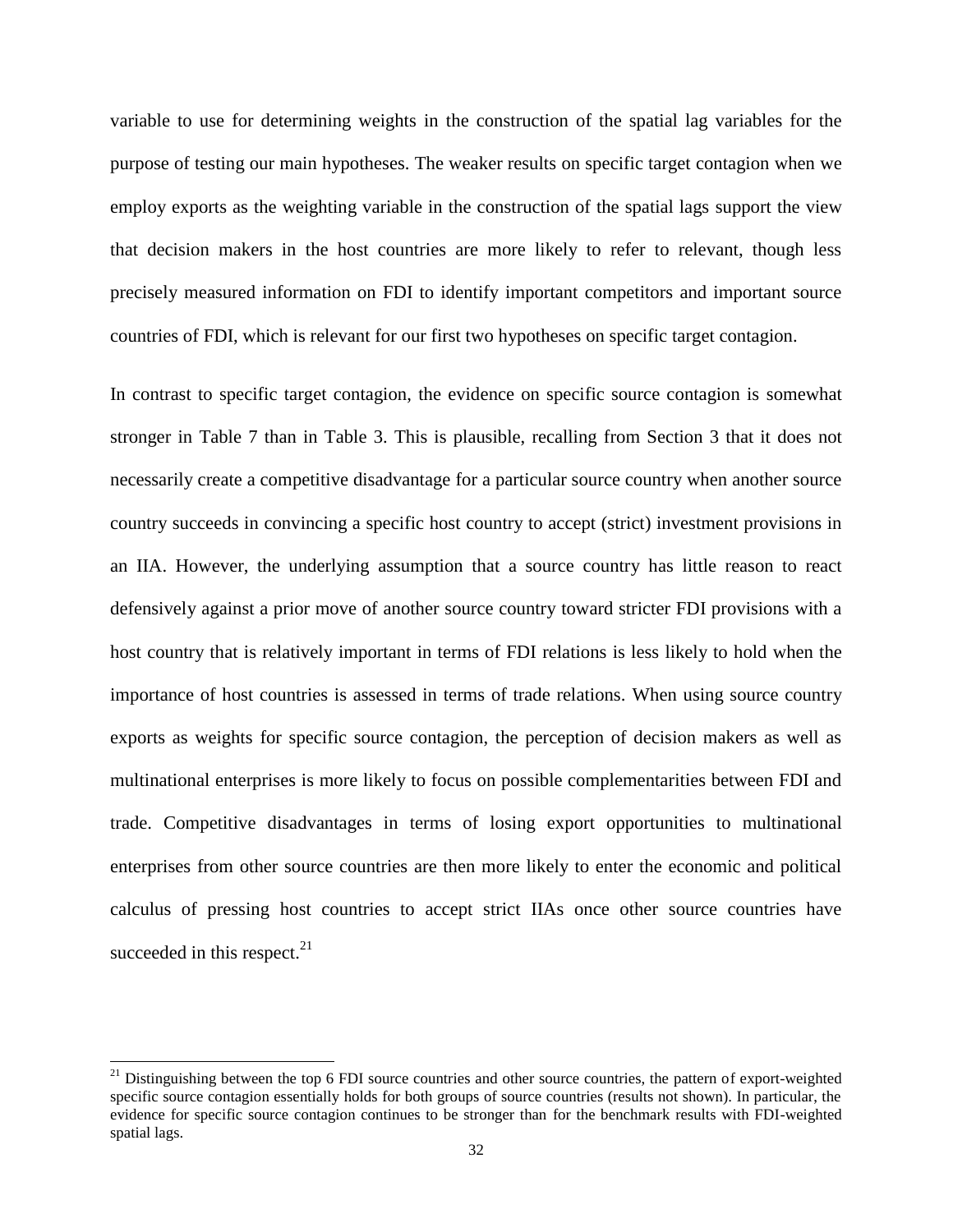variable to use for determining weights in the construction of the spatial lag variables for the purpose of testing our main hypotheses. The weaker results on specific target contagion when we employ exports as the weighting variable in the construction of the spatial lags support the view that decision makers in the host countries are more likely to refer to relevant, though less precisely measured information on FDI to identify important competitors and important source countries of FDI, which is relevant for our first two hypotheses on specific target contagion.

In contrast to specific target contagion, the evidence on specific source contagion is somewhat stronger in Table 7 than in Table 3. This is plausible, recalling from Section 3 that it does not necessarily create a competitive disadvantage for a particular source country when another source country succeeds in convincing a specific host country to accept (strict) investment provisions in an IIA. However, the underlying assumption that a source country has little reason to react defensively against a prior move of another source country toward stricter FDI provisions with a host country that is relatively important in terms of FDI relations is less likely to hold when the importance of host countries is assessed in terms of trade relations. When using source country exports as weights for specific source contagion, the perception of decision makers as well as multinational enterprises is more likely to focus on possible complementarities between FDI and trade. Competitive disadvantages in terms of losing export opportunities to multinational enterprises from other source countries are then more likely to enter the economic and political calculus of pressing host countries to accept strict IIAs once other source countries have succeeded in this respect. $2<sup>1</sup>$ 

 $21$  Distinguishing between the top 6 FDI source countries and other source countries, the pattern of export-weighted specific source contagion essentially holds for both groups of source countries (results not shown). In particular, the evidence for specific source contagion continues to be stronger than for the benchmark results with FDI-weighted spatial lags.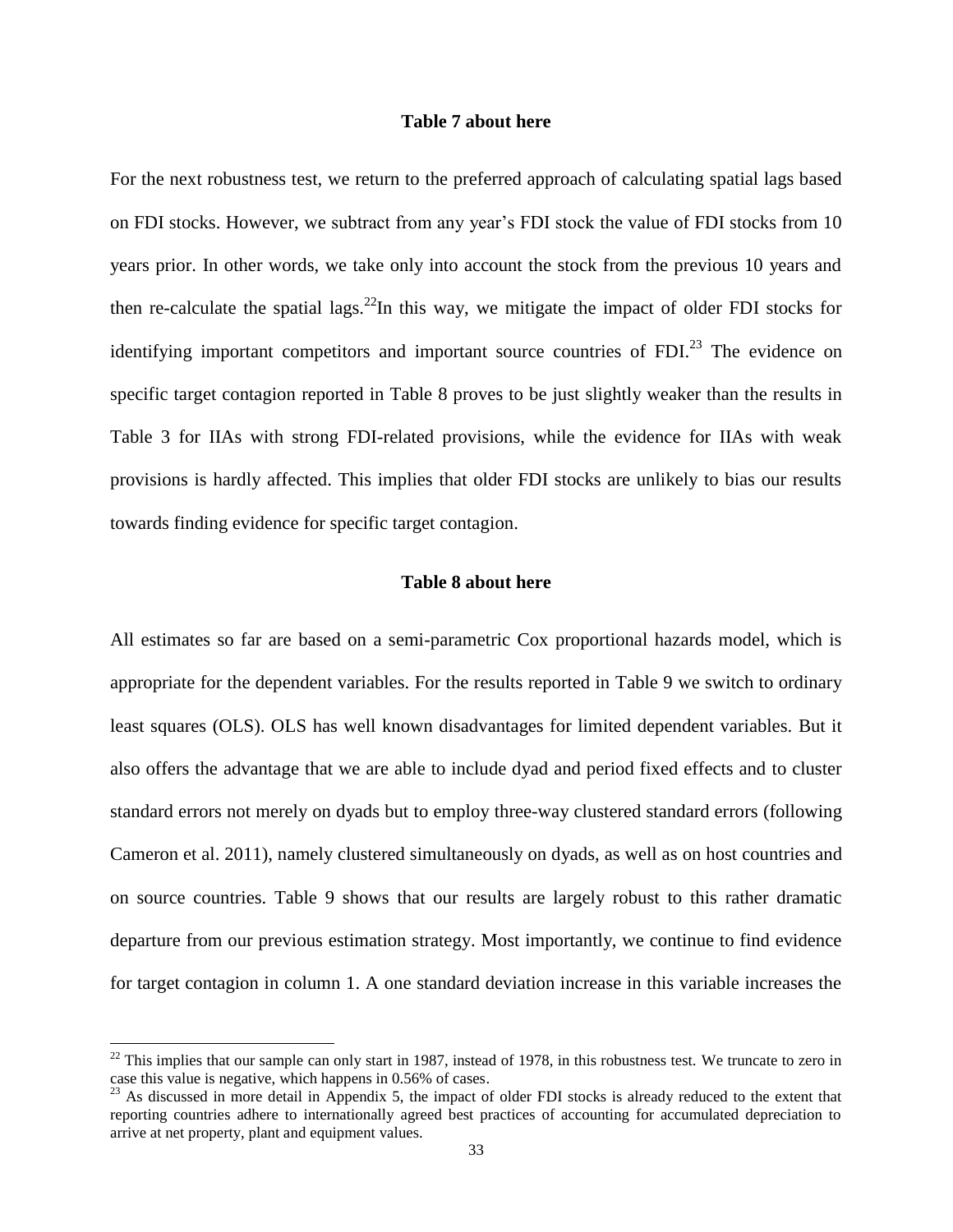#### **Table 7 about here**

For the next robustness test, we return to the preferred approach of calculating spatial lags based on FDI stocks. However, we subtract from any year's FDI stock the value of FDI stocks from 10 years prior. In other words, we take only into account the stock from the previous 10 years and then re-calculate the spatial lags.<sup>22</sup>In this way, we mitigate the impact of older FDI stocks for identifying important competitors and important source countries of FDI $^{23}$  The evidence on specific target contagion reported in Table 8 proves to be just slightly weaker than the results in Table 3 for IIAs with strong FDI-related provisions, while the evidence for IIAs with weak provisions is hardly affected. This implies that older FDI stocks are unlikely to bias our results towards finding evidence for specific target contagion.

#### **Table 8 about here**

All estimates so far are based on a semi-parametric Cox proportional hazards model, which is appropriate for the dependent variables. For the results reported in Table 9 we switch to ordinary least squares (OLS). OLS has well known disadvantages for limited dependent variables. But it also offers the advantage that we are able to include dyad and period fixed effects and to cluster standard errors not merely on dyads but to employ three-way clustered standard errors (following Cameron et al. 2011), namely clustered simultaneously on dyads, as well as on host countries and on source countries. Table 9 shows that our results are largely robust to this rather dramatic departure from our previous estimation strategy. Most importantly, we continue to find evidence for target contagion in column 1. A one standard deviation increase in this variable increases the

 $22$  This implies that our sample can only start in 1987, instead of 1978, in this robustness test. We truncate to zero in case this value is negative, which happens in 0.56% of cases.

 $^{23}$  As discussed in more detail in Appendix 5, the impact of older FDI stocks is already reduced to the extent that reporting countries adhere to internationally agreed best practices of accounting for accumulated depreciation to arrive at net property, plant and equipment values.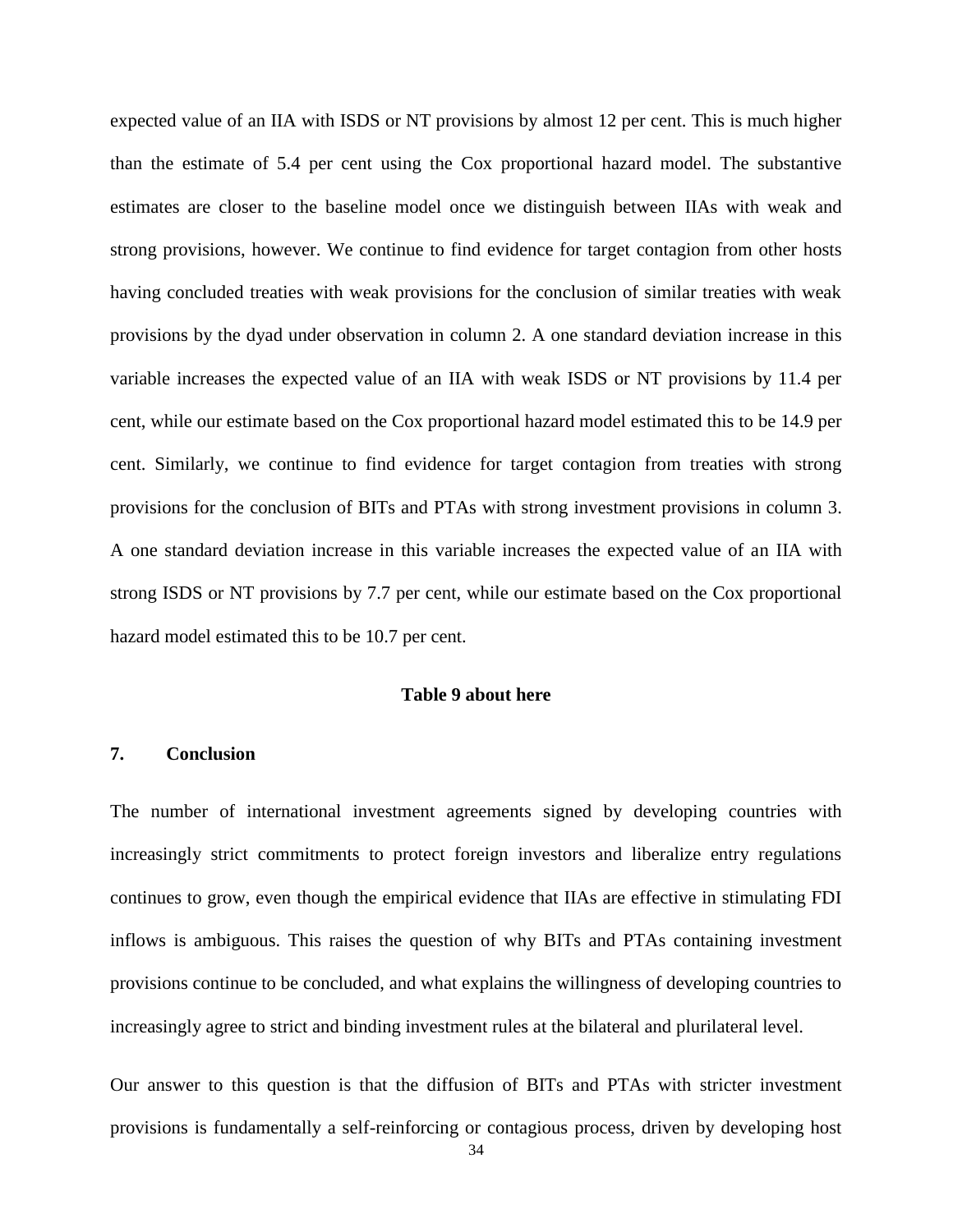expected value of an IIA with ISDS or NT provisions by almost 12 per cent. This is much higher than the estimate of 5.4 per cent using the Cox proportional hazard model. The substantive estimates are closer to the baseline model once we distinguish between IIAs with weak and strong provisions, however. We continue to find evidence for target contagion from other hosts having concluded treaties with weak provisions for the conclusion of similar treaties with weak provisions by the dyad under observation in column 2. A one standard deviation increase in this variable increases the expected value of an IIA with weak ISDS or NT provisions by 11.4 per cent, while our estimate based on the Cox proportional hazard model estimated this to be 14.9 per cent. Similarly, we continue to find evidence for target contagion from treaties with strong provisions for the conclusion of BITs and PTAs with strong investment provisions in column 3. A one standard deviation increase in this variable increases the expected value of an IIA with strong ISDS or NT provisions by 7.7 per cent, while our estimate based on the Cox proportional hazard model estimated this to be 10.7 per cent.

#### **Table 9 about here**

#### **7. Conclusion**

The number of international investment agreements signed by developing countries with increasingly strict commitments to protect foreign investors and liberalize entry regulations continues to grow, even though the empirical evidence that IIAs are effective in stimulating FDI inflows is ambiguous. This raises the question of why BITs and PTAs containing investment provisions continue to be concluded, and what explains the willingness of developing countries to increasingly agree to strict and binding investment rules at the bilateral and plurilateral level.

Our answer to this question is that the diffusion of BITs and PTAs with stricter investment provisions is fundamentally a self-reinforcing or contagious process, driven by developing host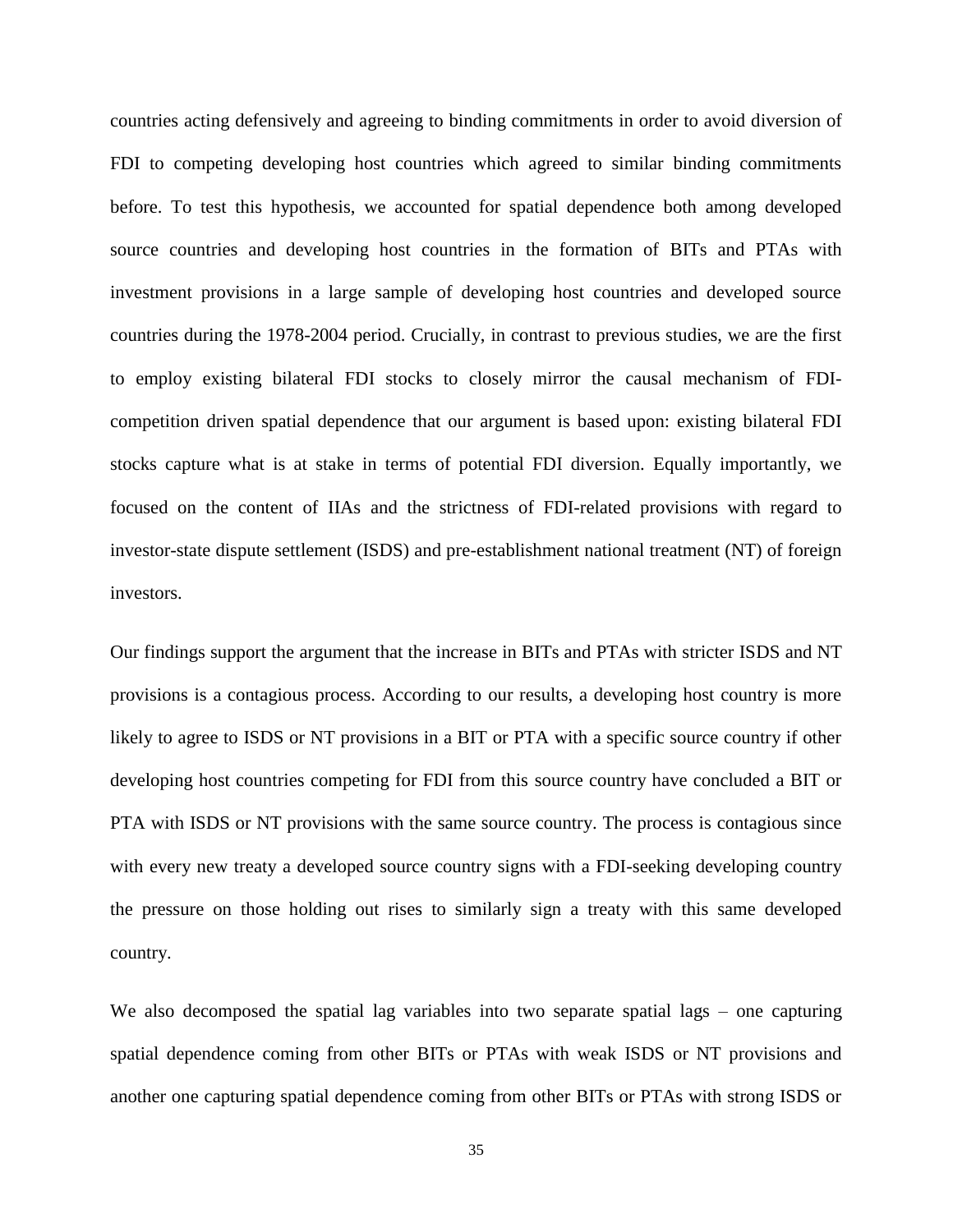countries acting defensively and agreeing to binding commitments in order to avoid diversion of FDI to competing developing host countries which agreed to similar binding commitments before. To test this hypothesis, we accounted for spatial dependence both among developed source countries and developing host countries in the formation of BITs and PTAs with investment provisions in a large sample of developing host countries and developed source countries during the 1978-2004 period. Crucially, in contrast to previous studies, we are the first to employ existing bilateral FDI stocks to closely mirror the causal mechanism of FDIcompetition driven spatial dependence that our argument is based upon: existing bilateral FDI stocks capture what is at stake in terms of potential FDI diversion. Equally importantly, we focused on the content of IIAs and the strictness of FDI-related provisions with regard to investor-state dispute settlement (ISDS) and pre-establishment national treatment (NT) of foreign investors.

Our findings support the argument that the increase in BITs and PTAs with stricter ISDS and NT provisions is a contagious process. According to our results, a developing host country is more likely to agree to ISDS or NT provisions in a BIT or PTA with a specific source country if other developing host countries competing for FDI from this source country have concluded a BIT or PTA with ISDS or NT provisions with the same source country. The process is contagious since with every new treaty a developed source country signs with a FDI-seeking developing country the pressure on those holding out rises to similarly sign a treaty with this same developed country.

We also decomposed the spatial lag variables into two separate spatial lags – one capturing spatial dependence coming from other BITs or PTAs with weak ISDS or NT provisions and another one capturing spatial dependence coming from other BITs or PTAs with strong ISDS or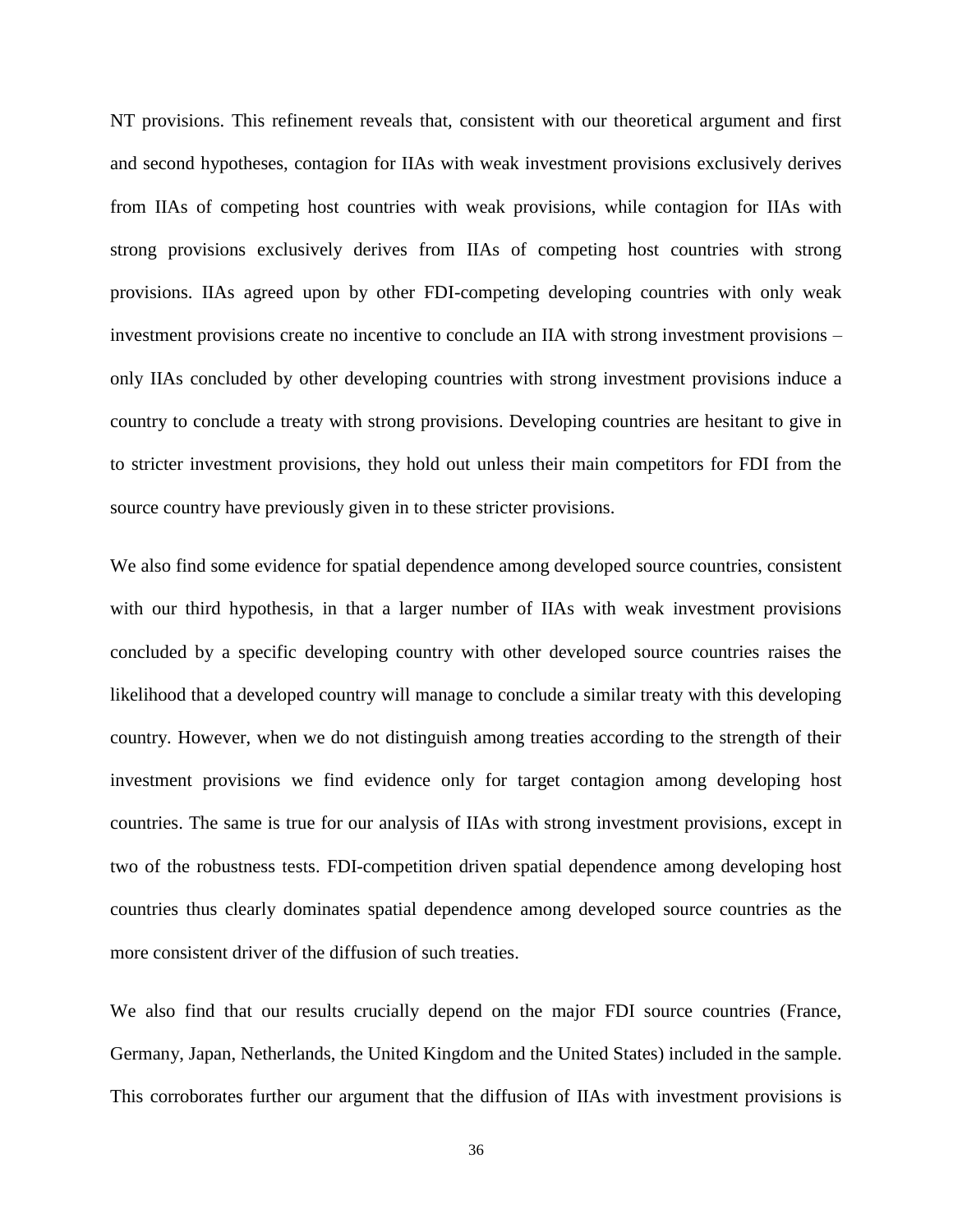NT provisions. This refinement reveals that, consistent with our theoretical argument and first and second hypotheses, contagion for IIAs with weak investment provisions exclusively derives from IIAs of competing host countries with weak provisions, while contagion for IIAs with strong provisions exclusively derives from IIAs of competing host countries with strong provisions. IIAs agreed upon by other FDI-competing developing countries with only weak investment provisions create no incentive to conclude an IIA with strong investment provisions – only IIAs concluded by other developing countries with strong investment provisions induce a country to conclude a treaty with strong provisions. Developing countries are hesitant to give in to stricter investment provisions, they hold out unless their main competitors for FDI from the source country have previously given in to these stricter provisions.

We also find some evidence for spatial dependence among developed source countries, consistent with our third hypothesis, in that a larger number of IIAs with weak investment provisions concluded by a specific developing country with other developed source countries raises the likelihood that a developed country will manage to conclude a similar treaty with this developing country. However, when we do not distinguish among treaties according to the strength of their investment provisions we find evidence only for target contagion among developing host countries. The same is true for our analysis of IIAs with strong investment provisions, except in two of the robustness tests. FDI-competition driven spatial dependence among developing host countries thus clearly dominates spatial dependence among developed source countries as the more consistent driver of the diffusion of such treaties.

We also find that our results crucially depend on the major FDI source countries (France, Germany, Japan, Netherlands, the United Kingdom and the United States) included in the sample. This corroborates further our argument that the diffusion of IIAs with investment provisions is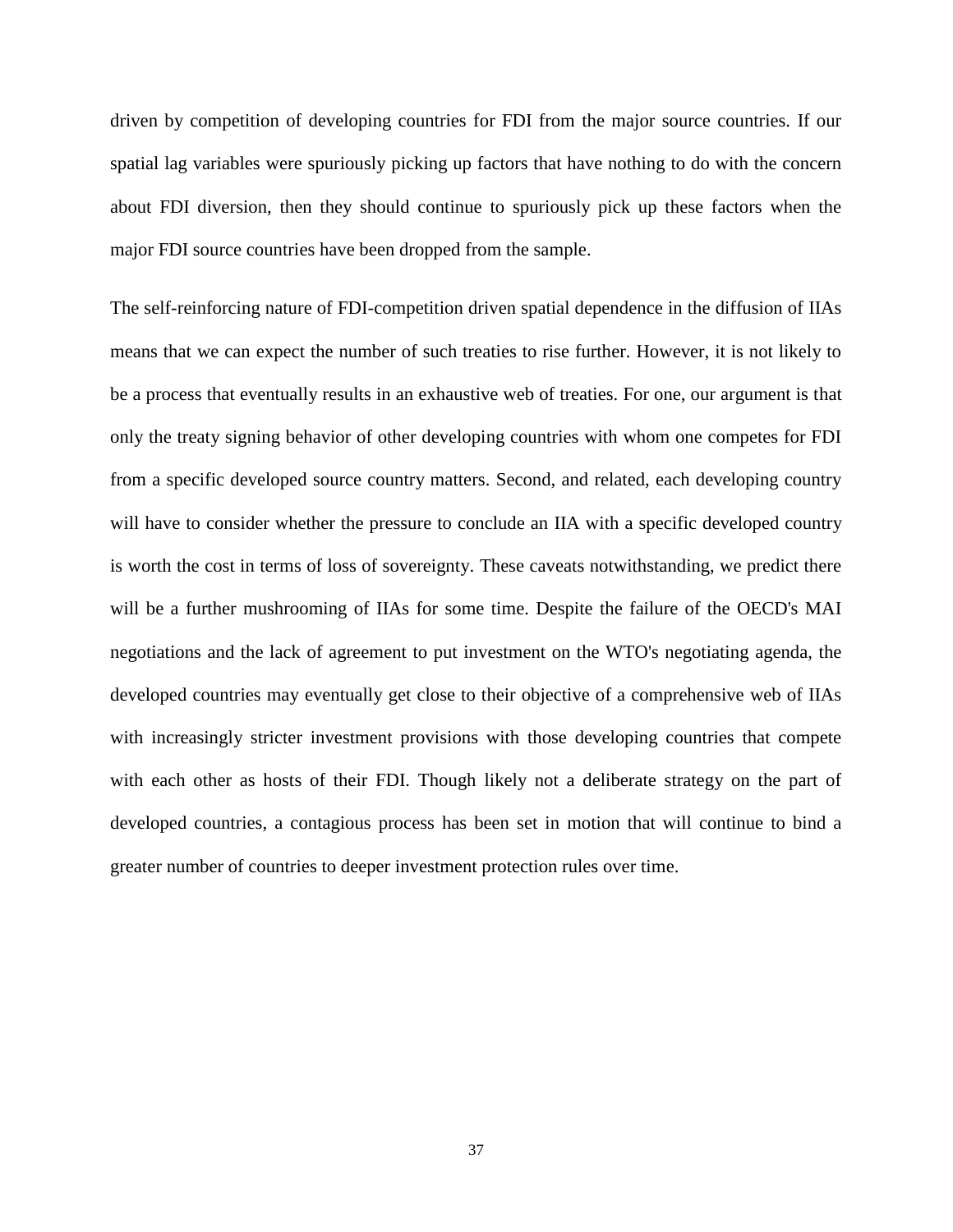driven by competition of developing countries for FDI from the major source countries. If our spatial lag variables were spuriously picking up factors that have nothing to do with the concern about FDI diversion, then they should continue to spuriously pick up these factors when the major FDI source countries have been dropped from the sample.

The self-reinforcing nature of FDI-competition driven spatial dependence in the diffusion of IIAs means that we can expect the number of such treaties to rise further. However, it is not likely to be a process that eventually results in an exhaustive web of treaties. For one, our argument is that only the treaty signing behavior of other developing countries with whom one competes for FDI from a specific developed source country matters. Second, and related, each developing country will have to consider whether the pressure to conclude an IIA with a specific developed country is worth the cost in terms of loss of sovereignty. These caveats notwithstanding, we predict there will be a further mushrooming of IIAs for some time. Despite the failure of the OECD's MAI negotiations and the lack of agreement to put investment on the WTO's negotiating agenda, the developed countries may eventually get close to their objective of a comprehensive web of IIAs with increasingly stricter investment provisions with those developing countries that compete with each other as hosts of their FDI. Though likely not a deliberate strategy on the part of developed countries, a contagious process has been set in motion that will continue to bind a greater number of countries to deeper investment protection rules over time.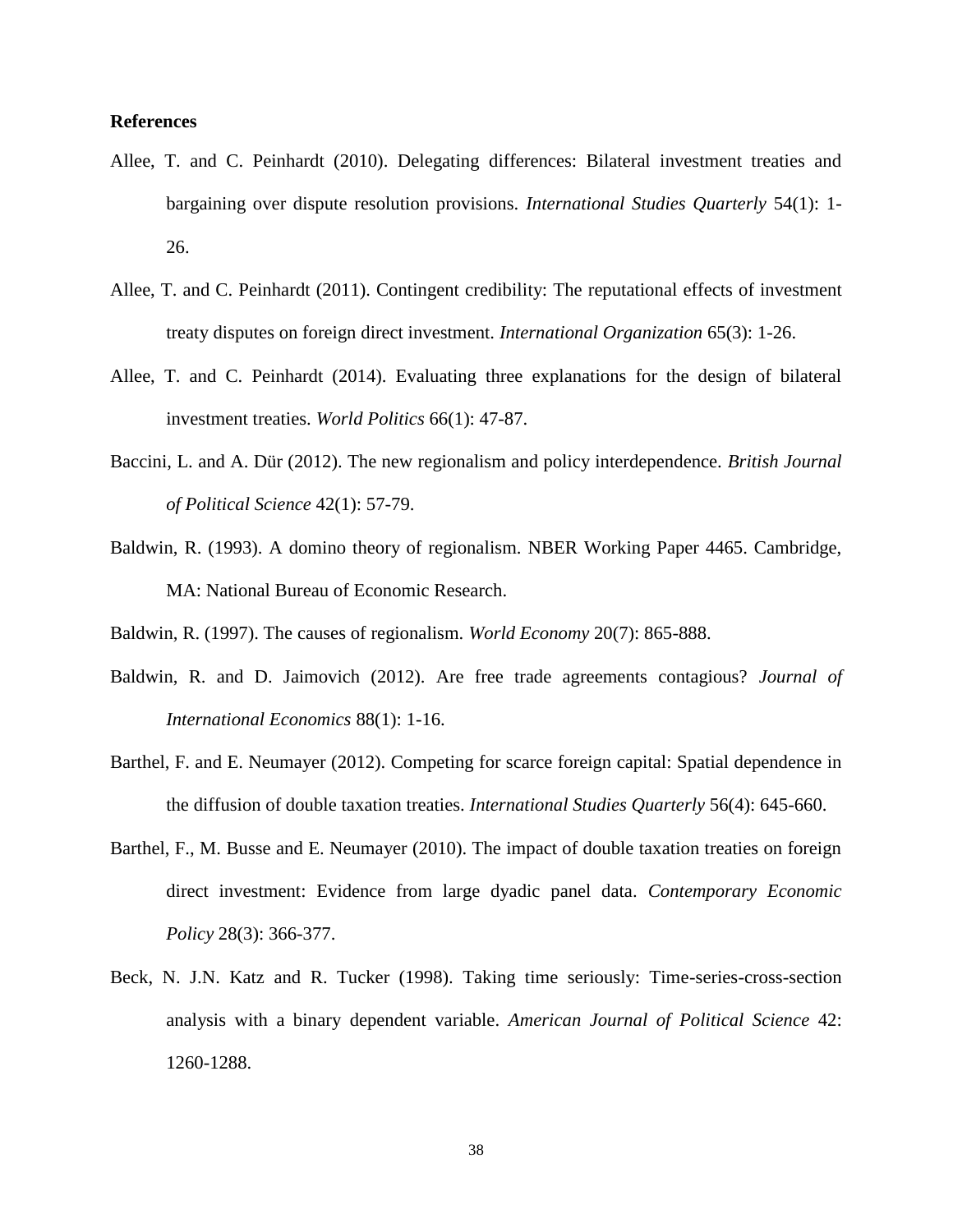#### **References**

- Allee, T. and C. Peinhardt (2010). Delegating differences: Bilateral investment treaties and bargaining over dispute resolution provisions. *International Studies Quarterly* 54(1): 1- 26.
- Allee, T. and C. Peinhardt (2011). Contingent credibility: The reputational effects of investment treaty disputes on foreign direct investment. *International Organization* 65(3): 1-26.
- Allee, T. and C. Peinhardt (2014). Evaluating three explanations for the design of bilateral investment treaties. *World Politics* 66(1): 47-87.
- Baccini, L. and A. Dür (2012). The new regionalism and policy interdependence. *British Journal of Political Science* 42(1): 57-79.
- Baldwin, R. (1993). A domino theory of regionalism. NBER Working Paper 4465. Cambridge, MA: National Bureau of Economic Research.
- Baldwin, R. (1997). The causes of regionalism. *World Economy* 20(7): 865-888.
- Baldwin, R. and D. Jaimovich (2012). Are free trade agreements contagious? *Journal of International Economics* 88(1): 1-16.
- Barthel, F. and E. Neumayer (2012). Competing for scarce foreign capital: Spatial dependence in the diffusion of double taxation treaties. *International Studies Quarterly* 56(4): 645-660.
- Barthel, F., M. Busse and E. Neumayer (2010). The impact of double taxation treaties on foreign direct investment: Evidence from large dyadic panel data. *Contemporary Economic Policy* 28(3): 366-377.
- Beck, N. J.N. Katz and R. Tucker (1998). Taking time seriously: Time-series-cross-section analysis with a binary dependent variable. *American Journal of Political Science* 42: 1260-1288.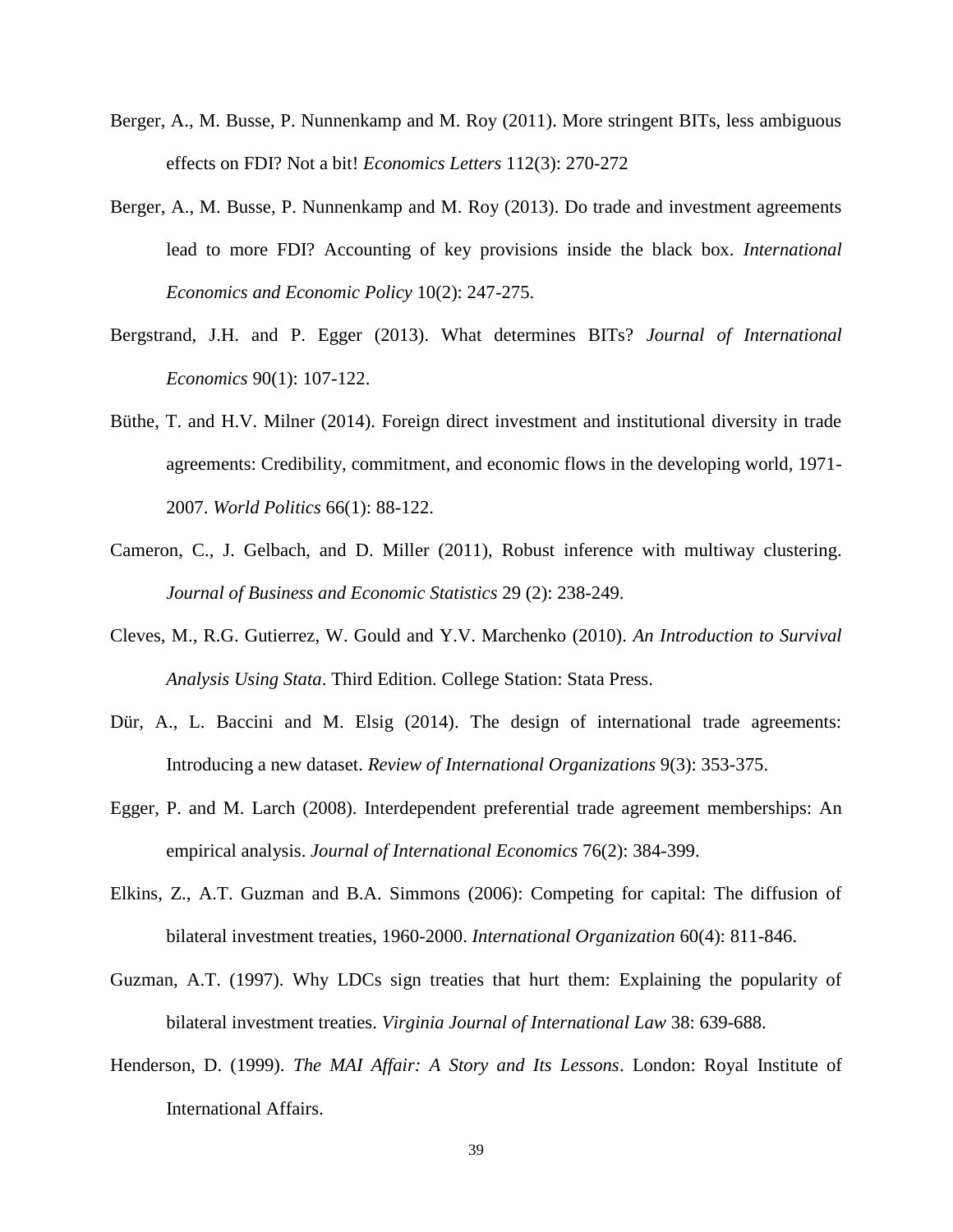- Berger, A., M. Busse, P. Nunnenkamp and M. Roy (2011). More stringent BITs, less ambiguous effects on FDI? Not a bit! *Economics Letters* 112(3): 270-272
- Berger, A., M. Busse, P. Nunnenkamp and M. Roy (2013). Do trade and investment agreements lead to more FDI? Accounting of key provisions inside the black box. *International Economics and Economic Policy* 10(2): 247-275.
- Bergstrand, J.H. and P. Egger (2013). What determines BITs? *Journal of International Economics* 90(1): 107-122.
- Büthe, T. and H.V. Milner (2014). Foreign direct investment and institutional diversity in trade agreements: Credibility, commitment, and economic flows in the developing world, 1971- 2007. *World Politics* 66(1): 88-122.
- Cameron, C., J. Gelbach, and D. Miller (2011), Robust inference with multiway clustering. *Journal of Business and Economic Statistics* 29 (2): 238-249.
- Cleves, M., R.G. Gutierrez, W. Gould and Y.V. Marchenko (2010). *An Introduction to Survival Analysis Using Stata*. Third Edition. College Station: Stata Press.
- Dür, A., L. Baccini and M. Elsig (2014). The design of international trade agreements: Introducing a new dataset. *Review of International Organizations* 9(3): 353-375.
- Egger, P. and M. Larch (2008). Interdependent preferential trade agreement memberships: An empirical analysis. *Journal of International Economics* 76(2): 384-399.
- Elkins, Z., A.T. Guzman and B.A. Simmons (2006): Competing for capital: The diffusion of bilateral investment treaties, 1960-2000. *International Organization* 60(4): 811-846.
- Guzman, A.T. (1997). Why LDCs sign treaties that hurt them: Explaining the popularity of bilateral investment treaties. *Virginia Journal of International Law* 38: 639-688.
- Henderson, D. (1999). *The MAI Affair: A Story and Its Lessons*. London: Royal Institute of International Affairs.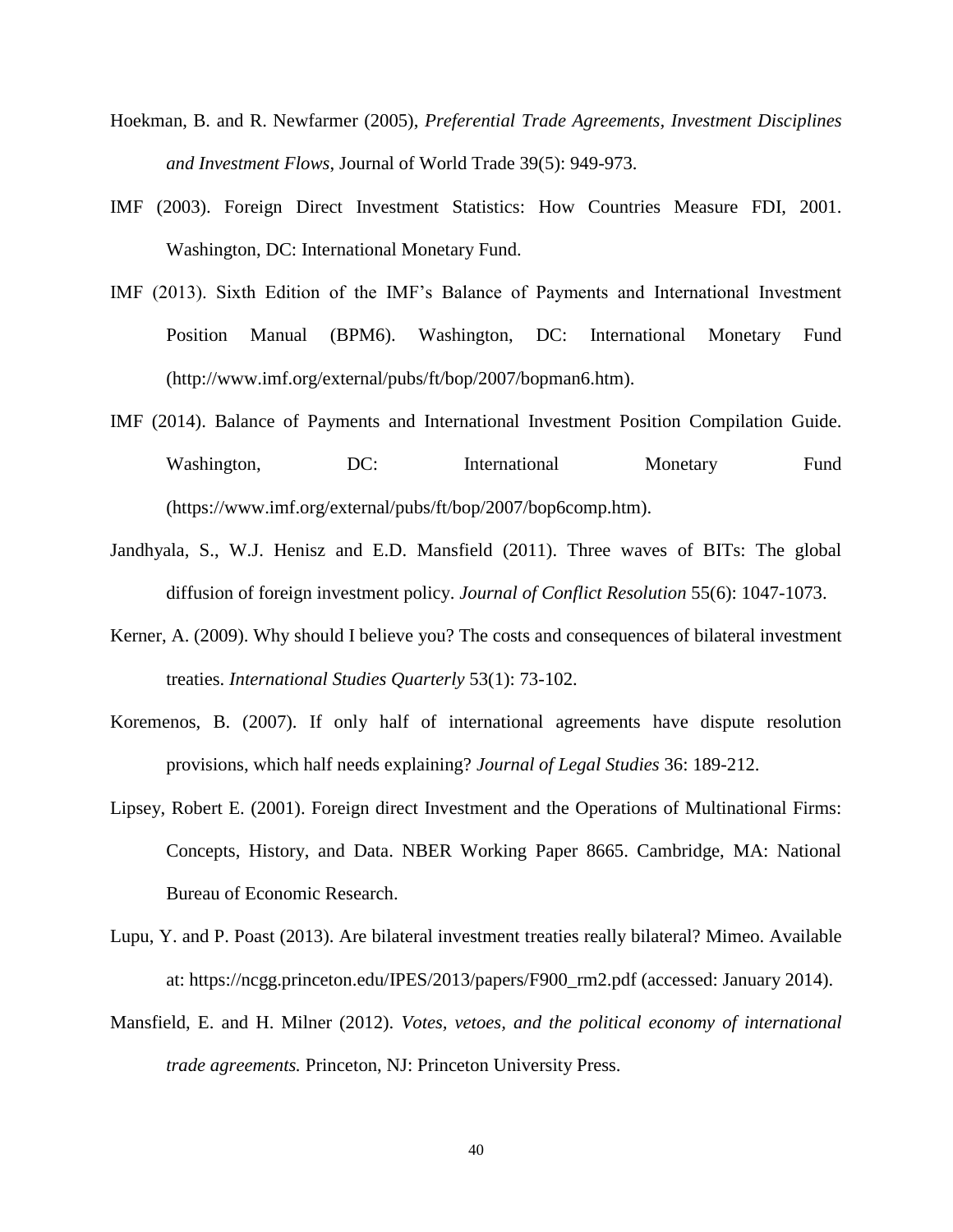- Hoekman, B. and R. Newfarmer (2005), *Preferential Trade Agreements, Investment Disciplines and Investment Flows*, Journal of World Trade 39(5): 949-973.
- IMF (2003). Foreign Direct Investment Statistics: How Countries Measure FDI, 2001. Washington, DC: International Monetary Fund.
- IMF (2013). Sixth Edition of the IMF's Balance of Payments and International Investment Position Manual (BPM6). Washington, DC: International Monetary Fund (http://www.imf.org/external/pubs/ft/bop/2007/bopman6.htm).
- IMF (2014). Balance of Payments and International Investment Position Compilation Guide. Washington, DC: International Monetary Fund (https://www.imf.org/external/pubs/ft/bop/2007/bop6comp.htm).
- Jandhyala, S., W.J. Henisz and E.D. Mansfield (2011). Three waves of BITs: The global diffusion of foreign investment policy. *Journal of Conflict Resolution* 55(6): 1047-1073.
- Kerner, A. (2009). Why should I believe you? The costs and consequences of bilateral investment treaties. *International Studies Quarterly* 53(1): 73-102.
- Koremenos, B. (2007). If only half of international agreements have dispute resolution provisions, which half needs explaining? *Journal of Legal Studies* 36: 189-212.
- Lipsey, Robert E. (2001). Foreign direct Investment and the Operations of Multinational Firms: Concepts, History, and Data. NBER Working Paper 8665. Cambridge, MA: National Bureau of Economic Research.
- Lupu, Y. and P. Poast (2013). Are bilateral investment treaties really bilateral? Mimeo. Available at: https://ncgg.princeton.edu/IPES/2013/papers/F900\_rm2.pdf (accessed: January 2014).
- Mansfield, E. and H. Milner (2012). *Votes, vetoes, and the political economy of international trade agreements.* Princeton, NJ: Princeton University Press.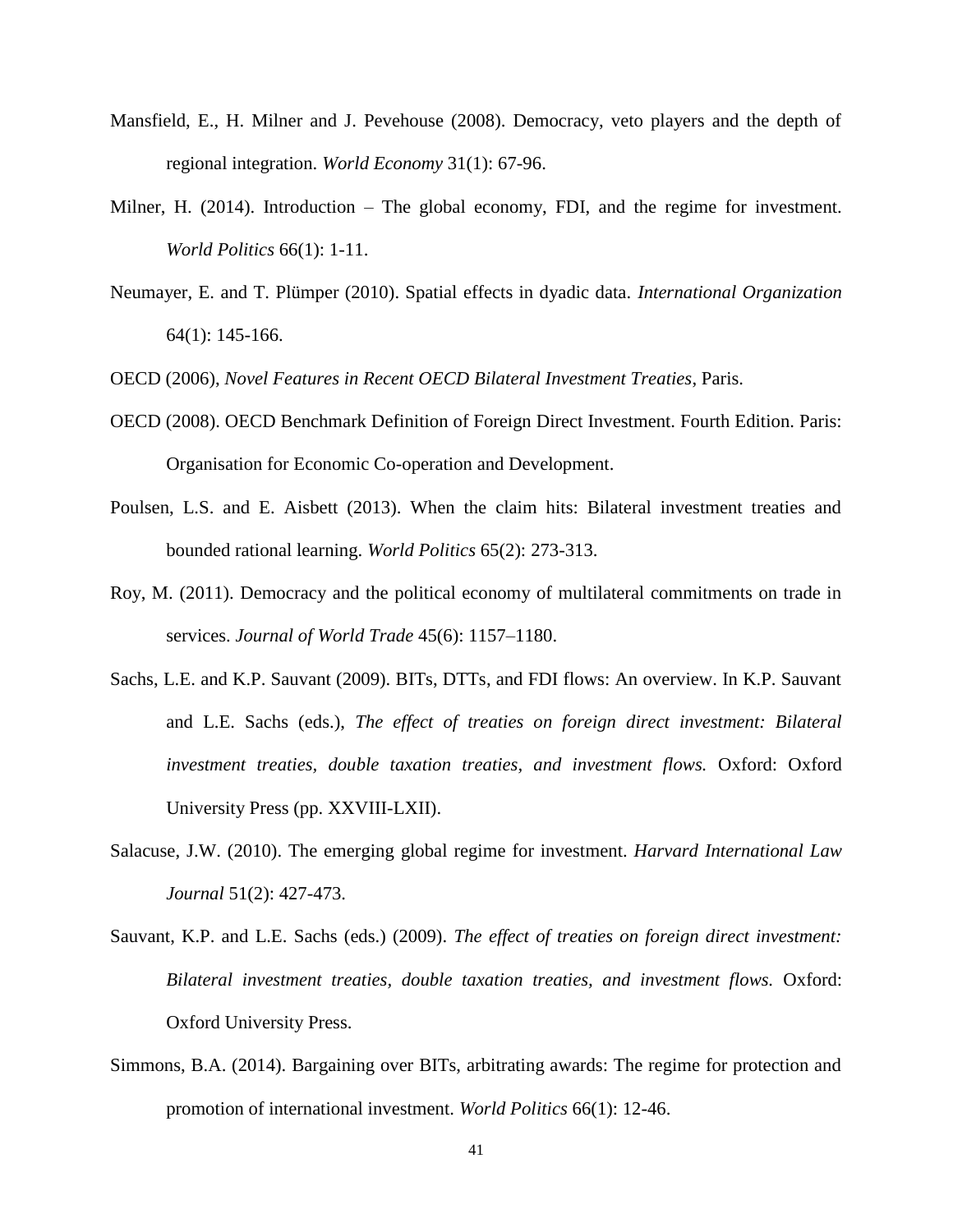- Mansfield, E., H. Milner and J. Pevehouse (2008). Democracy, veto players and the depth of regional integration. *World Economy* 31(1): 67-96.
- Milner, H. (2014). Introduction The global economy, FDI, and the regime for investment. *World Politics* 66(1): 1-11.
- Neumayer, E. and T. Plümper (2010). Spatial effects in dyadic data. *International Organization*  64(1): 145-166.
- OECD (2006), *Novel Features in Recent OECD Bilateral Investment Treaties*, Paris.
- OECD (2008). OECD Benchmark Definition of Foreign Direct Investment. Fourth Edition. Paris: Organisation for Economic Co-operation and Development.
- Poulsen, L.S. and E. Aisbett (2013). When the claim hits: Bilateral investment treaties and bounded rational learning. *World Politics* 65(2): 273-313.
- Roy, M. (2011). Democracy and the political economy of multilateral commitments on trade in services. *Journal of World Trade* 45(6): 1157–1180.
- Sachs, L.E. and K.P. Sauvant (2009). BITs, DTTs, and FDI flows: An overview. In K.P. Sauvant and L.E. Sachs (eds.), *The effect of treaties on foreign direct investment: Bilateral investment treaties, double taxation treaties, and investment flows.* Oxford: Oxford University Press (pp. XXVIII-LXII).
- Salacuse, J.W. (2010). The emerging global regime for investment. *Harvard International Law Journal* 51(2): 427-473.
- Sauvant, K.P. and L.E. Sachs (eds.) (2009). *The effect of treaties on foreign direct investment: Bilateral investment treaties, double taxation treaties, and investment flows.* Oxford: Oxford University Press.
- Simmons, B.A. (2014). Bargaining over BITs, arbitrating awards: The regime for protection and promotion of international investment. *World Politics* 66(1): 12-46.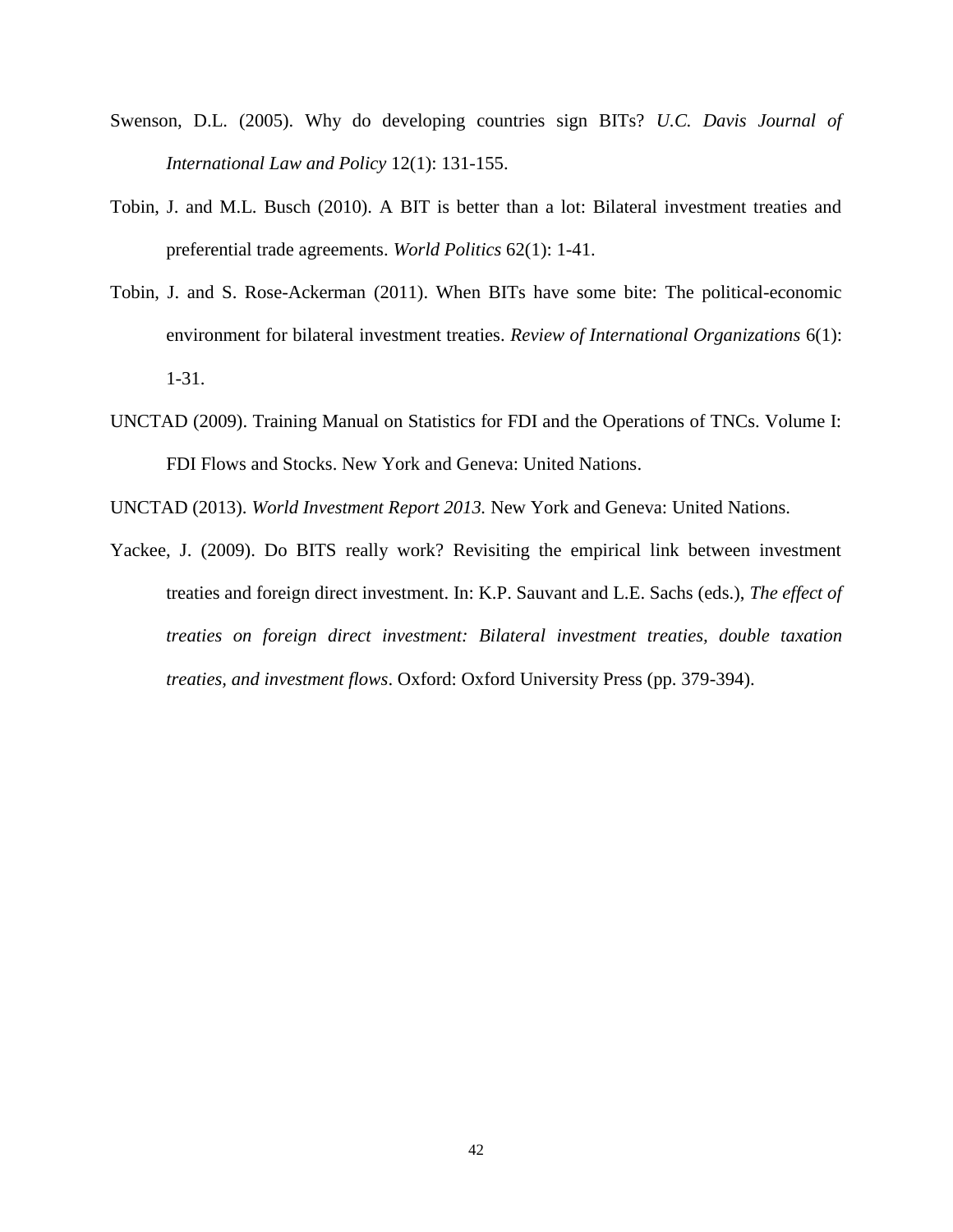- Swenson, D.L. (2005). Why do developing countries sign BITs? *U.C. Davis Journal of International Law and Policy* 12(1): 131-155.
- Tobin, J. and M.L. Busch (2010). A BIT is better than a lot: Bilateral investment treaties and preferential trade agreements. *World Politics* 62(1): 1-41.
- Tobin, J. and S. Rose-Ackerman (2011). When BITs have some bite: The political-economic environment for bilateral investment treaties. *Review of International Organizations* 6(1): 1-31.
- UNCTAD (2009). Training Manual on Statistics for FDI and the Operations of TNCs. Volume I: FDI Flows and Stocks. New York and Geneva: United Nations.

UNCTAD (2013). *World Investment Report 2013.* New York and Geneva: United Nations.

Yackee, J. (2009). Do BITS really work? Revisiting the empirical link between investment treaties and foreign direct investment. In: K.P. Sauvant and L.E. Sachs (eds.), *The effect of treaties on foreign direct investment: Bilateral investment treaties, double taxation treaties, and investment flows*. Oxford: Oxford University Press (pp. 379-394).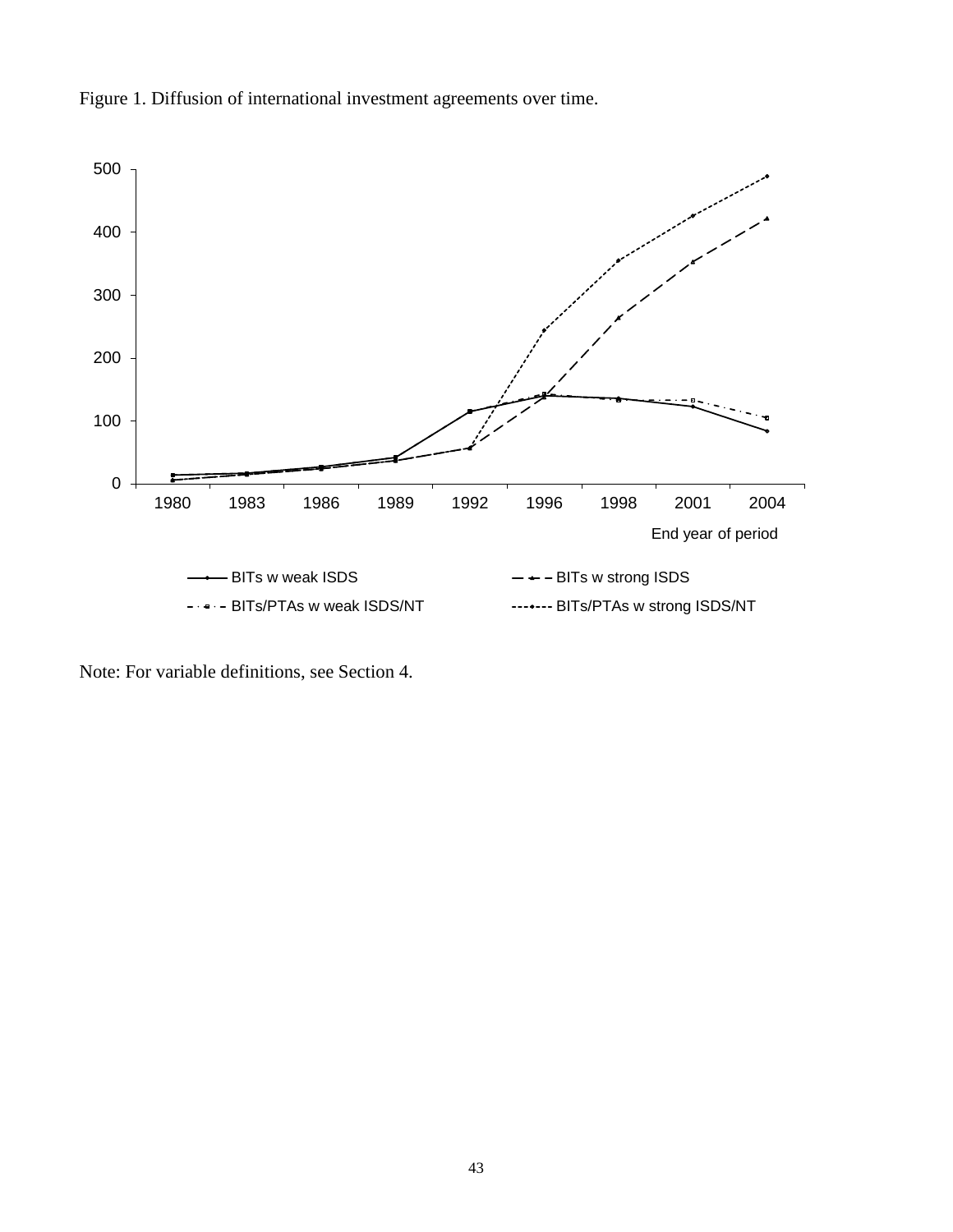

Figure 1. Diffusion of international investment agreements over time.

Note: For variable definitions, see Section 4.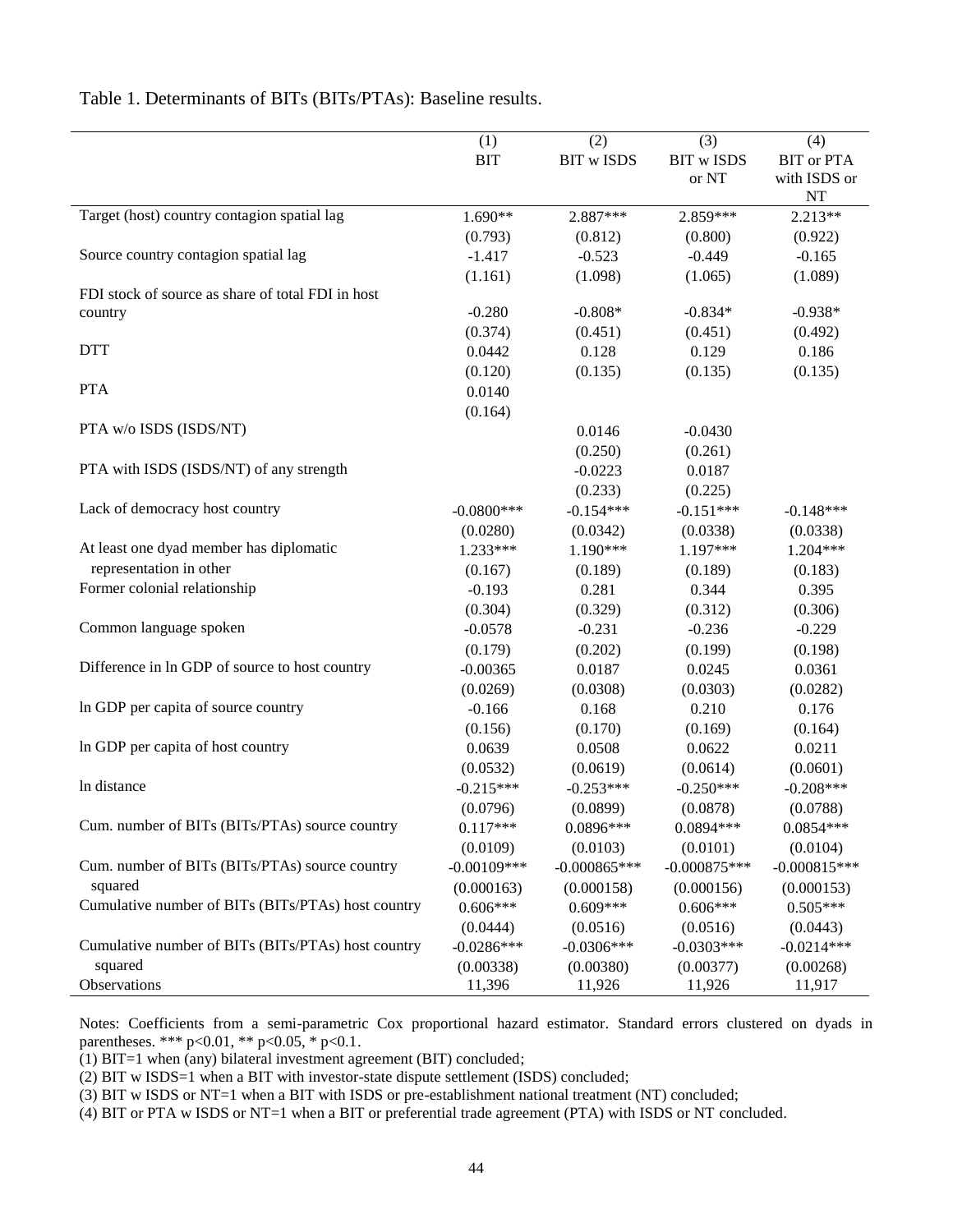|                                                    | (1)            | (2)               | (3)               | (4)               |
|----------------------------------------------------|----------------|-------------------|-------------------|-------------------|
|                                                    | <b>BIT</b>     | <b>BIT w ISDS</b> | <b>BIT w ISDS</b> | <b>BIT</b> or PTA |
|                                                    |                |                   | or NT             | with ISDS or      |
|                                                    |                |                   |                   | NT                |
| Target (host) country contagion spatial lag        | 1.690**        | 2.887***          | 2.859***          | $2.213**$         |
|                                                    | (0.793)        | (0.812)           | (0.800)           | (0.922)           |
| Source country contagion spatial lag               | $-1.417$       | $-0.523$          | $-0.449$          | $-0.165$          |
|                                                    | (1.161)        | (1.098)           | (1.065)           | (1.089)           |
| FDI stock of source as share of total FDI in host  |                |                   |                   |                   |
| country                                            | $-0.280$       | $-0.808*$         | $-0.834*$         | $-0.938*$         |
|                                                    | (0.374)        | (0.451)           | (0.451)           | (0.492)           |
| <b>DTT</b>                                         | 0.0442         | 0.128             | 0.129             | 0.186             |
|                                                    | (0.120)        | (0.135)           | (0.135)           | (0.135)           |
| <b>PTA</b>                                         | 0.0140         |                   |                   |                   |
|                                                    | (0.164)        |                   |                   |                   |
| PTA w/o ISDS (ISDS/NT)                             |                | 0.0146            | $-0.0430$         |                   |
|                                                    |                | (0.250)           | (0.261)           |                   |
| PTA with ISDS (ISDS/NT) of any strength            |                | $-0.0223$         | 0.0187            |                   |
|                                                    |                | (0.233)           | (0.225)           |                   |
| Lack of democracy host country                     | $-0.0800$ ***  | $-0.154***$       | $-0.151***$       | $-0.148***$       |
|                                                    | (0.0280)       | (0.0342)          | (0.0338)          | (0.0338)          |
| At least one dyad member has diplomatic            | 1.233***       | 1.190***          | 1.197***          | $1.204***$        |
| representation in other                            | (0.167)        | (0.189)           | (0.189)           | (0.183)           |
| Former colonial relationship                       | $-0.193$       | 0.281             | 0.344             | 0.395             |
|                                                    | (0.304)        | (0.329)           | (0.312)           | (0.306)           |
| Common language spoken                             | $-0.0578$      | $-0.231$          | $-0.236$          | $-0.229$          |
|                                                    | (0.179)        | (0.202)           | (0.199)           | (0.198)           |
| Difference in ln GDP of source to host country     | $-0.00365$     | 0.0187            | 0.0245            | 0.0361            |
|                                                    | (0.0269)       | (0.0308)          | (0.0303)          | (0.0282)          |
| In GDP per capita of source country                | $-0.166$       | 0.168             | 0.210             | 0.176             |
|                                                    | (0.156)        | (0.170)           | (0.169)           | (0.164)           |
| In GDP per capita of host country                  | 0.0639         | 0.0508            | 0.0622            | 0.0211            |
|                                                    | (0.0532)       | (0.0619)          | (0.0614)          | (0.0601)          |
| In distance                                        | $-0.215***$    | $-0.253***$       | $-0.250***$       | $-0.208***$       |
|                                                    | (0.0796)       | (0.0899)          | (0.0878)          | (0.0788)          |
| Cum. number of BITs (BITs/PTAs) source country     | $0.117***$     | $0.0896***$       | 0.0894***         | $0.0854***$       |
|                                                    | (0.0109)       | (0.0103)          | (0.0101)          | (0.0104)          |
| Cum. number of BITs (BITs/PTAs) source country     | $-0.00109$ *** | $-0.000865***$    | $-0.000875***$    | $-0.000815***$    |
| squared                                            | (0.000163)     | (0.000158)        | (0.000156)        | (0.000153)        |
| Cumulative number of BITs (BITs/PTAs) host country | $0.606***$     | $0.609***$        | $0.606***$        | $0.505***$        |
|                                                    | (0.0444)       | (0.0516)          | (0.0516)          | (0.0443)          |
| Cumulative number of BITs (BITs/PTAs) host country | $-0.0286***$   | $-0.0306***$      | $-0.0303***$      | $-0.0214***$      |
| squared                                            | (0.00338)      | (0.00380)         | (0.00377)         | (0.00268)         |
| Observations                                       | 11,396         | 11,926            | 11,926            | 11,917            |

#### Table 1. Determinants of BITs (BITs/PTAs): Baseline results.

Notes: Coefficients from a semi-parametric Cox proportional hazard estimator. Standard errors clustered on dyads in parentheses. \*\*\* p<0.01, \*\* p<0.05, \* p<0.1.

(1) BIT=1 when (any) bilateral investment agreement (BIT) concluded;

(2) BIT w ISDS=1 when a BIT with investor-state dispute settlement (ISDS) concluded;

(3) BIT w ISDS or NT=1 when a BIT with ISDS or pre-establishment national treatment (NT) concluded;

(4) BIT or PTA w ISDS or NT=1 when a BIT or preferential trade agreement (PTA) with ISDS or NT concluded.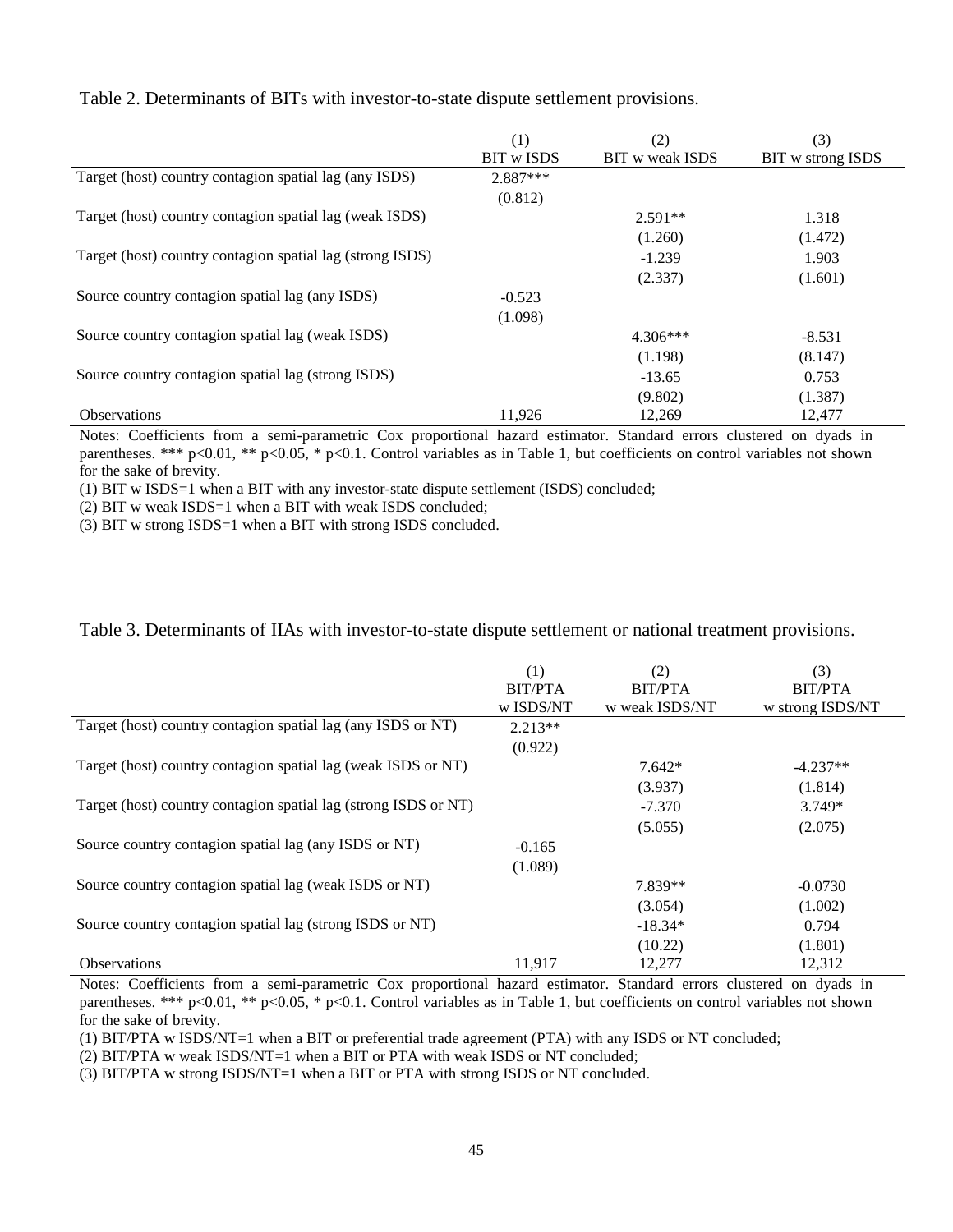| Table 2. Determinants of BITs with investor-to-state dispute settlement provisions. |  |  |  |  |  |  |  |  |  |
|-------------------------------------------------------------------------------------|--|--|--|--|--|--|--|--|--|
|-------------------------------------------------------------------------------------|--|--|--|--|--|--|--|--|--|

|                                                           | (1)<br>BIT w ISDS | (2)<br>BIT w weak ISDS | (3)<br>BIT w strong ISDS |
|-----------------------------------------------------------|-------------------|------------------------|--------------------------|
| Target (host) country contagion spatial lag (any ISDS)    | 2.887***          |                        |                          |
|                                                           | (0.812)           |                        |                          |
| Target (host) country contagion spatial lag (weak ISDS)   |                   | $2.591**$              | 1.318                    |
|                                                           |                   | (1.260)                | (1.472)                  |
| Target (host) country contagion spatial lag (strong ISDS) |                   | $-1.239$               | 1.903                    |
|                                                           |                   | (2.337)                | (1.601)                  |
| Source country contagion spatial lag (any ISDS)           | $-0.523$          |                        |                          |
|                                                           | (1.098)           |                        |                          |
| Source country contagion spatial lag (weak ISDS)          |                   | $4.306***$             | $-8.531$                 |
|                                                           |                   | (1.198)                | (8.147)                  |
| Source country contagion spatial lag (strong ISDS)        |                   | $-13.65$               | 0.753                    |
|                                                           |                   | (9.802)                | (1.387)                  |
| <b>Observations</b>                                       | 11,926            | 12,269                 | 12,477                   |

Notes: Coefficients from a semi-parametric Cox proportional hazard estimator. Standard errors clustered on dyads in parentheses. \*\*\* p<0.01, \*\* p<0.05, \* p<0.1. Control variables as in Table 1, but coefficients on control variables not shown for the sake of brevity.

(1) BIT w ISDS=1 when a BIT with any investor-state dispute settlement (ISDS) concluded;

(2) BIT w weak ISDS=1 when a BIT with weak ISDS concluded;

(3) BIT w strong ISDS=1 when a BIT with strong ISDS concluded.

Table 3. Determinants of IIAs with investor-to-state dispute settlement or national treatment provisions.

|                                                                 | (1)<br><b>BIT/PTA</b><br>w ISDS/NT | (2)<br><b>BIT/PTA</b><br>w weak ISDS/NT | (3)<br><b>BIT/PTA</b><br>w strong ISDS/NT |
|-----------------------------------------------------------------|------------------------------------|-----------------------------------------|-------------------------------------------|
| Target (host) country contagion spatial lag (any ISDS or NT)    | $2.213**$                          |                                         |                                           |
|                                                                 | (0.922)                            |                                         |                                           |
| Target (host) country contagion spatial lag (weak ISDS or NT)   |                                    | $7.642*$                                | $-4.237**$                                |
|                                                                 |                                    | (3.937)                                 | (1.814)                                   |
| Target (host) country contagion spatial lag (strong ISDS or NT) |                                    | $-7.370$                                | $3.749*$                                  |
|                                                                 |                                    | (5.055)                                 | (2.075)                                   |
| Source country contagion spatial lag (any ISDS or NT)           | $-0.165$                           |                                         |                                           |
|                                                                 | (1.089)                            |                                         |                                           |
| Source country contagion spatial lag (weak ISDS or NT)          |                                    | 7.839**                                 | $-0.0730$                                 |
|                                                                 |                                    | (3.054)                                 | (1.002)                                   |
| Source country contagion spatial lag (strong ISDS or NT)        |                                    | $-18.34*$                               | 0.794                                     |
|                                                                 |                                    | (10.22)                                 | (1.801)                                   |
| <b>Observations</b>                                             | 11,917                             | 12,277                                  | 12,312                                    |

Notes: Coefficients from a semi-parametric Cox proportional hazard estimator. Standard errors clustered on dyads in parentheses. \*\*\*  $p<0.01$ , \*\*  $p<0.05$ , \*  $p<0.1$ . Control variables as in Table 1, but coefficients on control variables not shown for the sake of brevity.

(1) BIT/PTA w ISDS/NT=1 when a BIT or preferential trade agreement (PTA) with any ISDS or NT concluded;

(2) BIT/PTA w weak ISDS/NT=1 when a BIT or PTA with weak ISDS or NT concluded;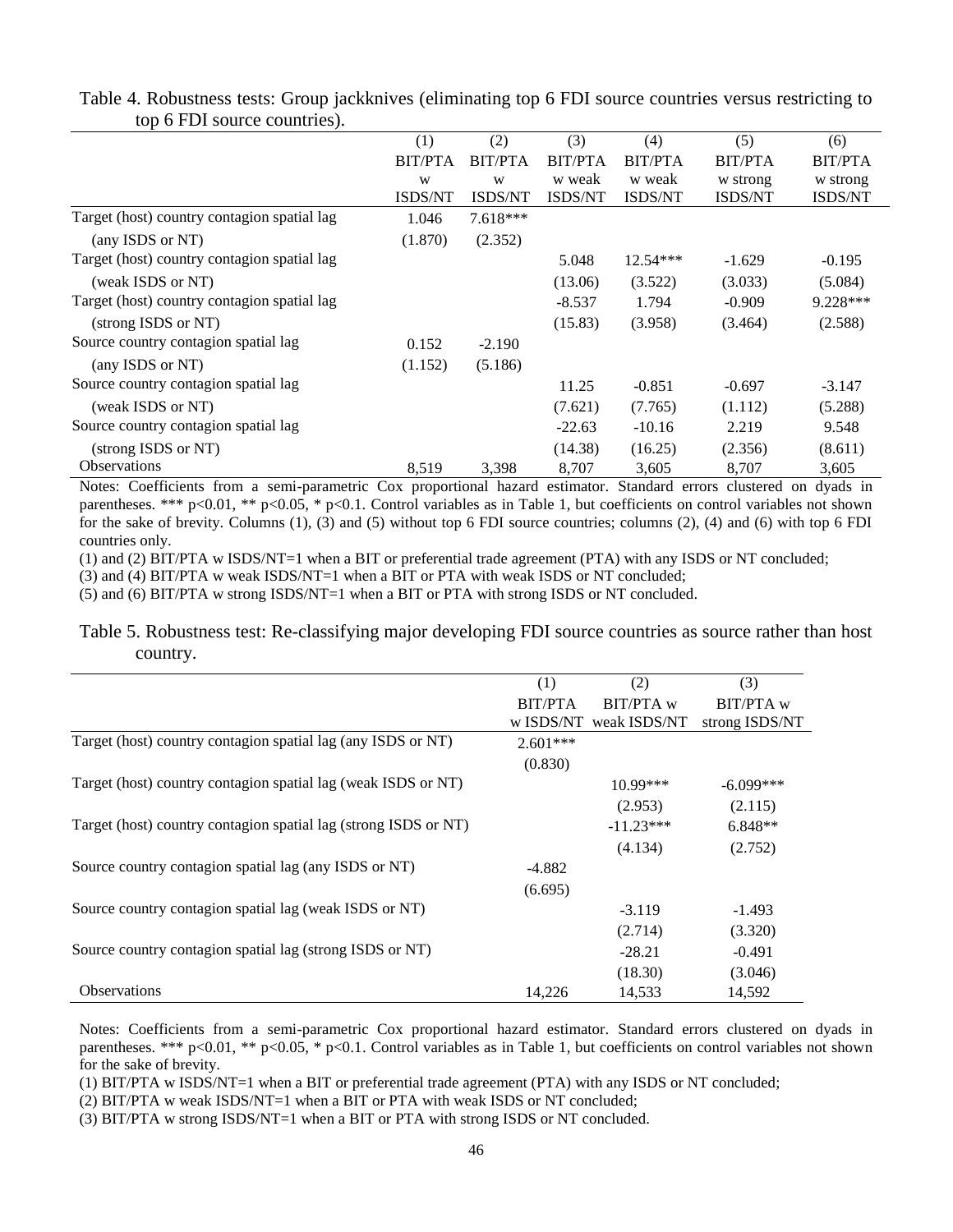| $\omega_{\rm p}$ or $\rm p_1$ solice countries). |                |                |                |                |                |                |
|--------------------------------------------------|----------------|----------------|----------------|----------------|----------------|----------------|
|                                                  | (1)            | (2)            | (3)            | (4)            | (5)            | (6)            |
|                                                  | <b>BIT/PTA</b> | <b>BIT/PTA</b> | <b>BIT/PTA</b> | <b>BIT/PTA</b> | <b>BIT/PTA</b> | <b>BIT/PTA</b> |
|                                                  | W              | W              | w weak         | w weak         | w strong       | w strong       |
|                                                  | <b>ISDS/NT</b> | <b>ISDS/NT</b> | <b>ISDS/NT</b> | <b>ISDS/NT</b> | <b>ISDS/NT</b> | <b>ISDS/NT</b> |
| Target (host) country contagion spatial lag      | 1.046          | $7.618***$     |                |                |                |                |
| (any ISDS or NT)                                 | (1.870)        | (2.352)        |                |                |                |                |
| Target (host) country contagion spatial lag      |                |                | 5.048          | $12.54***$     | $-1.629$       | $-0.195$       |
| (weak ISDS or NT)                                |                |                | (13.06)        | (3.522)        | (3.033)        | (5.084)        |
| Target (host) country contagion spatial lag      |                |                | $-8.537$       | 1.794          | $-0.909$       | 9.228***       |
| (strong ISDS or NT)                              |                |                | (15.83)        | (3.958)        | (3.464)        | (2.588)        |
| Source country contagion spatial lag             | 0.152          | $-2.190$       |                |                |                |                |
| (any ISDS or NT)                                 | (1.152)        | (5.186)        |                |                |                |                |
| Source country contagion spatial lag             |                |                | 11.25          | $-0.851$       | $-0.697$       | $-3.147$       |
| (weak ISDS or NT)                                |                |                | (7.621)        | (7.765)        | (1.112)        | (5.288)        |
| Source country contagion spatial lag             |                |                | $-22.63$       | $-10.16$       | 2.219          | 9.548          |
| (strong ISDS or NT)                              |                |                | (14.38)        | (16.25)        | (2.356)        | (8.611)        |
| <b>Observations</b>                              | 8,519          | 3,398          | 8,707          | 3,605          | 8,707          | 3,605          |

Table 4. Robustness tests: Group jackknives (eliminating top 6 FDI source countries versus restricting to top 6 FDI source countries).

Notes: Coefficients from a semi-parametric Cox proportional hazard estimator. Standard errors clustered on dyads in parentheses. \*\*\* p<0.01, \*\* p<0.05, \* p<0.1. Control variables as in Table 1, but coefficients on control variables not shown for the sake of brevity. Columns (1), (3) and (5) without top 6 FDI source countries; columns (2), (4) and (6) with top 6 FDI countries only.

(1) and (2) BIT/PTA w ISDS/NT=1 when a BIT or preferential trade agreement (PTA) with any ISDS or NT concluded;

(3) and (4) BIT/PTA w weak ISDS/NT=1 when a BIT or PTA with weak ISDS or NT concluded;

(5) and (6) BIT/PTA w strong ISDS/NT=1 when a BIT or PTA with strong ISDS or NT concluded.

Table 5. Robustness test: Re-classifying major developing FDI source countries as source rather than host country.

|                                                                 | (1)            | (2)          | (3)            |
|-----------------------------------------------------------------|----------------|--------------|----------------|
|                                                                 | <b>BIT/PTA</b> | BIT/PTA w    | BIT/PTA w      |
|                                                                 | w ISDS/NT      | weak ISDS/NT | strong ISDS/NT |
| Target (host) country contagion spatial lag (any ISDS or NT)    | $2.601***$     |              |                |
|                                                                 | (0.830)        |              |                |
| Target (host) country contagion spatial lag (weak ISDS or NT)   |                | $10.99***$   | $-6.099***$    |
|                                                                 |                | (2.953)      | (2.115)        |
| Target (host) country contagion spatial lag (strong ISDS or NT) |                | $-11.23***$  | $6.848**$      |
|                                                                 |                | (4.134)      | (2.752)        |
| Source country contagion spatial lag (any ISDS or NT)           | $-4.882$       |              |                |
|                                                                 | (6.695)        |              |                |
| Source country contagion spatial lag (weak ISDS or NT)          |                | $-3.119$     | $-1.493$       |
|                                                                 |                | (2.714)      | (3.320)        |
| Source country contagion spatial lag (strong ISDS or NT)        |                | $-28.21$     | $-0.491$       |
|                                                                 |                | (18.30)      | (3.046)        |
| <b>Observations</b>                                             | 14,226         | 14,533       | 14,592         |

Notes: Coefficients from a semi-parametric Cox proportional hazard estimator. Standard errors clustered on dyads in parentheses. \*\*\*  $p<0.01$ , \*\*  $p<0.05$ , \*  $p<0.1$ . Control variables as in Table 1, but coefficients on control variables not shown for the sake of brevity.

(1) BIT/PTA w ISDS/NT=1 when a BIT or preferential trade agreement (PTA) with any ISDS or NT concluded;

(2) BIT/PTA w weak ISDS/NT=1 when a BIT or PTA with weak ISDS or NT concluded;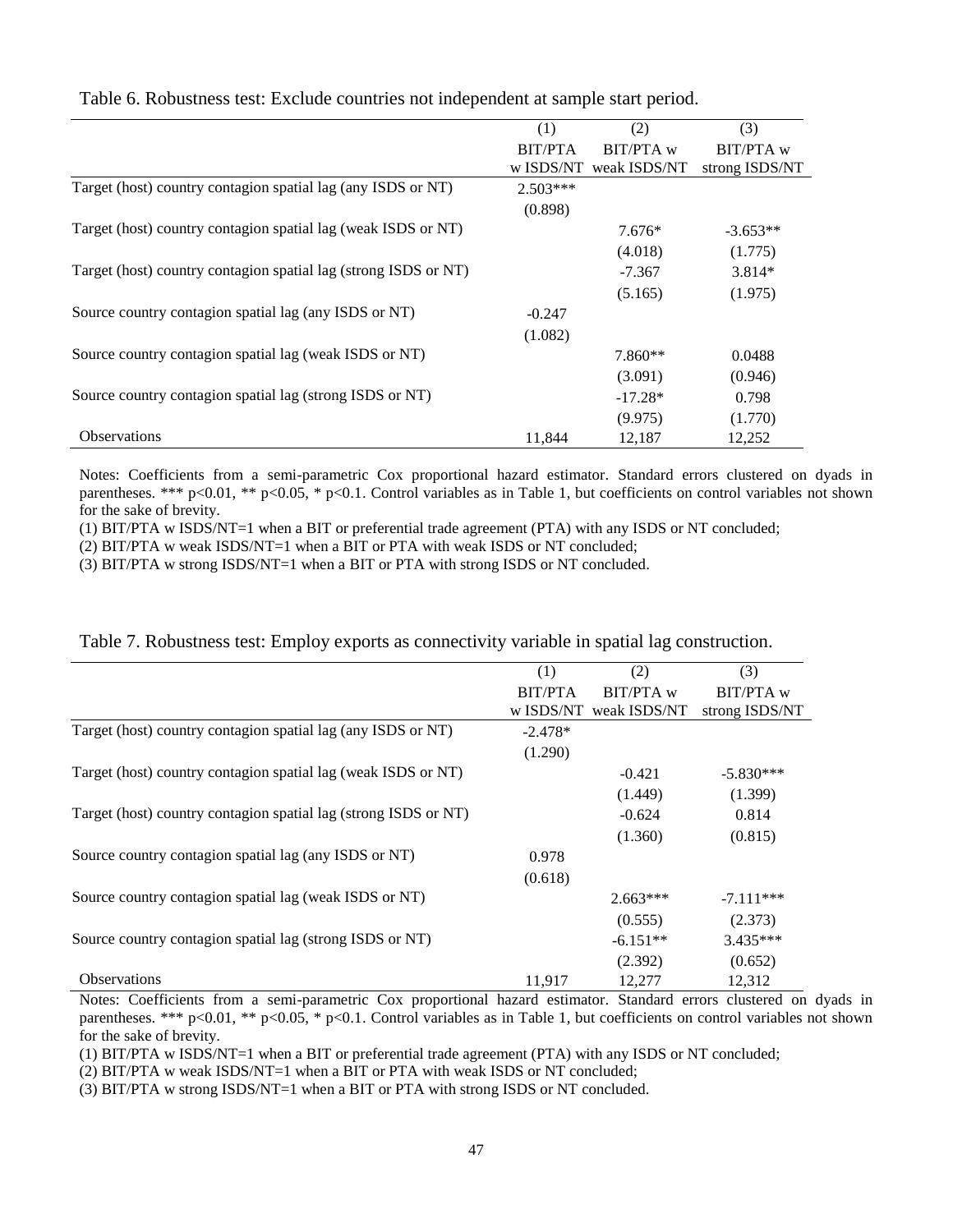|                                                                 | (1)            | (2)          | (3)            |
|-----------------------------------------------------------------|----------------|--------------|----------------|
|                                                                 | <b>BIT/PTA</b> | BIT/PTA w    | BIT/PTA w      |
|                                                                 | w ISDS/NT      | weak ISDS/NT | strong ISDS/NT |
| Target (host) country contagion spatial lag (any ISDS or NT)    | $2.503***$     |              |                |
|                                                                 | (0.898)        |              |                |
| Target (host) country contagion spatial lag (weak ISDS or NT)   |                | $7.676*$     | $-3.653**$     |
|                                                                 |                | (4.018)      | (1.775)        |
| Target (host) country contagion spatial lag (strong ISDS or NT) |                | $-7.367$     | $3.814*$       |
|                                                                 |                | (5.165)      | (1.975)        |
| Source country contagion spatial lag (any ISDS or NT)           | $-0.247$       |              |                |
|                                                                 | (1.082)        |              |                |
| Source country contagion spatial lag (weak ISDS or NT)          |                | 7.860**      | 0.0488         |
|                                                                 |                | (3.091)      | (0.946)        |
| Source country contagion spatial lag (strong ISDS or NT)        |                | $-17.28*$    | 0.798          |
|                                                                 |                | (9.975)      | (1.770)        |
| <b>Observations</b>                                             | 11,844         | 12,187       | 12,252         |

Table 6. Robustness test: Exclude countries not independent at sample start period.

Notes: Coefficients from a semi-parametric Cox proportional hazard estimator. Standard errors clustered on dyads in parentheses. \*\*\*  $p<0.01$ , \*\*  $p<0.05$ , \*  $p<0.1$ . Control variables as in Table 1, but coefficients on control variables not shown for the sake of brevity.

(1) BIT/PTA w ISDS/NT=1 when a BIT or preferential trade agreement (PTA) with any ISDS or NT concluded;

(2) BIT/PTA w weak ISDS/NT=1 when a BIT or PTA with weak ISDS or NT concluded;

(3) BIT/PTA w strong ISDS/NT=1 when a BIT or PTA with strong ISDS or NT concluded.

|                                                                 | (1)       | (2)          | (3)            |
|-----------------------------------------------------------------|-----------|--------------|----------------|
|                                                                 | BIT/PTA   | BIT/PTA w    | BIT/PTA w      |
|                                                                 | w ISDS/NT | weak ISDS/NT | strong ISDS/NT |
| Target (host) country contagion spatial lag (any ISDS or NT)    | $-2.478*$ |              |                |
|                                                                 | (1.290)   |              |                |
| Target (host) country contagion spatial lag (weak ISDS or NT)   |           | $-0.421$     | $-5.830***$    |
|                                                                 |           | (1.449)      | (1.399)        |
| Target (host) country contagion spatial lag (strong ISDS or NT) |           | $-0.624$     | 0.814          |
|                                                                 |           | (1.360)      | (0.815)        |
| Source country contagion spatial lag (any ISDS or NT)           | 0.978     |              |                |
|                                                                 | (0.618)   |              |                |
| Source country contagion spatial lag (weak ISDS or NT)          |           | $2.663***$   | $-7.111***$    |
|                                                                 |           | (0.555)      | (2.373)        |
| Source country contagion spatial lag (strong ISDS or NT)        |           | $-6.151**$   | 3.435***       |
|                                                                 |           | (2.392)      | (0.652)        |
| <b>Observations</b>                                             | 11,917    | 12,277       | 12,312         |

#### Table 7. Robustness test: Employ exports as connectivity variable in spatial lag construction.

Notes: Coefficients from a semi-parametric Cox proportional hazard estimator. Standard errors clustered on dyads in parentheses. \*\*\* p<0.01, \*\* p<0.05, \* p<0.1. Control variables as in Table 1, but coefficients on control variables not shown for the sake of brevity.

(1) BIT/PTA w ISDS/NT=1 when a BIT or preferential trade agreement (PTA) with any ISDS or NT concluded;

(2) BIT/PTA w weak ISDS/NT=1 when a BIT or PTA with weak ISDS or NT concluded;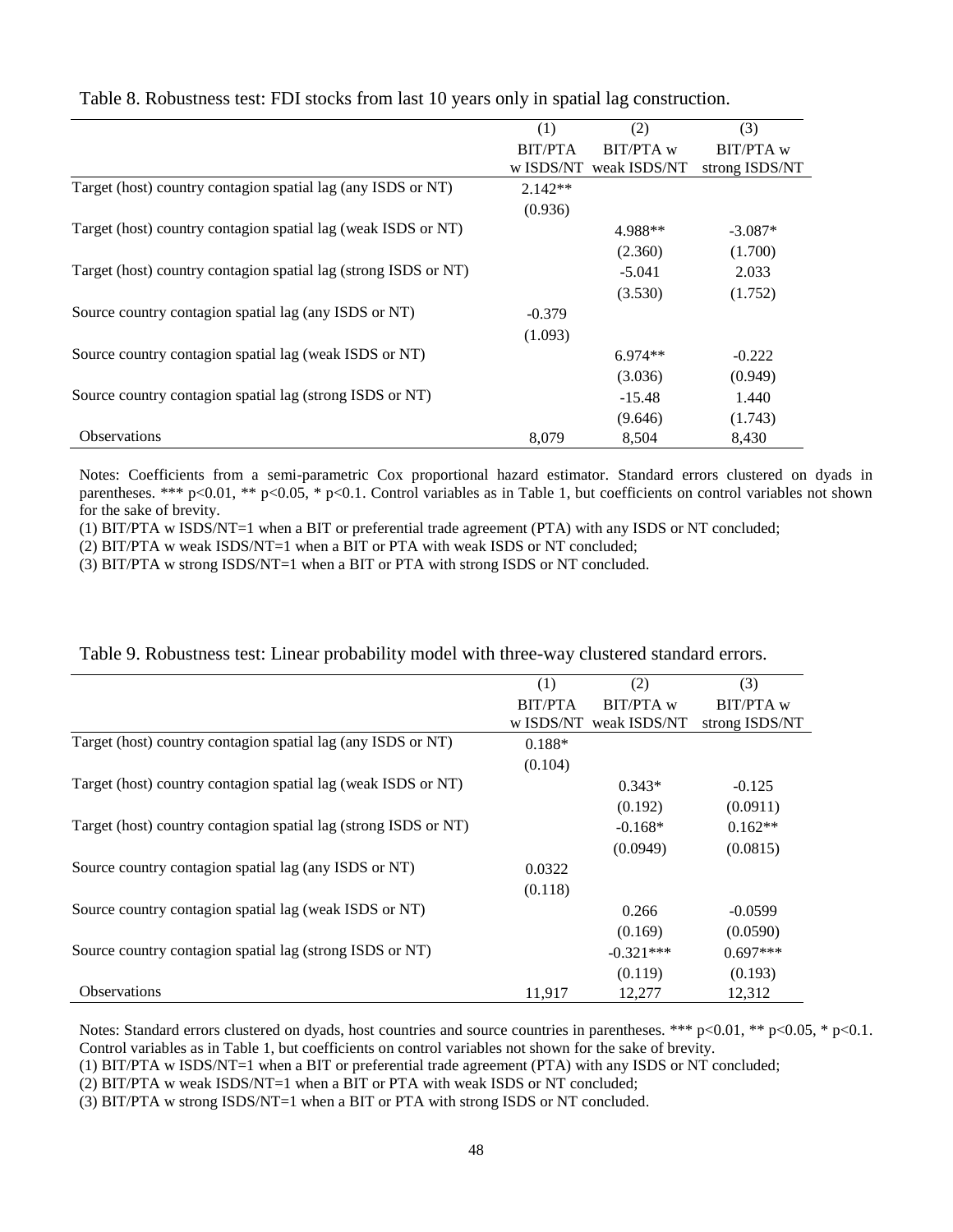|                                                                 | (1)            | (2)          | (3)            |
|-----------------------------------------------------------------|----------------|--------------|----------------|
|                                                                 | <b>BIT/PTA</b> | BIT/PTA w    | BIT/PTA w      |
|                                                                 | w ISDS/NT      | weak ISDS/NT | strong ISDS/NT |
| Target (host) country contagion spatial lag (any ISDS or NT)    | $2.142**$      |              |                |
|                                                                 | (0.936)        |              |                |
| Target (host) country contagion spatial lag (weak ISDS or NT)   |                | 4.988**      | $-3.087*$      |
|                                                                 |                | (2.360)      | (1.700)        |
| Target (host) country contagion spatial lag (strong ISDS or NT) |                | $-5.041$     | 2.033          |
|                                                                 |                | (3.530)      | (1.752)        |
| Source country contagion spatial lag (any ISDS or NT)           | $-0.379$       |              |                |
|                                                                 | (1.093)        |              |                |
| Source country contagion spatial lag (weak ISDS or NT)          |                | $6.974**$    | $-0.222$       |
|                                                                 |                | (3.036)      | (0.949)        |
| Source country contagion spatial lag (strong ISDS or NT)        |                | $-15.48$     | 1.440          |
|                                                                 |                | (9.646)      | (1.743)        |
| <b>Observations</b>                                             | 8,079          | 8,504        | 8,430          |

Table 8. Robustness test: FDI stocks from last 10 years only in spatial lag construction.

Notes: Coefficients from a semi-parametric Cox proportional hazard estimator. Standard errors clustered on dyads in parentheses. \*\*\* p<0.01, \*\* p<0.05, \* p<0.1. Control variables as in Table 1, but coefficients on control variables not shown for the sake of brevity.

(1) BIT/PTA w ISDS/NT=1 when a BIT or preferential trade agreement (PTA) with any ISDS or NT concluded;

(2) BIT/PTA w weak ISDS/NT=1 when a BIT or PTA with weak ISDS or NT concluded;

(3) BIT/PTA w strong ISDS/NT=1 when a BIT or PTA with strong ISDS or NT concluded.

|                                                                 | (1)            | (2)                    | (3)            |
|-----------------------------------------------------------------|----------------|------------------------|----------------|
|                                                                 | <b>BIT/PTA</b> | BIT/PTA w              | BIT/PTA w      |
|                                                                 |                | w ISDS/NT weak ISDS/NT | strong ISDS/NT |
| Target (host) country contagion spatial lag (any ISDS or NT)    | $0.188*$       |                        |                |
|                                                                 | (0.104)        |                        |                |
| Target (host) country contagion spatial lag (weak ISDS or NT)   |                | $0.343*$               | $-0.125$       |
|                                                                 |                | (0.192)                | (0.0911)       |
| Target (host) country contagion spatial lag (strong ISDS or NT) |                | $-0.168*$              | $0.162**$      |
|                                                                 |                | (0.0949)               | (0.0815)       |
| Source country contagion spatial lag (any ISDS or NT)           | 0.0322         |                        |                |
|                                                                 | (0.118)        |                        |                |
| Source country contagion spatial lag (weak ISDS or NT)          |                | 0.266                  | $-0.0599$      |
|                                                                 |                | (0.169)                | (0.0590)       |
| Source country contagion spatial lag (strong ISDS or NT)        |                | $-0.321***$            | $0.697***$     |
|                                                                 |                | (0.119)                | (0.193)        |
| Observations                                                    | 11,917         | 12,277                 | 12,312         |

#### Table 9. Robustness test: Linear probability model with three-way clustered standard errors.

Notes: Standard errors clustered on dyads, host countries and source countries in parentheses. \*\*\*  $p<0.01$ , \*\*  $p<0.05$ , \*  $p<0.1$ . Control variables as in Table 1, but coefficients on control variables not shown for the sake of brevity.

(1) BIT/PTA w ISDS/NT=1 when a BIT or preferential trade agreement (PTA) with any ISDS or NT concluded;

(2) BIT/PTA w weak ISDS/NT=1 when a BIT or PTA with weak ISDS or NT concluded;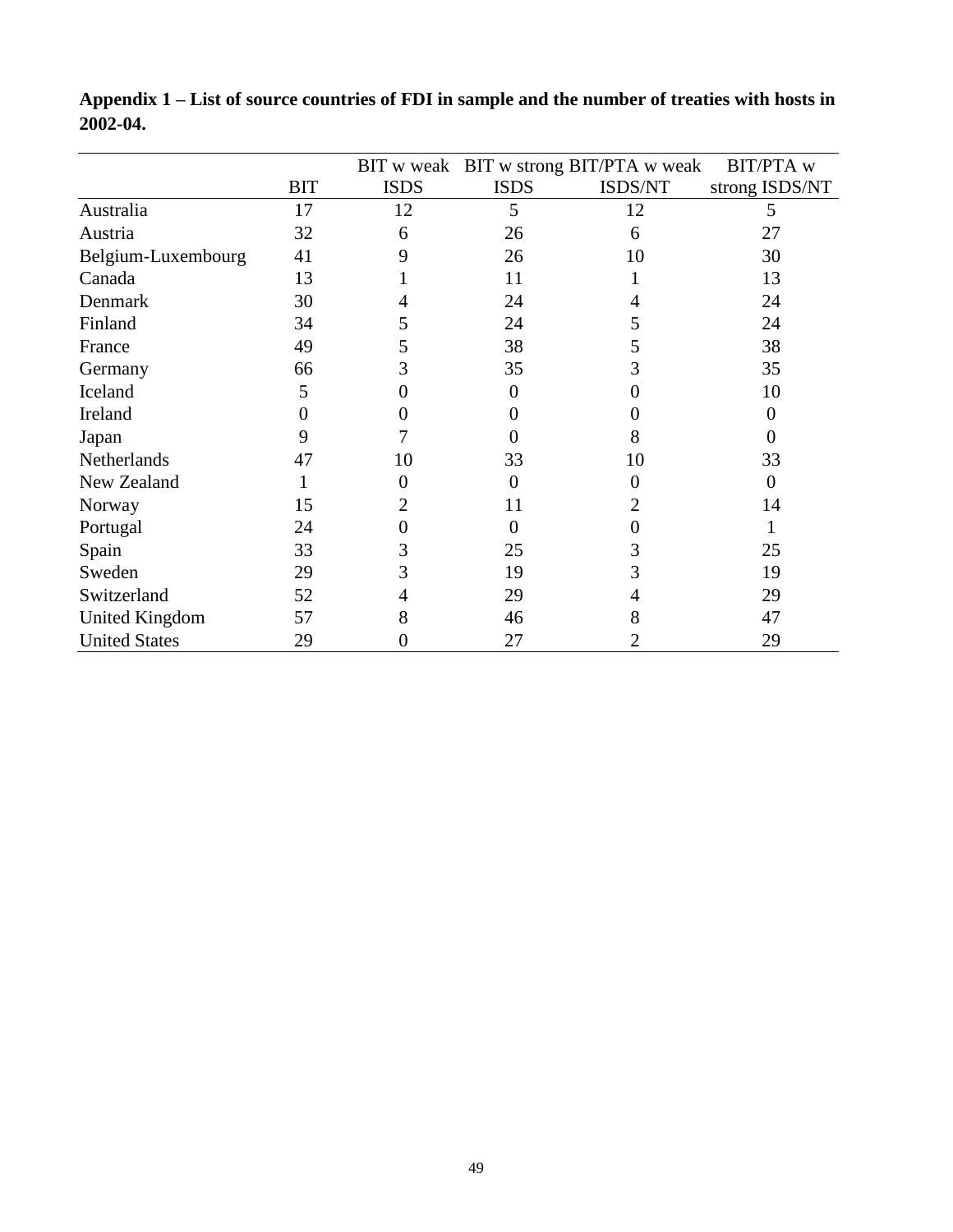|                       |            |             |             | BIT w weak BIT w strong BIT/PTA w weak | BIT/PTA w      |
|-----------------------|------------|-------------|-------------|----------------------------------------|----------------|
|                       | <b>BIT</b> | <b>ISDS</b> | <b>ISDS</b> | ISDS/NT                                | strong ISDS/NT |
| Australia             | 17         | 12          | 5           | 12                                     | 5              |
| Austria               | 32         | 6           | 26          | 6                                      | 27             |
| Belgium-Luxembourg    | 41         | 9           | 26          | 10                                     | 30             |
| Canada                | 13         |             | 11          |                                        | 13             |
| Denmark               | 30         |             | 24          | 4                                      | 24             |
| Finland               | 34         | 5           | 24          | 5                                      | 24             |
| France                | 49         | 5           | 38          | 5                                      | 38             |
| Germany               | 66         | 3           | 35          | 3                                      | 35             |
| Iceland               | 5          |             | $\Omega$    | 0                                      | 10             |
| Ireland               | 0          |             | 0           |                                        | 0              |
| Japan                 | 9          |             |             | 8                                      | 0              |
| Netherlands           | 47         | 10          | 33          | 10                                     | 33             |
| New Zealand           |            | $\Omega$    | $\Omega$    | 0                                      | $\overline{0}$ |
| Norway                | 15         | 2           | 11          | 2                                      | 14             |
| Portugal              | 24         | 0           | $\Omega$    | 0                                      | 1              |
| Spain                 | 33         | 3           | 25          | 3                                      | 25             |
| Sweden                | 29         | 3           | 19          | 3                                      | 19             |
| Switzerland           | 52         |             | 29          | 4                                      | 29             |
| <b>United Kingdom</b> | 57         | 8           | 46          | 8                                      | 47             |
| <b>United States</b>  | 29         | 0           | 27          | $\overline{2}$                         | 29             |

**Appendix 1 – List of source countries of FDI in sample and the number of treaties with hosts in 2002-04.**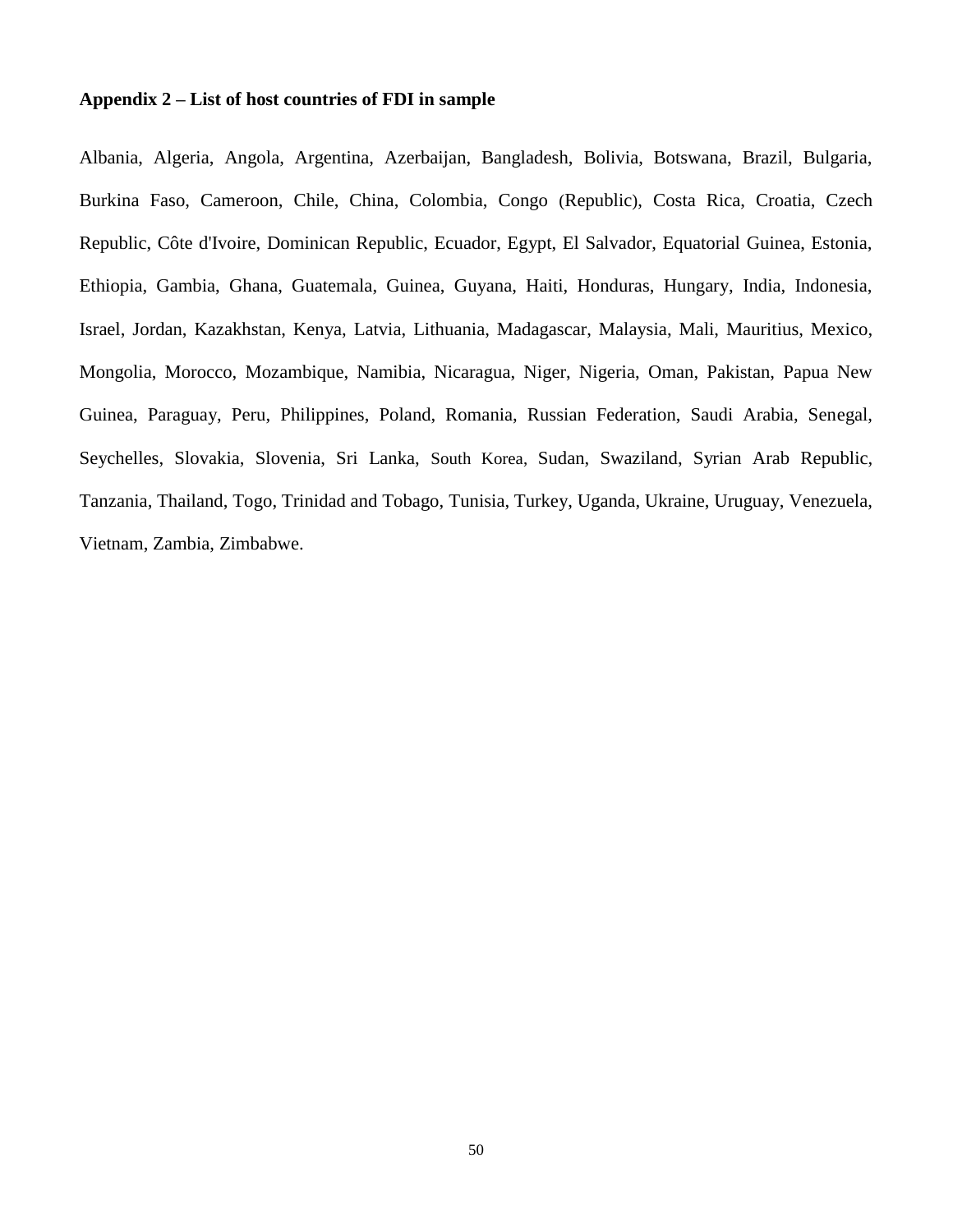#### **Appendix 2 – List of host countries of FDI in sample**

Albania, Algeria, Angola, Argentina, Azerbaijan, Bangladesh, Bolivia, Botswana, Brazil, Bulgaria, Burkina Faso, Cameroon, Chile, China, Colombia, Congo (Republic), Costa Rica, Croatia, Czech Republic, Côte d'Ivoire, Dominican Republic, Ecuador, Egypt, El Salvador, Equatorial Guinea, Estonia, Ethiopia, Gambia, Ghana, Guatemala, Guinea, Guyana, Haiti, Honduras, Hungary, India, Indonesia, Israel, Jordan, Kazakhstan, Kenya, Latvia, Lithuania, Madagascar, Malaysia, Mali, Mauritius, Mexico, Mongolia, Morocco, Mozambique, Namibia, Nicaragua, Niger, Nigeria, Oman, Pakistan, Papua New Guinea, Paraguay, Peru, Philippines, Poland, Romania, Russian Federation, Saudi Arabia, Senegal, Seychelles, Slovakia, Slovenia, Sri Lanka, South Korea, Sudan, Swaziland, Syrian Arab Republic, Tanzania, Thailand, Togo, Trinidad and Tobago, Tunisia, Turkey, Uganda, Ukraine, Uruguay, Venezuela, Vietnam, Zambia, Zimbabwe.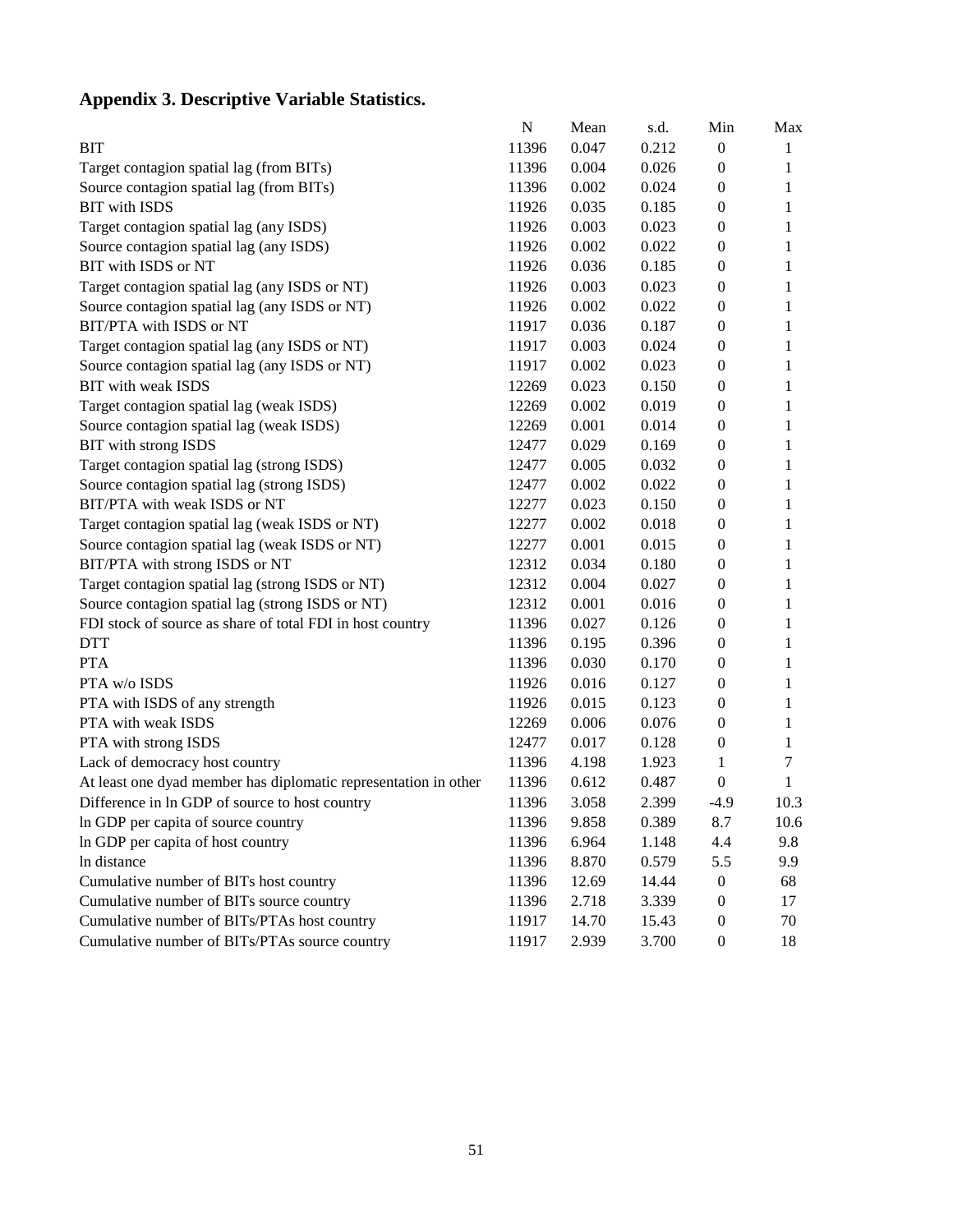# **Appendix 3. Descriptive Variable Statistics.**

|                                                                 | ${\bf N}$ | Mean  | s.d.  | Min              | Max          |
|-----------------------------------------------------------------|-----------|-------|-------|------------------|--------------|
| <b>BIT</b>                                                      | 11396     | 0.047 | 0.212 | $\boldsymbol{0}$ | $\mathbf{1}$ |
| Target contagion spatial lag (from BITs)                        | 11396     | 0.004 | 0.026 | $\boldsymbol{0}$ | 1            |
| Source contagion spatial lag (from BITs)                        | 11396     | 0.002 | 0.024 | $\boldsymbol{0}$ | 1            |
| <b>BIT</b> with ISDS                                            | 11926     | 0.035 | 0.185 | $\boldsymbol{0}$ | 1            |
| Target contagion spatial lag (any ISDS)                         | 11926     | 0.003 | 0.023 | $\boldsymbol{0}$ | 1            |
| Source contagion spatial lag (any ISDS)                         | 11926     | 0.002 | 0.022 | $\boldsymbol{0}$ | 1            |
| BIT with ISDS or NT                                             | 11926     | 0.036 | 0.185 | $\boldsymbol{0}$ | 1            |
| Target contagion spatial lag (any ISDS or NT)                   | 11926     | 0.003 | 0.023 | $\boldsymbol{0}$ | 1            |
| Source contagion spatial lag (any ISDS or NT)                   | 11926     | 0.002 | 0.022 | $\boldsymbol{0}$ | 1            |
| BIT/PTA with ISDS or NT                                         | 11917     | 0.036 | 0.187 | $\boldsymbol{0}$ | 1            |
| Target contagion spatial lag (any ISDS or NT)                   | 11917     | 0.003 | 0.024 | $\boldsymbol{0}$ | $\mathbf{1}$ |
| Source contagion spatial lag (any ISDS or NT)                   | 11917     | 0.002 | 0.023 | $\boldsymbol{0}$ | 1            |
| <b>BIT</b> with weak ISDS                                       | 12269     | 0.023 | 0.150 | $\boldsymbol{0}$ | 1            |
| Target contagion spatial lag (weak ISDS)                        | 12269     | 0.002 | 0.019 | $\boldsymbol{0}$ | 1            |
| Source contagion spatial lag (weak ISDS)                        | 12269     | 0.001 | 0.014 | $\boldsymbol{0}$ | 1            |
| <b>BIT</b> with strong ISDS                                     | 12477     | 0.029 | 0.169 | $\boldsymbol{0}$ | 1            |
| Target contagion spatial lag (strong ISDS)                      | 12477     | 0.005 | 0.032 | $\boldsymbol{0}$ | 1            |
| Source contagion spatial lag (strong ISDS)                      | 12477     | 0.002 | 0.022 | $\boldsymbol{0}$ | 1            |
| BIT/PTA with weak ISDS or NT                                    | 12277     | 0.023 | 0.150 | $\boldsymbol{0}$ | $\mathbf{1}$ |
| Target contagion spatial lag (weak ISDS or NT)                  | 12277     | 0.002 | 0.018 | $\boldsymbol{0}$ | 1            |
| Source contagion spatial lag (weak ISDS or NT)                  | 12277     | 0.001 | 0.015 | $\boldsymbol{0}$ | 1            |
| BIT/PTA with strong ISDS or NT                                  | 12312     | 0.034 | 0.180 | $\boldsymbol{0}$ | 1            |
| Target contagion spatial lag (strong ISDS or NT)                | 12312     | 0.004 | 0.027 | $\boldsymbol{0}$ | 1            |
| Source contagion spatial lag (strong ISDS or NT)                | 12312     | 0.001 | 0.016 | $\boldsymbol{0}$ | 1            |
| FDI stock of source as share of total FDI in host country       | 11396     | 0.027 | 0.126 | $\boldsymbol{0}$ | 1            |
| <b>DTT</b>                                                      | 11396     | 0.195 | 0.396 | $\boldsymbol{0}$ | 1            |
| <b>PTA</b>                                                      | 11396     | 0.030 | 0.170 | $\boldsymbol{0}$ | 1            |
| PTA w/o ISDS                                                    | 11926     | 0.016 | 0.127 | $\boldsymbol{0}$ | 1            |
| PTA with ISDS of any strength                                   | 11926     | 0.015 | 0.123 | $\boldsymbol{0}$ | 1            |
| PTA with weak ISDS                                              | 12269     | 0.006 | 0.076 | $\boldsymbol{0}$ | 1            |
| PTA with strong ISDS                                            | 12477     | 0.017 | 0.128 | $\boldsymbol{0}$ | 1            |
| Lack of democracy host country                                  | 11396     | 4.198 | 1.923 | 1                | 7            |
| At least one dyad member has diplomatic representation in other | 11396     | 0.612 | 0.487 | $\boldsymbol{0}$ | 1            |
| Difference in ln GDP of source to host country                  | 11396     | 3.058 | 2.399 | $-4.9$           | 10.3         |
| In GDP per capita of source country                             | 11396     | 9.858 | 0.389 | 8.7              | 10.6         |
| In GDP per capita of host country                               | 11396     | 6.964 | 1.148 | 4.4              | 9.8          |
| In distance                                                     | 11396     | 8.870 | 0.579 | 5.5              | 9.9          |
| Cumulative number of BITs host country                          | 11396     | 12.69 | 14.44 | $\boldsymbol{0}$ | 68           |
| Cumulative number of BITs source country                        | 11396     | 2.718 | 3.339 | $\boldsymbol{0}$ | 17           |
| Cumulative number of BITs/PTAs host country                     | 11917     | 14.70 | 15.43 | $\boldsymbol{0}$ | 70           |
| Cumulative number of BITs/PTAs source country                   | 11917     | 2.939 | 3.700 | $\boldsymbol{0}$ | 18           |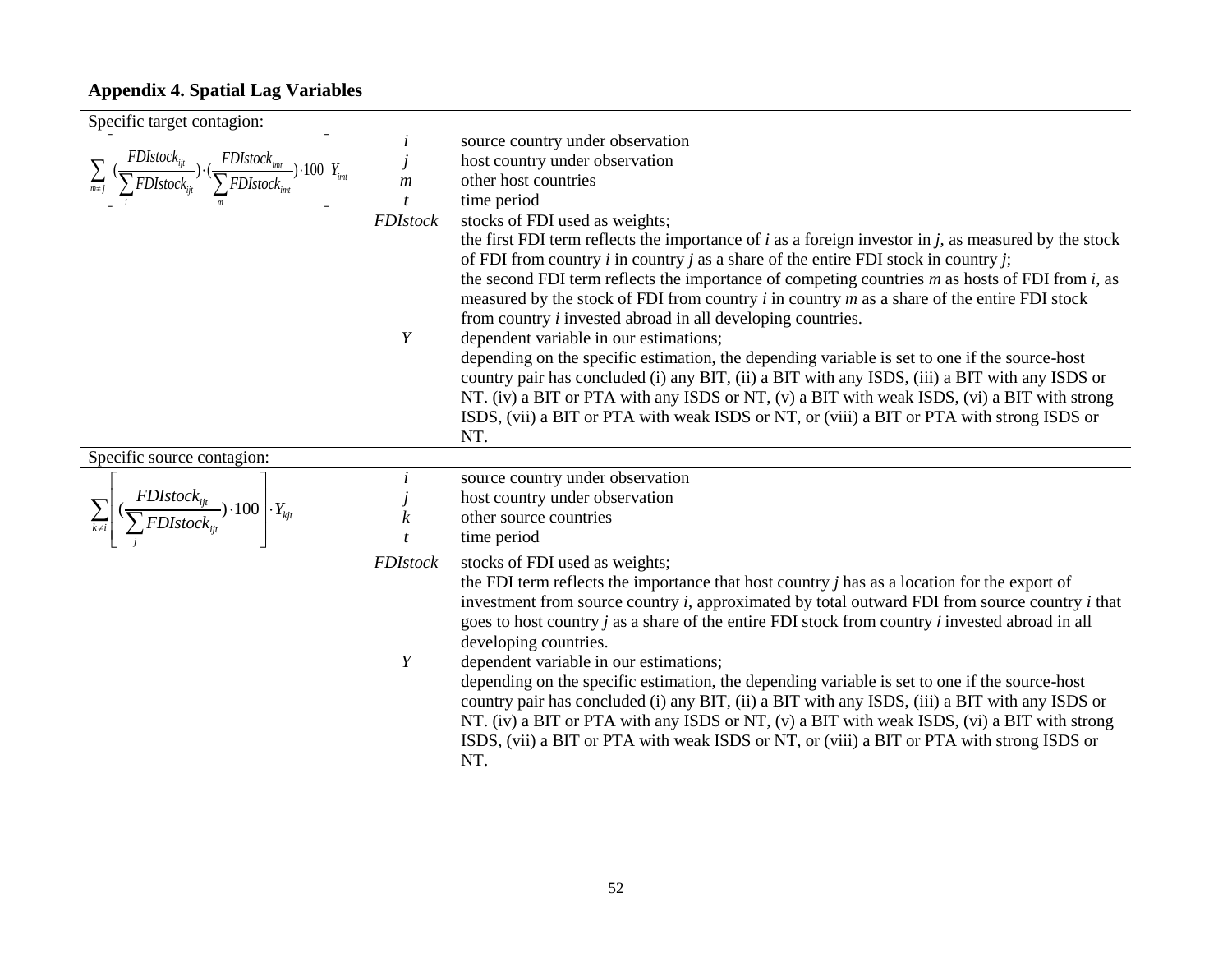### **Appendix 4. Spatial Lag Variables**

| Specific target contagion:                                                                                                                                                                          |                  |                                                                                                                                                                                                                                                                                                                                                                                                                                                                                                                                  |
|-----------------------------------------------------------------------------------------------------------------------------------------------------------------------------------------------------|------------------|----------------------------------------------------------------------------------------------------------------------------------------------------------------------------------------------------------------------------------------------------------------------------------------------------------------------------------------------------------------------------------------------------------------------------------------------------------------------------------------------------------------------------------|
|                                                                                                                                                                                                     |                  | source country under observation                                                                                                                                                                                                                                                                                                                                                                                                                                                                                                 |
| $\left  \frac{\textit{FDIstock}_{ijt}}{\sum \textit{FDIstock}_{ijt}} \right) \cdot \left( \frac{\textit{FDIstock}_{imt}}{\sum \textit{FDIstock}_{imt}} \right) \cdot 100 \text{ } \middle  Y_{imt}$ |                  | host country under observation                                                                                                                                                                                                                                                                                                                                                                                                                                                                                                   |
|                                                                                                                                                                                                     | $\boldsymbol{m}$ | other host countries                                                                                                                                                                                                                                                                                                                                                                                                                                                                                                             |
|                                                                                                                                                                                                     | $\mathbf{t}$     | time period                                                                                                                                                                                                                                                                                                                                                                                                                                                                                                                      |
|                                                                                                                                                                                                     | <b>FDIstock</b>  | stocks of FDI used as weights;                                                                                                                                                                                                                                                                                                                                                                                                                                                                                                   |
|                                                                                                                                                                                                     | Y                | the first FDI term reflects the importance of i as a foreign investor in $j$ , as measured by the stock<br>of FDI from country $i$ in country $j$ as a share of the entire FDI stock in country $j$ ;<br>the second FDI term reflects the importance of competing countries $m$ as hosts of FDI from $i$ , as<br>measured by the stock of FDI from country $i$ in country $m$ as a share of the entire FDI stock<br>from country <i>i</i> invested abroad in all developing countries.<br>dependent variable in our estimations; |
|                                                                                                                                                                                                     |                  | depending on the specific estimation, the depending variable is set to one if the source-host<br>country pair has concluded (i) any BIT, (ii) a BIT with any ISDS, (iii) a BIT with any ISDS or<br>NT. (iv) a BIT or PTA with any ISDS or NT, (v) a BIT with weak ISDS, (vi) a BIT with strong<br>ISDS, (vii) a BIT or PTA with weak ISDS or NT, or (viii) a BIT or PTA with strong ISDS or<br>NT.                                                                                                                               |
| Specific source contagion:                                                                                                                                                                          |                  |                                                                                                                                                                                                                                                                                                                                                                                                                                                                                                                                  |
| $\sum_{k\neq i}\left \frac{\textit{FDIstock}_{ijt}}{ \sum\textit{FDIstock}_{ijt}}\right)\cdot 100\left \cdot Y_{kjt}\right $                                                                        |                  | source country under observation                                                                                                                                                                                                                                                                                                                                                                                                                                                                                                 |
|                                                                                                                                                                                                     |                  | host country under observation                                                                                                                                                                                                                                                                                                                                                                                                                                                                                                   |
|                                                                                                                                                                                                     | $\boldsymbol{k}$ | other source countries                                                                                                                                                                                                                                                                                                                                                                                                                                                                                                           |
|                                                                                                                                                                                                     | t                | time period                                                                                                                                                                                                                                                                                                                                                                                                                                                                                                                      |
|                                                                                                                                                                                                     | <b>FDIstock</b>  | stocks of FDI used as weights;                                                                                                                                                                                                                                                                                                                                                                                                                                                                                                   |
|                                                                                                                                                                                                     |                  | the FDI term reflects the importance that host country $j$ has as a location for the export of<br>investment from source country $i$ , approximated by total outward FDI from source country $i$ that<br>goes to host country <i>j</i> as a share of the entire FDI stock from country <i>i</i> invested abroad in all<br>developing countries.                                                                                                                                                                                  |
|                                                                                                                                                                                                     | Y                | dependent variable in our estimations;                                                                                                                                                                                                                                                                                                                                                                                                                                                                                           |
|                                                                                                                                                                                                     |                  | depending on the specific estimation, the depending variable is set to one if the source-host<br>country pair has concluded (i) any BIT, (ii) a BIT with any ISDS, (iii) a BIT with any ISDS or<br>NT. (iv) a BIT or PTA with any ISDS or NT, (v) a BIT with weak ISDS, (vi) a BIT with strong<br>ISDS, (vii) a BIT or PTA with weak ISDS or NT, or (viii) a BIT or PTA with strong ISDS or<br>NT.                                                                                                                               |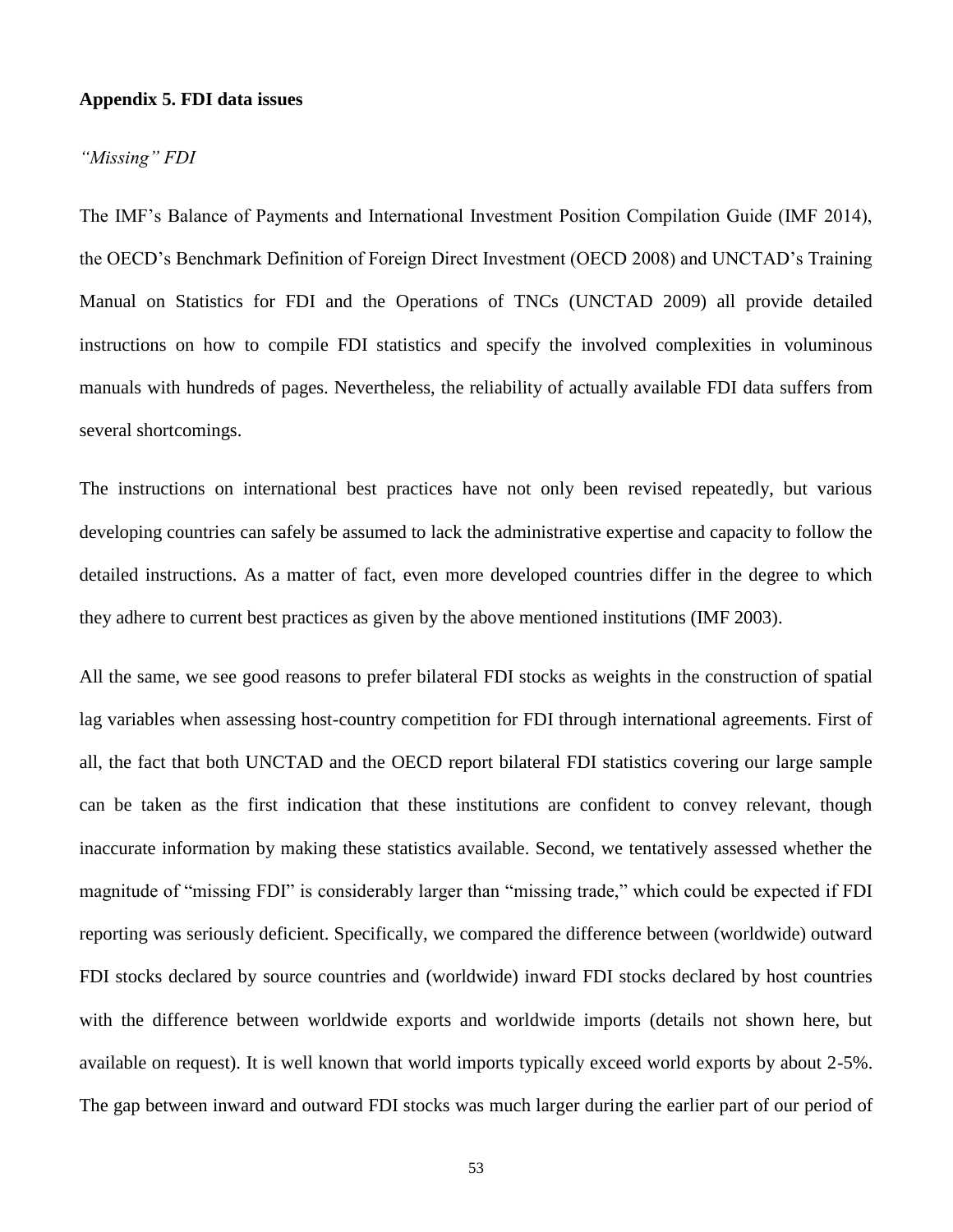#### **Appendix 5. FDI data issues**

#### *"Missing" FDI*

The IMF's Balance of Payments and International Investment Position Compilation Guide (IMF 2014), the OECD's Benchmark Definition of Foreign Direct Investment (OECD 2008) and UNCTAD's Training Manual on Statistics for FDI and the Operations of TNCs (UNCTAD 2009) all provide detailed instructions on how to compile FDI statistics and specify the involved complexities in voluminous manuals with hundreds of pages. Nevertheless, the reliability of actually available FDI data suffers from several shortcomings.

The instructions on international best practices have not only been revised repeatedly, but various developing countries can safely be assumed to lack the administrative expertise and capacity to follow the detailed instructions. As a matter of fact, even more developed countries differ in the degree to which they adhere to current best practices as given by the above mentioned institutions (IMF 2003).

All the same, we see good reasons to prefer bilateral FDI stocks as weights in the construction of spatial lag variables when assessing host-country competition for FDI through international agreements. First of all, the fact that both UNCTAD and the OECD report bilateral FDI statistics covering our large sample can be taken as the first indication that these institutions are confident to convey relevant, though inaccurate information by making these statistics available. Second, we tentatively assessed whether the magnitude of "missing FDI" is considerably larger than "missing trade," which could be expected if FDI reporting was seriously deficient. Specifically, we compared the difference between (worldwide) outward FDI stocks declared by source countries and (worldwide) inward FDI stocks declared by host countries with the difference between worldwide exports and worldwide imports (details not shown here, but available on request). It is well known that world imports typically exceed world exports by about 2-5%. The gap between inward and outward FDI stocks was much larger during the earlier part of our period of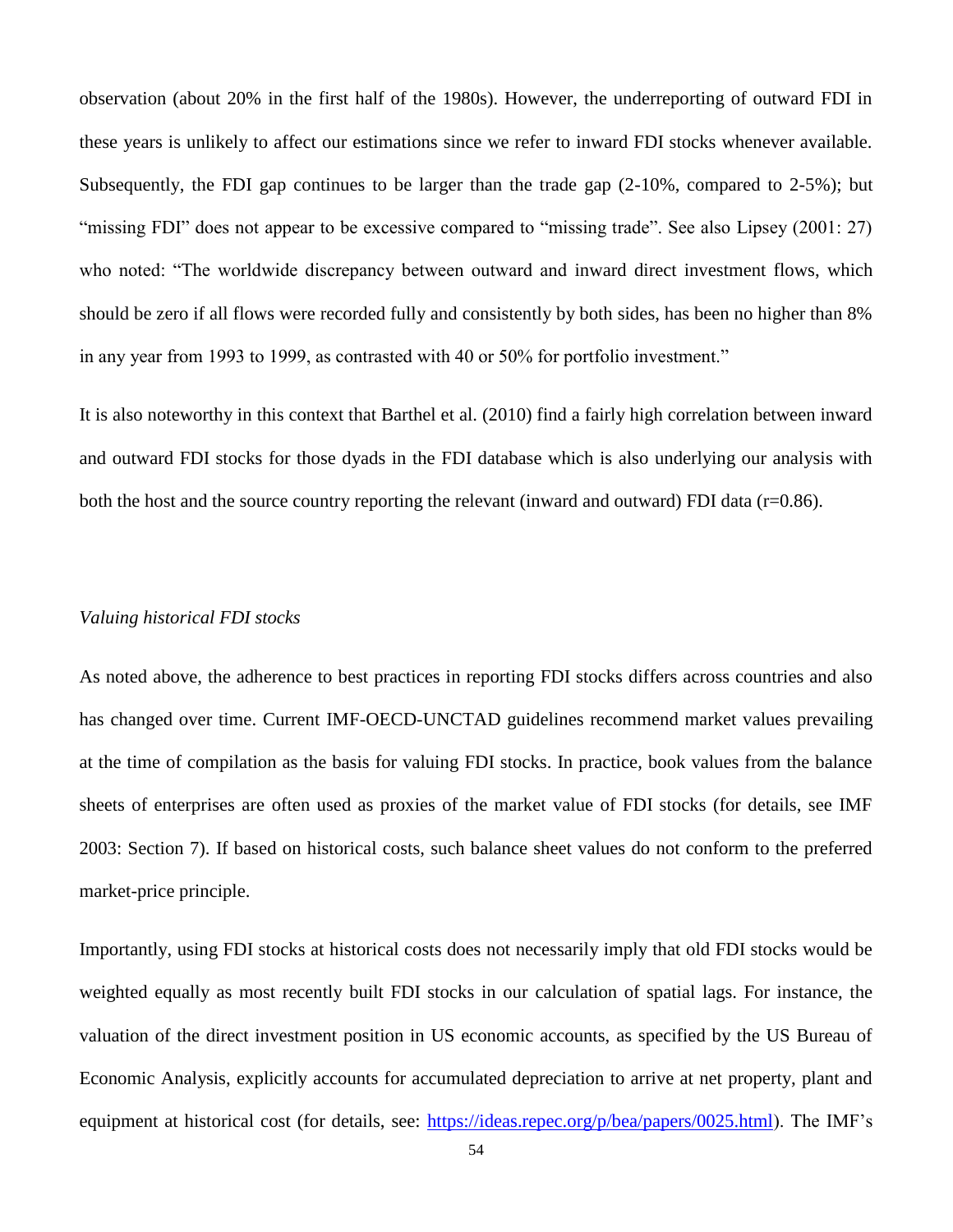observation (about 20% in the first half of the 1980s). However, the underreporting of outward FDI in these years is unlikely to affect our estimations since we refer to inward FDI stocks whenever available. Subsequently, the FDI gap continues to be larger than the trade gap (2-10%, compared to 2-5%); but "missing FDI" does not appear to be excessive compared to "missing trade". See also Lipsey (2001: 27) who noted: "The worldwide discrepancy between outward and inward direct investment flows, which should be zero if all flows were recorded fully and consistently by both sides, has been no higher than 8% in any year from 1993 to 1999, as contrasted with 40 or 50% for portfolio investment."

It is also noteworthy in this context that Barthel et al. (2010) find a fairly high correlation between inward and outward FDI stocks for those dyads in the FDI database which is also underlying our analysis with both the host and the source country reporting the relevant (inward and outward) FDI data ( $r=0.86$ ).

#### *Valuing historical FDI stocks*

As noted above, the adherence to best practices in reporting FDI stocks differs across countries and also has changed over time. Current IMF-OECD-UNCTAD guidelines recommend market values prevailing at the time of compilation as the basis for valuing FDI stocks. In practice, book values from the balance sheets of enterprises are often used as proxies of the market value of FDI stocks (for details, see IMF 2003: Section 7). If based on historical costs, such balance sheet values do not conform to the preferred market-price principle.

Importantly, using FDI stocks at historical costs does not necessarily imply that old FDI stocks would be weighted equally as most recently built FDI stocks in our calculation of spatial lags. For instance, the valuation of the direct investment position in US economic accounts, as specified by the US Bureau of Economic Analysis, explicitly accounts for accumulated depreciation to arrive at net property, plant and equipment at historical cost (for details, see: [https://ideas.repec.org/p/bea/papers/0025.html\)](https://ideas.repec.org/p/bea/papers/0025.html). The IMF's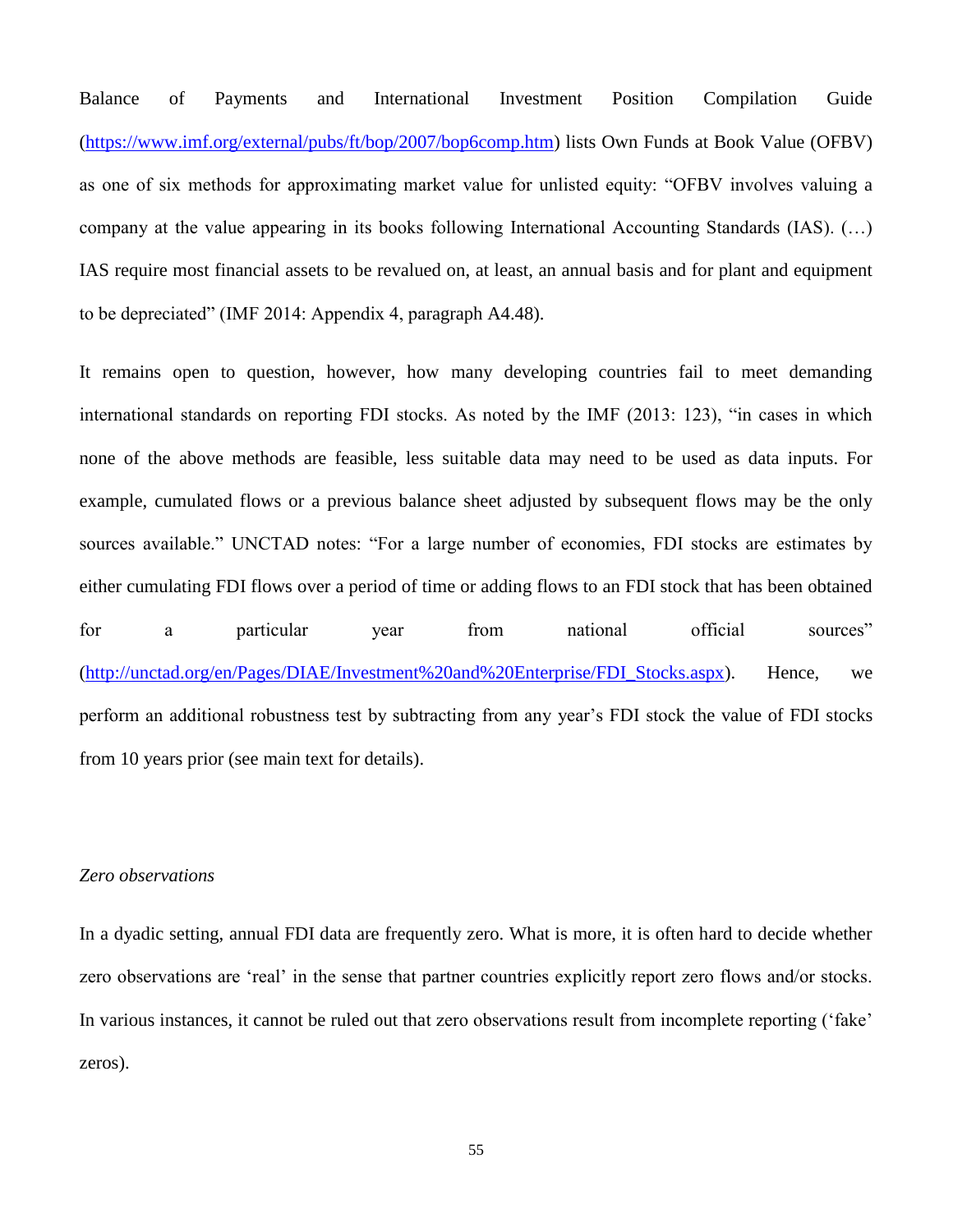Balance of Payments and International Investment Position Compilation Guide [\(https://www.imf.org/external/pubs/ft/bop/2007/bop6comp.htm\)](https://www.imf.org/external/pubs/ft/bop/2007/bop6comp.htm) lists Own Funds at Book Value (OFBV) as one of six methods for approximating market value for unlisted equity: "OFBV involves valuing a company at the value appearing in its books following International Accounting Standards (IAS). (…) IAS require most financial assets to be revalued on, at least, an annual basis and for plant and equipment to be depreciated" (IMF 2014: Appendix 4, paragraph A4.48).

It remains open to question, however, how many developing countries fail to meet demanding international standards on reporting FDI stocks. As noted by the IMF (2013: 123), "in cases in which none of the above methods are feasible, less suitable data may need to be used as data inputs. For example, cumulated flows or a previous balance sheet adjusted by subsequent flows may be the only sources available." UNCTAD notes: "For a large number of economies, FDI stocks are estimates by either cumulating FDI flows over a period of time or adding flows to an FDI stock that has been obtained for a particular year from national official sources" [\(http://unctad.org/en/Pages/DIAE/Investment%20and%20Enterprise/FDI\\_Stocks.aspx\)](http://unctad.org/en/Pages/DIAE/Investment%20and%20Enterprise/FDI_Stocks.aspx). Hence, we perform an additional robustness test by subtracting from any year's FDI stock the value of FDI stocks from 10 years prior (see main text for details).

#### *Zero observations*

In a dyadic setting, annual FDI data are frequently zero. What is more, it is often hard to decide whether zero observations are 'real' in the sense that partner countries explicitly report zero flows and/or stocks. In various instances, it cannot be ruled out that zero observations result from incomplete reporting ('fake' zeros).